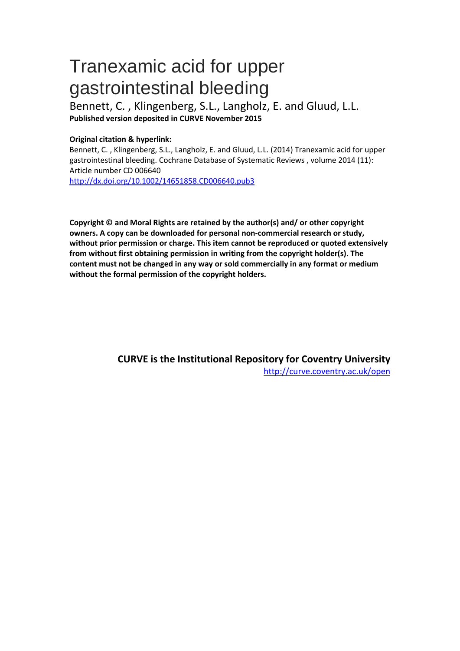# Tranexamic acid for upper gastrointestinal bleeding

Bennett, C. , Klingenberg, S.L., Langholz, E. and Gluud, L.L. **Published version deposited in CURVE November 2015**

## **Original citation & hyperlink:**

Bennett, C. , Klingenberg, S.L., Langholz, E. and Gluud, L.L. (2014) Tranexamic acid for upper gastrointestinal bleeding. Cochrane Database of Systematic Reviews , volume 2014 (11): Article number CD 006640

<http://dx.doi.org/10.1002/14651858.CD006640.pub3>

**Copyright © and Moral Rights are retained by the author(s) and/ or other copyright owners. A copy can be downloaded for personal non-commercial research or study, without prior permission or charge. This item cannot be reproduced or quoted extensively from without first obtaining permission in writing from the copyright holder(s). The content must not be changed in any way or sold commercially in any format or medium without the formal permission of the copyright holders.** 

> **CURVE is the Institutional Repository for Coventry University** <http://curve.coventry.ac.uk/open>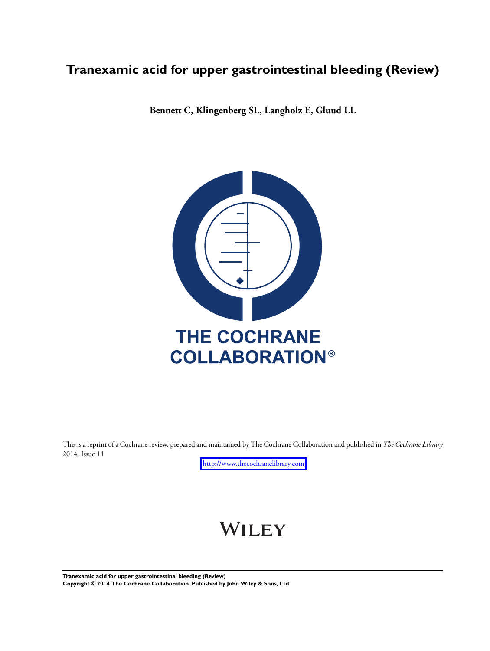## **Tranexamic acid for upper gastrointestinal bleeding (Review)**

**Bennett C, Klingenberg SL, Langholz E, Gluud LL**



This is a reprint of a Cochrane review, prepared and maintained by The Cochrane Collaboration and published in *The Cochrane Library* 2014, Issue 11

<http://www.thecochranelibrary.com>

# WILEY

**Tranexamic acid for upper gastrointestinal bleeding (Review) Copyright © 2014 The Cochrane Collaboration. Published by John Wiley & Sons, Ltd.**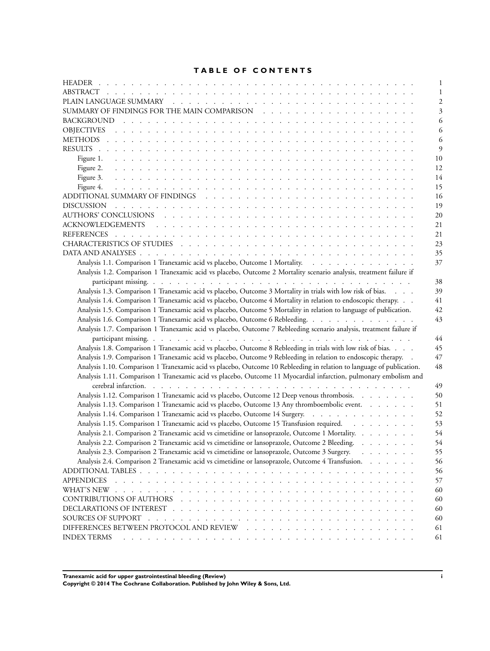## **TABLE OF CONTENTS**

|                                                                                                                                             | 1            |
|---------------------------------------------------------------------------------------------------------------------------------------------|--------------|
|                                                                                                                                             | 2            |
|                                                                                                                                             | 3            |
|                                                                                                                                             | 6            |
|                                                                                                                                             | 6            |
|                                                                                                                                             | 6            |
|                                                                                                                                             | $\mathbf{q}$ |
|                                                                                                                                             | 10           |
|                                                                                                                                             | 12           |
|                                                                                                                                             | 14           |
| Figure 4.<br>a constitution de la constitución de la constitución de la constitución de la constitución de la constitución                  | 15           |
|                                                                                                                                             | 16           |
|                                                                                                                                             | 19           |
|                                                                                                                                             | 20           |
|                                                                                                                                             | 21           |
|                                                                                                                                             | 21           |
|                                                                                                                                             | 23           |
|                                                                                                                                             | 35           |
| Analysis 1.1. Comparison 1 Tranexamic acid vs placebo, Outcome 1 Mortality.                                                                 | 37           |
| Analysis 1.2. Comparison 1 Tranexamic acid vs placebo, Outcome 2 Mortality scenario analysis, treatment failure if                          |              |
|                                                                                                                                             | 38           |
| Analysis 1.3. Comparison 1 Tranexamic acid vs placebo, Outcome 3 Mortality in trials with low risk of bias.                                 | 39           |
| Analysis 1.4. Comparison 1 Tranexamic acid vs placebo, Outcome 4 Mortality in relation to endoscopic therapy.                               | 41           |
| Analysis 1.5. Comparison 1 Tranexamic acid vs placebo, Outcome 5 Mortality in relation to language of publication.                          | 42           |
| Analysis 1.6. Comparison 1 Tranexamic acid vs placebo, Outcome 6 Rebleeding.                                                                | 43           |
| Analysis 1.7. Comparison 1 Tranexamic acid vs placebo, Outcome 7 Rebleeding scenario analysis, treatment failure if                         |              |
|                                                                                                                                             | 44           |
| Analysis 1.8. Comparison 1 Tranexamic acid vs placebo, Outcome 8 Rebleeding in trials with low risk of bias.                                | 45           |
| Analysis 1.9. Comparison 1 Tranexamic acid vs placebo, Outcome 9 Rebleeding in relation to endoscopic therapy. .                            | 47           |
| Analysis 1.10. Comparison 1 Tranexamic acid vs placebo, Outcome 10 Rebleeding in relation to language of publication.                       | 48           |
| Analysis 1.11. Comparison 1 Tranexamic acid vs placebo, Outcome 11 Myocardial infarction, pulmonary embolism and                            |              |
|                                                                                                                                             | 49           |
| Analysis 1.12. Comparison 1 Tranexamic acid vs placebo, Outcome 12 Deep venous thrombosis.                                                  | 50           |
| Analysis 1.13. Comparison 1 Tranexamic acid vs placebo, Outcome 13 Any thromboembolic event.                                                | 51           |
| Analysis 1.14. Comparison 1 Tranexamic acid vs placebo, Outcome 14 Surgery.                                                                 | 52           |
| Analysis 1.15. Comparison 1 Tranexamic acid vs placebo, Outcome 15 Transfusion required.                                                    | 53           |
| Analysis 2.1. Comparison 2 Tranexamic acid vs cimetidine or lansoprazole, Outcome 1 Mortality.                                              | 54           |
| Analysis 2.2. Comparison 2 Tranexamic acid vs cimetidine or lansoprazole, Outcome 2 Bleeding.                                               | 54           |
| Analysis 2.3. Comparison 2 Tranexamic acid vs cimetidine or lansoprazole, Outcome 3 Surgery.<br>and the contract of the con-                | 55           |
| Analysis 2.4. Comparison 2 Tranexamic acid vs cimetidine or lansoprazole, Outcome 4 Transfusion.                                            |              |
|                                                                                                                                             | 56           |
|                                                                                                                                             | 56           |
| <b>APPENDICES</b>                                                                                                                           | 57           |
| WHAT'S NEW<br><u>. In the second terms of the second terms of the second terms of the second terms of the second</u>                        | 60           |
| CONTRIBUTIONS OF AUTHORS<br>and a series of the contract of the contract of the contract of the contract of the contract of the contract of | 60           |
|                                                                                                                                             | 60           |
| SOURCES OF SUPPORT<br>the contract of the contract of the contract of the contract of the contract of the contract of the contract of       | 60           |
| DIFFERENCES BETWEEN PROTOCOL AND REVIEW                                                                                                     | 61           |
| <b>INDEX TERMS</b><br>فأنفر فالقراط القراط القراط القراط القراط القراط القراط القراط القراط القراط القراط القراط القراط القراط القراط       | 61           |

**Tranexamic acid for upper gastrointestinal bleeding (Review) i**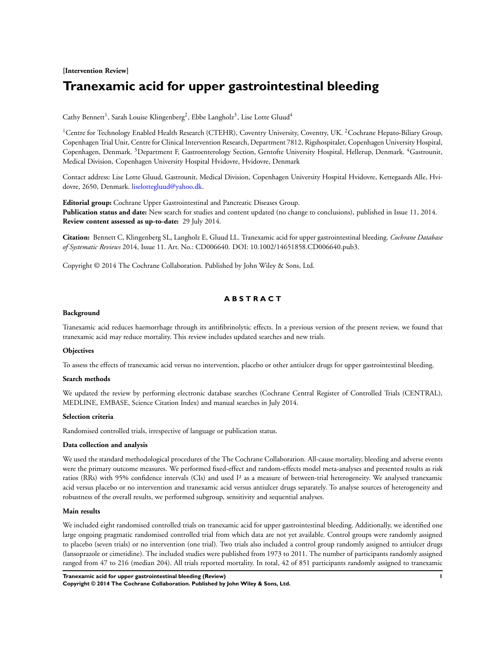## **[Intervention Review] Tranexamic acid for upper gastrointestinal bleeding**

Cathy Bennett<sup>1</sup>, Sarah Louise Klingenberg<sup>2</sup>, Ebbe Langholz<sup>3</sup>, Lise Lotte Gluud<sup>4</sup>

<sup>1</sup>Centre for Technology Enabled Health Research (CTEHR), Coventry University, Coventry, UK. <sup>2</sup>Cochrane Hepato-Biliary Group, Copenhagen Trial Unit, Centre for Clinical Intervention Research, Department 7812, Rigshospitalet, Copenhagen University Hospital, Copenhagen, Denmark. <sup>3</sup>Department F, Gastroenterology Section, Gentofte University Hospital, Hellerup, Denmark. <sup>4</sup>Gastrounit, Medical Division, Copenhagen University Hospital Hvidovre, Hvidovre, Denmark

Contact address: Lise Lotte Gluud, Gastrounit, Medical Division, Copenhagen University Hospital Hvidovre, Kettegaards Alle, Hvidovre, 2650, Denmark. [liselottegluud@yahoo.dk.](mailto:liselottegluud@yahoo.dk)

**Editorial group:** Cochrane Upper Gastrointestinal and Pancreatic Diseases Group. **Publication status and date:** New search for studies and content updated (no change to conclusions), published in Issue 11, 2014. **Review content assessed as up-to-date:** 29 July 2014.

**Citation:** Bennett C, Klingenberg SL, Langholz E, Gluud LL. Tranexamic acid for upper gastrointestinal bleeding. *Cochrane Database of Systematic Reviews* 2014, Issue 11. Art. No.: CD006640. DOI: 10.1002/14651858.CD006640.pub3.

Copyright © 2014 The Cochrane Collaboration. Published by John Wiley & Sons, Ltd.

## **A B S T R A C T**

#### **Background**

Tranexamic acid reduces haemorrhage through its antifibrinolytic effects. In a previous version of the present review, we found that tranexamic acid may reduce mortality. This review includes updated searches and new trials.

#### **Objectives**

To assess the effects of tranexamic acid versus no intervention, placebo or other antiulcer drugs for upper gastrointestinal bleeding.

#### **Search methods**

We updated the review by performing electronic database searches (Cochrane Central Register of Controlled Trials (CENTRAL), MEDLINE, EMBASE, Science Citation Index) and manual searches in July 2014.

#### **Selection criteria**

Randomised controlled trials, irrespective of language or publication status.

#### **Data collection and analysis**

We used the standard methodological procedures of the The Cochrane Collaboration. All-cause mortality, bleeding and adverse events were the primary outcome measures. We performed fixed-effect and random-effects model meta-analyses and presented results as risk ratios (RRs) with 95% confidence intervals (CIs) and used I² as a measure of between-trial heterogeneity. We analysed tranexamic acid versus placebo or no intervention and tranexamic acid versus antiulcer drugs separately. To analyse sources of heterogeneity and robustness of the overall results, we performed subgroup, sensitivity and sequential analyses.

#### **Main results**

We included eight randomised controlled trials on tranexamic acid for upper gastrointestinal bleeding. Additionally, we identified one large ongoing pragmatic randomised controlled trial from which data are not yet available. Control groups were randomly assigned to placebo (seven trials) or no intervention (one trial). Two trials also included a control group randomly assigned to antiulcer drugs (lansoprazole or cimetidine). The included studies were published from 1973 to 2011. The number of participants randomly assigned ranged from 47 to 216 (median 204). All trials reported mortality. In total, 42 of 851 participants randomly assigned to tranexamic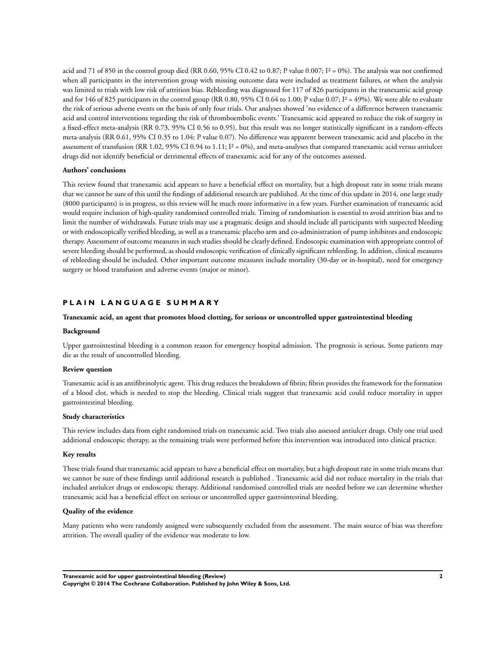acid and 71 of 850 in the control group died (RR 0.60, 95% CI 0.42 to 0.87; P value 0.007; I<sup>2</sup> = 0%). The analysis was not confirmed when all participants in the intervention group with missing outcome data were included as treatment failures, or when the analysis was limited to trials with low risk of attrition bias. Rebleeding was diagnosed for 117 of 826 participants in the tranexamic acid group and for 146 of 825 participants in the control group (RR 0.80, 95% CI 0.64 to 1.00; P value 0.07; I<sup>2</sup> = 49%). We were able to evaluate the risk of serious adverse events on the basis of only four trials. Our analyses showed 'no evidence of a difference between tranexamic acid and control interventions regarding the risk of thromboembolic events.' Tranexamic acid appeared to reduce the risk of surgery in a fixed-effect meta-analysis (RR 0.73, 95% CI 0.56 to 0.95), but this result was no longer statistically significant in a random-effects meta-analysis (RR 0.61, 95% CI 0.35 to 1.04; P value 0.07). No difference was apparent between tranexamic acid and placebo in the assessment of transfusion (RR 1.02, 95% CI 0.94 to 1.11;  $I^2 = 0\%$ ), and meta-analyses that compared tranexamic acid versus antiulcer drugs did not identify beneficial or detrimental effects of tranexamic acid for any of the outcomes assessed.

#### **Authors' conclusions**

This review found that tranexamic acid appears to have a beneficial effect on mortality, but a high dropout rate in some trials means that we cannot be sure of this until the findings of additional research are published. At the time of this update in 2014, one large study (8000 participants) is in progress, so this review will be much more informative in a few years. Further examination of tranexamic acid would require inclusion of high-quality randomised controlled trials. Timing of randomisation is essential to avoid attrition bias and to limit the number of withdrawals. Future trials may use a pragmatic design and should include all participants with suspected bleeding or with endoscopically verified bleeding, as well as a tranexamic placebo arm and co-administration of pump inhibitors and endoscopic therapy. Assessment of outcome measures in such studies should be clearly defined. Endoscopic examination with appropriate control of severe bleeding should be performed, as should endoscopic verification of clinically significant rebleeding. In addition, clinical measures of rebleeding should be included. Other important outcome measures include mortality (30-day or in-hospital), need for emergency surgery or blood transfusion and adverse events (major or minor).

## **P L A I N L A N G U A G E S U M M A R Y**

#### **Tranexamic acid, an agent that promotes blood clotting, for serious or uncontrolled upper gastrointestinal bleeding**

#### **Background**

Upper gastrointestinal bleeding is a common reason for emergency hospital admission. The prognosis is serious. Some patients may die as the result of uncontrolled bleeding.

#### **Review question**

Tranexamic acid is an antifibrinolytic agent. This drug reduces the breakdown of fibrin; fibrin provides the framework for the formation of a blood clot, which is needed to stop the bleeding. Clinical trials suggest that tranexamic acid could reduce mortality in upper gastrointestinal bleeding.

#### **Study characteristics**

This review includes data from eight randomised trials on tranexamic acid. Two trials also assessed antiulcer drugs. Only one trial used additional endoscopic therapy, as the remaining trials were performed before this intervention was introduced into clinical practice.

#### **Key results**

These trials found that tranexamic acid appears to have a beneficial effect on mortality, but a high dropout rate in some trials means that we cannot be sure of these findings until additional research is published . Tranexamic acid did not reduce mortality in the trials that included antiulcer drugs or endoscopic therapy. Additional randomised controlled trials are needed before we can determine whether tranexamic acid has a beneficial effect on serious or uncontrolled upper gastrointestinal bleeding.

## **Quality of the evidence**

Many patients who were randomly assigned were subsequently excluded from the assessment. The main source of bias was therefore attrition. The overall quality of the evidence was moderate to low.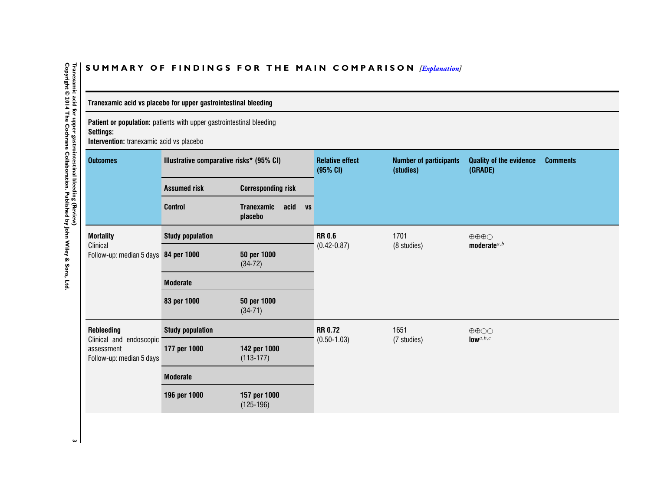## SUMMARY OF FINDINGS FOR THE MAIN COMPARISON *[\[Explanation\]](http://www.thecochranelibrary.com/view/0/SummaryFindings.html)*

## **Tranexamic acid vs placebo for upper gastrointestinal bleeding**

**Patient or population:** patients with upper gastrointestinal bleeding **Settings:**

**Intervention:** tranexamic acid vs placebo

| <b>Outcomes</b>                                                   | Illustrative comparative risks* (95% CI) |                                                   | <b>Relative effect</b><br>(95% CI) | <b>Number of participants</b><br>(studies) | <b>Quality of the evidence</b><br><b>Comments</b><br>(GRADE) |  |
|-------------------------------------------------------------------|------------------------------------------|---------------------------------------------------|------------------------------------|--------------------------------------------|--------------------------------------------------------------|--|
|                                                                   | <b>Assumed risk</b>                      | <b>Corresponding risk</b>                         |                                    |                                            |                                                              |  |
|                                                                   | <b>Control</b>                           | acid<br><b>Tranexamic</b><br><b>VS</b><br>placebo |                                    |                                            |                                                              |  |
| <b>Mortality</b>                                                  | <b>Study population</b>                  |                                                   | <b>RR 0.6</b>                      | 1701                                       | $\oplus \oplus \oplus \bigcirc$                              |  |
| Clinical<br>Follow-up: median 5 days 84 per 1000                  |                                          | 50 per 1000<br>$(34-72)$                          | $(0.42 - 0.87)$                    | (8 studies)                                | moderate $a,b$                                               |  |
|                                                                   | <b>Moderate</b>                          |                                                   |                                    |                                            |                                                              |  |
|                                                                   | 83 per 1000                              | 50 per 1000<br>$(34-71)$                          |                                    |                                            |                                                              |  |
| Rebleeding                                                        | <b>Study population</b>                  |                                                   | <b>RR 0.72</b>                     | 1651                                       | $\oplus \oplus \odot \odot$                                  |  |
| Clinical and endoscopic<br>assessment<br>Follow-up: median 5 days | 177 per 1000                             | 142 per 1000<br>$(113-177)$                       | $(0.50 - 1.03)$                    | (7 studies)                                | $low$ <sup><math>a,b,c</math></sup>                          |  |
|                                                                   | <b>Moderate</b>                          |                                                   |                                    |                                            |                                                              |  |
|                                                                   | 196 per 1000                             | 157 per 1000<br>$(125-196)$                       |                                    |                                            |                                                              |  |

<span id="page-5-0"></span>Tranexamic acid for upper gastrointestinal bleeding (Review)<br>Copyright © 2014 The Cochrane Collaboration. Published by John Wiley & Sons, Ltd **Copyright © 2014 The Cochrane Collaboration. Published by John Wiley & Sons, Ltd.3 Tranexamic acid for upper gastrointestinal bleeding (Review)**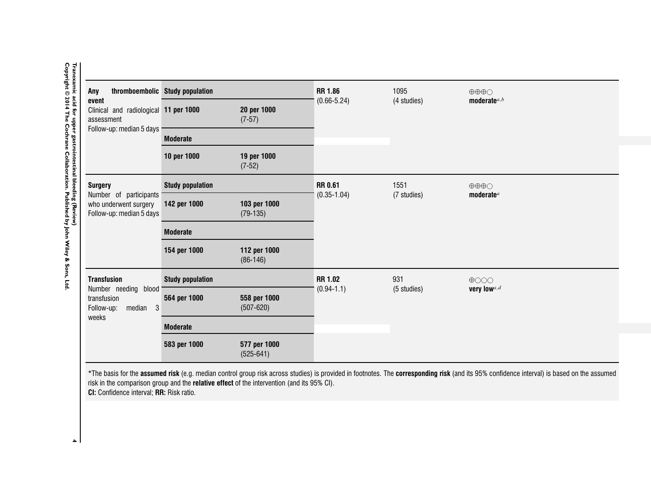| Any<br>event<br>Clinical and radiological 11 per 1000<br>assessment<br>Follow-up: median 5 days | thromboembolic Study population |                                                                                            | <b>RR 1.86</b>  | 1095        | $\oplus \oplus \oplus \bigcirc$                                                                                                                                                            |
|-------------------------------------------------------------------------------------------------|---------------------------------|--------------------------------------------------------------------------------------------|-----------------|-------------|--------------------------------------------------------------------------------------------------------------------------------------------------------------------------------------------|
|                                                                                                 |                                 | 20 per 1000<br>$(7-57)$                                                                    | $(0.66 - 5.24)$ | (4 studies) | moderate $a,b$                                                                                                                                                                             |
|                                                                                                 | <b>Moderate</b>                 |                                                                                            |                 |             |                                                                                                                                                                                            |
|                                                                                                 | 10 per 1000                     | 19 per 1000<br>$(7-52)$                                                                    |                 |             |                                                                                                                                                                                            |
| <b>Surgery</b>                                                                                  | <b>Study population</b>         |                                                                                            | <b>RR 0.61</b>  | 1551        | $\oplus \oplus \oplus \bigcirc$                                                                                                                                                            |
| Number of participants<br>who underwent surgery<br>Follow-up: median 5 days                     | 142 per 1000                    | 103 per 1000<br>$(79-135)$                                                                 | $(0.35 - 1.04)$ | (7 studies) | moderate <sup>a</sup>                                                                                                                                                                      |
|                                                                                                 | <b>Moderate</b>                 |                                                                                            |                 |             |                                                                                                                                                                                            |
|                                                                                                 | 154 per 1000                    | 112 per 1000<br>$(86-146)$                                                                 |                 |             |                                                                                                                                                                                            |
| <b>Transfusion</b>                                                                              | <b>Study population</b>         |                                                                                            | <b>RR 1.02</b>  | 931         | $\bigoplus$ OOO                                                                                                                                                                            |
| Number needing blood<br>transfusion<br>$\mathbf{3}$<br>Follow-up:<br>median                     | 564 per 1000                    | 558 per 1000<br>$(507 - 620)$                                                              | $(0.94 - 1.1)$  | (5 studies) | very low <sup>a,d</sup>                                                                                                                                                                    |
| weeks                                                                                           | <b>Moderate</b>                 |                                                                                            |                 |             |                                                                                                                                                                                            |
|                                                                                                 | 583 per 1000                    | 577 per 1000<br>$(525-641)$                                                                |                 |             |                                                                                                                                                                                            |
|                                                                                                 |                                 | risk in the comparison group and the relative effect of the intervention (and its 95% CI). |                 |             | *The basis for the assumed risk (e.g. median control group risk across studies) is provided in footnotes. The corresponding risk (and its 95% confidence interval) is based on the assumed |

Tranexamic acid for upper gastrointestinal bleeding (Review)<br>Copyright © 2014 The Cochrane Collaboration. Published by John Wiley & Sons, Ltd. **Copyright © 2014 The Cochrane Collaboration. Published by John Wiley & Sons, Ltd.**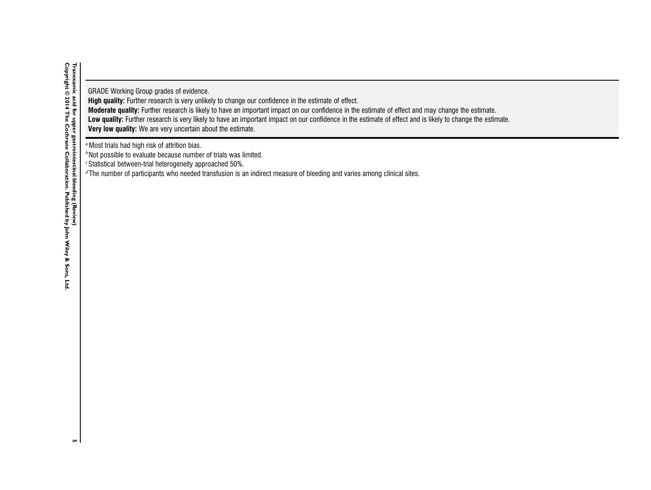GRADE Working Group grades of evidence.

**High quality:** Further research is very unlikely to change our confidence in the estimate of effect.

**Moderate quality:** Further research is likely to have an important impact on our confidence in the estimate of effect and may change the estimate.

Low quality: Further research is very likely to have an important impact on our confidence in the estimate of effect and is likely to change the estimate.

**Very low quality:** We are very uncertain about the estimate.

<sup>a</sup>Most trials had high risk of attrition bias.

 $<sup>b</sup>$ Not possible to evaluate because number of trials was limited.</sup>

 $c$ Statistical between-trial heterogeneity approached 50%.

 ${}^d$ The number of participants who needed transfusion is an indirect measure of bleeding and varies among clinical sites.

 $\mathbf{u}$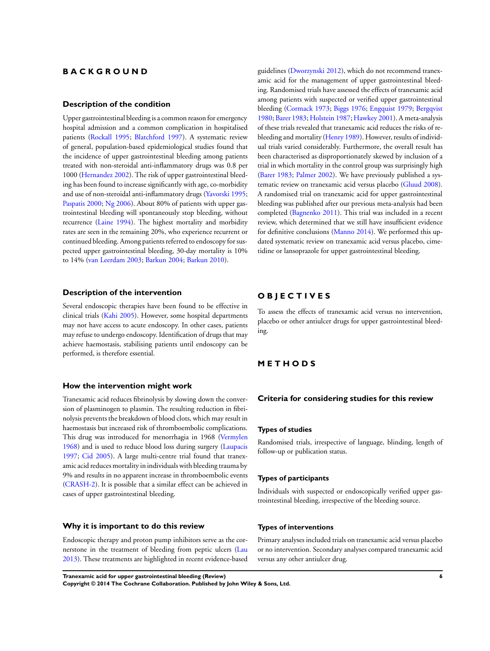## **B A C K G R O U N D**

#### **Description of the condition**

Upper gastrointestinal bleeding is a common reason for emergency hospital admission and a common complication in hospitalised patients ([Rockall 1995;](#page-23-0) [Blatchford 1997\)](#page-23-0). A systematic review of general, population-based epidemiological studies found that the incidence of upper gastrointestinal bleeding among patients treated with non-steroidal anti-inflammatory drugs was 0.8 per 1000 ([Hernandez 2002](#page-23-0)). The risk of upper gastrointestinal bleeding has been found to increase significantly with age, co-morbidity and use of non-steroidal anti-inflammatory drugs [\(Yavorski 1995;](#page-23-0) [Paspatis 2000;](#page-23-0) [Ng 2006](#page-23-0)). About 80% of patients with upper gastrointestinal bleeding will spontaneously stop bleeding, without recurrence ([Laine 1994](#page-23-0)). The highest mortality and morbidity rates are seen in the remaining 20%, who experience recurrent or continued bleeding. Among patients referred to endoscopy for suspected upper gastrointestinal bleeding, 30-day mortality is 10% to 14% [\(van Leerdam 2003](#page-23-0); [Barkun 2004;](#page-23-0) [Barkun 2010\)](#page-23-0).

#### **Description of the intervention**

Several endoscopic therapies have been found to be effective in clinical trials [\(Kahi 2005\)](#page-23-0). However, some hospital departments may not have access to acute endoscopy. In other cases, patients may refuse to undergo endoscopy. Identification of drugs that may achieve haemostasis, stabilising patients until endoscopy can be performed, is therefore essential.

#### **How the intervention might work**

Tranexamic acid reduces fibrinolysis by slowing down the conversion of plasminogen to plasmin. The resulting reduction in fibrinolysis prevents the breakdown of blood clots, which may result in haemostasis but increased risk of thromboembolic complications. This drug was introduced for menorrhagia in 1968 ([Vermylen](#page-23-0) [1968](#page-23-0)) and is used to reduce blood loss during surgery ([Laupacis](#page-23-0) [1997](#page-23-0); [Cid 2005](#page-23-0)). A large multi-centre trial found that tranexamic acid reduces mortality in individuals with bleeding trauma by 9% and results in no apparent increase in thromboembolic events [\(CRASH-2\)](#page-23-0). It is possible that a similar effect can be achieved in cases of upper gastrointestinal bleeding.

#### **Why it is important to do this review**

Endoscopic therapy and proton pump inhibitors serve as the cornerstone in the treatment of bleeding from peptic ulcers ([Lau](#page-23-0) [2013](#page-23-0)). These treatments are highlighted in recent evidence-based

guidelines ([Dworzynski 2012\)](#page-23-0), which do not recommend tranexamic acid for the management of upper gastrointestinal bleeding. Randomised trials have assessed the effects of tranexamic acid among patients with suspected or verified upper gastrointestinal bleeding [\(Cormack 1973;](#page-23-0) [Biggs 1976;](#page-23-0) [Engquist 1979](#page-23-0); [Bergqvist](#page-23-0) [1980](#page-23-0); [Barer 1983;](#page-23-0) [Holstein 1987](#page-23-0); [Hawkey 2001](#page-23-0)). A meta-analysis of these trials revealed that tranexamic acid reduces the risks of rebleeding and mortality [\(Henry 1989](#page-23-0)). However, results of individual trials varied considerably. Furthermore, the overall result has been characterised as disproportionately skewed by inclusion of a trial in which mortality in the control group was surprisingly high [\(Barer 1983](#page-23-0); [Palmer 2002\)](#page-23-0). We have previously published a systematic review on tranexamic acid versus placebo ([Gluud 2008](#page-23-0)). A randomised trial on tranexamic acid for upper gastrointestinal bleeding was published after our previous meta-analysis had been completed [\(Bagnenko 2011](#page-23-0)). This trial was included in a recent review, which determined that we still have insufficient evidence for definitive conclusions ([Manno 2014](#page-23-0)). We performed this updated systematic review on tranexamic acid versus placebo, cimetidine or lansoprazole for upper gastrointestinal bleeding.

## **O B J E C T I V E S**

To assess the effects of tranexamic acid versus no intervention, placebo or other antiulcer drugs for upper gastrointestinal bleeding.

## **M E T H O D S**

#### **Criteria for considering studies for this review**

#### **Types of studies**

Randomised trials, irrespective of language, blinding, length of follow-up or publication status.

#### **Types of participants**

Individuals with suspected or endoscopically verified upper gastrointestinal bleeding, irrespective of the bleeding source.

#### **Types of interventions**

Primary analyses included trials on tranexamic acid versus placebo or no intervention. Secondary analyses compared tranexamic acid versus any other antiulcer drug.

**Tranexamic acid for upper gastrointestinal bleeding (Review) 6 Copyright © 2014 The Cochrane Collaboration. Published by John Wiley & Sons, Ltd.**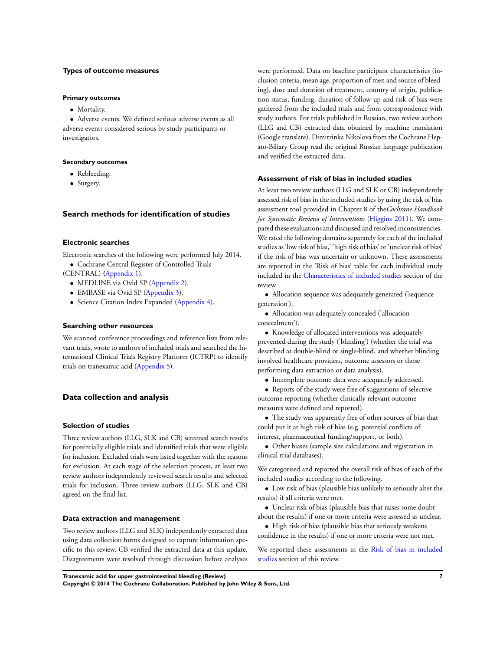#### **Types of outcome measures**

#### **Primary outcomes**

• Mortality.

• Adverse events. We defined serious adverse events as all adverse events considered serious by study participants or investigators.

#### **Secondary outcomes**

- Rebleeding.
- Surgery.

#### **Search methods for identification of studies**

#### **Electronic searches**

Electronic searches of the following were performed July 2014.

- Cochrane Central Register of Controlled Trials
- (CENTRAL) **(**[Appendix 1\)](#page-59-0).
	- MEDLINE via Ovid SP ([Appendix 2](#page-60-0)).
	- EMBASE via Ovid SP [\(Appendix 3\)](#page-60-0).
	- Science Citation Index Expanded [\(Appendix 4\)](#page-61-0).

#### **Searching other resources**

We scanned conference proceedings and reference lists from relevant trials, wrote to authors of included trials and searched the International Clinical Trials Registry Platform (ICTRP) to identify trials on tranexamic acid [\(Appendix 5\)](#page-61-0).

#### **Data collection and analysis**

#### **Selection of studies**

Three review authors (LLG, SLK and CB) screened search results for potentially eligible trials and identified trials that were eligible for inclusion. Excluded trials were listed together with the reasons for exclusion. At each stage of the selection process, at least two review authors independently reviewed search results and selected trials for inclusion. Three review authors (LLG, SLK and CB) agreed on the final list.

#### **Data extraction and management**

Two review authors (LLG and SLK) independently extracted data using data collection forms designed to capture information specific to this review. CB verified the extracted data at this update. Disagreements were resolved through discussion before analyses were performed. Data on baseline participant characteristics (inclusion criteria, mean age, proportion of men and source of bleeding), dose and duration of treatment, country of origin, publication status, funding, duration of follow-up and risk of bias were gathered from the included trials and from correspondence with study authors. For trials published in Russian, two review authors (LLG and CB) extracted data obtained by machine translation (Google translate). Dimitrinka Nikolova from the Cochrane Hepato-Biliary Group read the original Russian language publication and verified the extracted data.

#### **Assessment of risk of bias in included studies**

At least two review authors (LLG and SLK or CB) independently assessed risk of bias in the included studies by using the risk of bias assessment tool provided in Chapter 8 of the*Cochrane Handbook for Systematic Reviews of Interventions* [\(Higgins 2011\)](#page-23-0). We compared these evaluations and discussed and resolved inconsistencies. We rated the following domains separately for each of the included studies as 'low risk of bias,' 'high risk of bias' or 'unclear risk of bias' if the risk of bias was uncertain or unknown. These assessments are reported in the 'Risk of bias' table for each individual study included in the [Characteristics of included studies](#page-26-0) section of the review.

• Allocation sequence was adequately generated ('sequence generation').

• Allocation was adequately concealed ('allocation concealment').

• Knowledge of allocated interventions was adequately prevented during the study ('blinding') (whether the trial was described as double-blind or single-blind, and whether blinding involved healthcare providers, outcome assessors or those performing data extraction or data analysis).

- Incomplete outcome data were adequately addressed.
- Reports of the study were free of suggestions of selective outcome reporting (whether clinically relevant outcome measures were defined and reported).
- The study was apparently free of other sources of bias that could put it at high risk of bias (e.g. potential conflicts of interest, pharmaceutical funding/support, or both).
- Other biases (sample size calculations and registration in clinical trial databases).

We categorised and reported the overall risk of bias of each of the included studies according to the following.

• Low risk of bias (plausible bias unlikely to seriously alter the results) if all criteria were met.

- Unclear risk of bias (plausible bias that raises some doubt
- about the results) if one or more criteria were assessed as unclear. • High risk of bias (plausible bias that seriously weakens

confidence in the results) if one or more criteria were not met.

We reported these assessments in the [Risk of bias in included](#page-13-0) [studies](#page-13-0) section of this review.

**Tranexamic acid for upper gastrointestinal bleeding (Review) 7**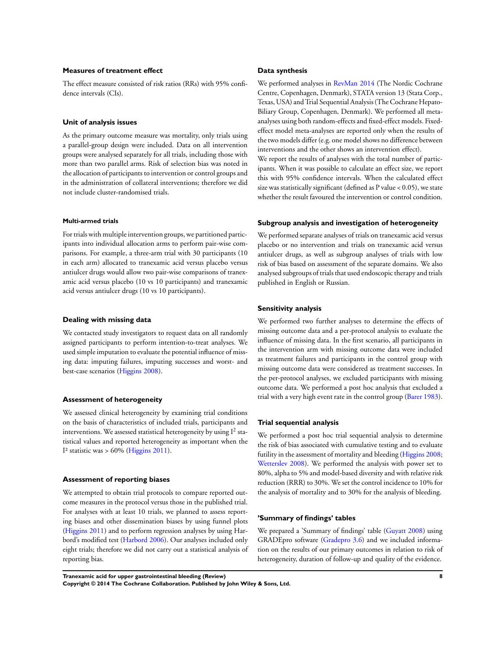#### **Measures of treatment effect**

The effect measure consisted of risk ratios (RRs) with 95% confidence intervals (CIs).

#### **Unit of analysis issues**

As the primary outcome measure was mortality, only trials using a parallel-group design were included. Data on all intervention groups were analysed separately for all trials, including those with more than two parallel arms. Risk of selection bias was noted in the allocation of participants to intervention or control groups and in the administration of collateral interventions; therefore we did not include cluster-randomised trials.

#### **Multi-armed trials**

For trials with multiple intervention groups, we partitioned participants into individual allocation arms to perform pair-wise comparisons. For example, a three-arm trial with 30 participants (10 in each arm) allocated to tranexamic acid versus placebo versus antiulcer drugs would allow two pair-wise comparisons of tranexamic acid versus placebo (10 vs 10 participants) and tranexamic acid versus antiulcer drugs (10 vs 10 participants).

#### **Dealing with missing data**

We contacted study investigators to request data on all randomly assigned participants to perform intention-to-treat analyses. We used simple imputation to evaluate the potential influence of missing data: imputing failures, imputing successes and worst- and best-case scenarios ([Higgins 2008\)](#page-23-0).

#### **Assessment of heterogeneity**

We assessed clinical heterogeneity by examining trial conditions on the basis of characteristics of included trials, participants and interventions. We assessed statistical heterogeneity by using  ${\rm I}^2$  statistical values and reported heterogeneity as important when the I<sup>2</sup> statistic was  $> 60\%$  [\(Higgins 2011\)](#page-23-0).

#### **Assessment of reporting biases**

We attempted to obtain trial protocols to compare reported outcome measures in the protocol versus those in the published trial. For analyses with at least 10 trials, we planned to assess reporting biases and other dissemination biases by using funnel plots [\(Higgins 2011\)](#page-23-0) and to perform regression analyses by using Harbord's modified test [\(Harbord 2006\)](#page-23-0). Our analyses included only eight trials; therefore we did not carry out a statistical analysis of reporting bias.

#### **Data synthesis**

We performed analyses in [RevMan 2014](#page-23-0) (The Nordic Cochrane Centre, Copenhagen, Denmark), STATA version 13 (Stata Corp., Texas, USA) and Trial Sequential Analysis (The Cochrane Hepato-Biliary Group, Copenhagen, Denmark). We performed all metaanalyses using both random-effects and fixed-effect models. Fixedeffect model meta-analyses are reported only when the results of the two models differ (e.g. one model shows no difference between interventions and the other shows an intervention effect).

We report the results of analyses with the total number of participants. When it was possible to calculate an effect size, we report this with 95% confidence intervals. When the calculated effect size was statistically significant (defined as  $P$  value  $< 0.05$ ), we state whether the result favoured the intervention or control condition.

#### **Subgroup analysis and investigation of heterogeneity**

We performed separate analyses of trials on tranexamic acid versus placebo or no intervention and trials on tranexamic acid versus antiulcer drugs, as well as subgroup analyses of trials with low risk of bias based on assessment of the separate domains. We also analysed subgroups of trials that used endoscopic therapy and trials published in English or Russian.

#### **Sensitivity analysis**

We performed two further analyses to determine the effects of missing outcome data and a per-protocol analysis to evaluate the influence of missing data. In the first scenario, all participants in the intervention arm with missing outcome data were included as treatment failures and participants in the control group with missing outcome data were considered as treatment successes. In the per-protocol analyses, we excluded participants with missing outcome data. We performed a post hoc analysis that excluded a trial with a very high event rate in the control group ([Barer 1983](#page-23-0)).

#### **Trial sequential analysis**

We performed a post hoc trial sequential analysis to determine the risk of bias associated with cumulative testing and to evaluate futility in the assessment of mortality and bleeding ([Higgins 2008;](#page-23-0) [Wetterslev 2008](#page-23-0)). We performed the analysis with power set to 80%, alpha to 5% and model-based diversity and with relative risk reduction (RRR) to 30%. We set the control incidence to 10% for the analysis of mortality and to 30% for the analysis of bleeding.

#### **'Summary of findings' tables**

We prepared a 'Summary of findings' table [\(Guyatt 2008](#page-23-0)) using GRADEpro software ([Gradepro 3.6](#page-23-0)) and we included information on the results of our primary outcomes in relation to risk of heterogeneity, duration of follow-up and quality of the evidence.

**Tranexamic acid for upper gastrointestinal bleeding (Review) 8 Copyright © 2014 The Cochrane Collaboration. Published by John Wiley & Sons, Ltd.**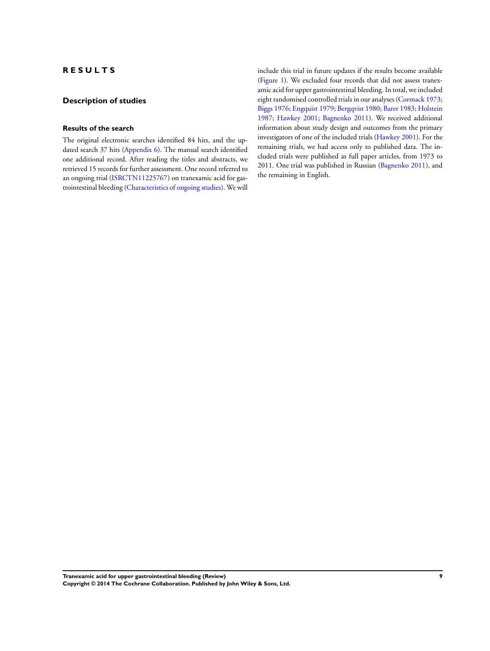## **R E S U L T S**

## **Description of studies**

#### **Results of the search**

The original electronic searches identified 84 hits, and the updated search 37 hits [\(Appendix 6\)](#page-62-0). The manual search identified one additional record. After reading the titles and abstracts, we retrieved 15 records for further assessment. One record referred to an ongoing trial ([ISRCTN11225767\)](#page-23-0) on tranexamic acid for gastrointestinal bleeding ([Characteristics of ongoing studies\)](#page-36-0). We will

include this trial in future updates if the results become available [\(Figure 1](#page-12-0)). We excluded four records that did not assess tranexamic acid for upper gastrointestinal bleeding. In total, we included eight randomised controlled trials in our analyses [\(Cormack 1973;](#page-23-0) [Biggs 1976](#page-23-0); [Engquist 1979](#page-23-0); [Bergqvist 1980](#page-23-0); [Barer 1983](#page-23-0); [Holstein](#page-23-0) [1987](#page-23-0); [Hawkey 2001;](#page-23-0) [Bagnenko 2011](#page-23-0)). We received additional information about study design and outcomes from the primary investigators of one of the included trials ([Hawkey 2001](#page-23-0)). For the remaining trials, we had access only to published data. The included trials were published as full paper articles, from 1973 to 2011. One trial was published in Russian ([Bagnenko 2011\)](#page-23-0), and the remaining in English.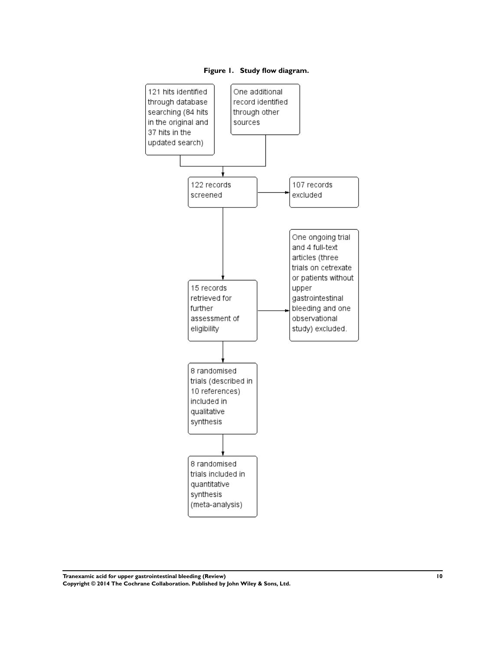

<span id="page-12-0"></span>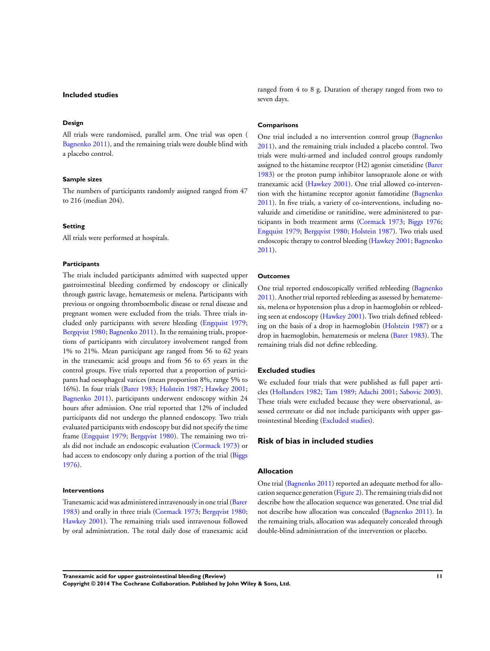#### <span id="page-13-0"></span>**Included studies**

#### **Design**

All trials were randomised, parallel arm. One trial was open ( [Bagnenko 2011\)](#page-23-0), and the remaining trials were double blind with a placebo control.

#### **Sample sizes**

The numbers of participants randomly assigned ranged from 47 to 216 (median 204).

#### **Setting**

All trials were performed at hospitals.

#### **Participants**

The trials included participants admitted with suspected upper gastrointestinal bleeding confirmed by endoscopy or clinically through gastric lavage, hematemesis or melena. Participants with previous or ongoing thromboembolic disease or renal disease and pregnant women were excluded from the trials. Three trials included only participants with severe bleeding [\(Engquist 1979;](#page-23-0) [Bergqvist 1980](#page-23-0); [Bagnenko 2011](#page-23-0)). In the remaining trials, proportions of participants with circulatory involvement ranged from 1% to 21%. Mean participant age ranged from 56 to 62 years in the tranexamic acid groups and from 56 to 65 years in the control groups. Five trials reported that a proportion of participants had oesophageal varices (mean proportion 8%, range 5% to 16%). In four trials [\(Barer 1983](#page-23-0); [Holstein 1987;](#page-23-0) [Hawkey 2001;](#page-23-0) [Bagnenko 2011](#page-23-0)), participants underwent endoscopy within 24 hours after admission. One trial reported that 12% of included participants did not undergo the planned endoscopy. Two trials evaluated participants with endoscopy but did not specify the time frame ([Engquist 1979](#page-23-0); [Bergqvist 1980\)](#page-23-0). The remaining two trials did not include an endoscopic evaluation ([Cormack 1973\)](#page-23-0) or had access to endoscopy only during a portion of the trial ([Biggs](#page-23-0) [1976](#page-23-0)).

#### **Interventions**

Tranexamic acid was administered intravenously in one trial [\(Barer](#page-23-0) [1983](#page-23-0)) and orally in three trials ([Cormack 1973](#page-23-0); [Bergqvist 1980;](#page-23-0) [Hawkey 2001\)](#page-23-0). The remaining trials used intravenous followed by oral administration. The total daily dose of tranexamic acid ranged from 4 to 8 g. Duration of therapy ranged from two to seven days.

#### **Comparisons**

One trial included a no intervention control group ([Bagnenko](#page-23-0) [2011](#page-23-0)), and the remaining trials included a placebo control. Two trials were multi-armed and included control groups randomly assigned to the histamine receptor (H2) agonist cimetidine ([Barer](#page-23-0) [1983](#page-23-0)) or the proton pump inhibitor lansoprazole alone or with tranexamic acid [\(Hawkey 2001\)](#page-23-0). One trial allowed co-intervention with the histamine receptor agonist famotidine ([Bagnenko](#page-23-0) [2011](#page-23-0)). In five trials, a variety of co-interventions, including novaluzide and cimetidine or ranitidine, were administered to participants in both treatment arms ([Cormack 1973](#page-23-0); [Biggs 1976;](#page-23-0) [Engquist 1979;](#page-23-0) [Bergqvist 1980](#page-23-0); [Holstein 1987\)](#page-23-0). Two trials used endoscopic therapy to control bleeding [\(Hawkey 2001](#page-23-0); [Bagnenko](#page-23-0) [2011](#page-23-0)).

#### **Outcomes**

One trial reported endoscopically verified rebleeding ([Bagnenko](#page-23-0) [2011](#page-23-0)). Another trial reported rebleeding as assessed by hematemesis, melena or hypotension plus a drop in haemoglobin or rebleeding seen at endoscopy [\(Hawkey 2001\)](#page-23-0). Two trials defined rebleeding on the basis of a drop in haemoglobin [\(Holstein 1987\)](#page-23-0) or a drop in haemoglobin, hematemesis or melena ([Barer 1983\)](#page-23-0). The remaining trials did not define rebleeding.

#### **Excluded studies**

We excluded four trials that were published as full paper articles [\(Hollanders 1982](#page-23-0); [Tam 1989](#page-23-0); [Adachi 2001](#page-23-0); [Sabovic 2003](#page-23-0)). These trials were excluded because they were observational, assessed certrexate or did not include participants with upper gastrointestinal bleeding (Excluded studies).

#### **Risk of bias in included studies**

#### **Allocation**

One trial [\(Bagnenko 2011\)](#page-23-0) reported an adequate method for allocation sequence generation ([Figure 2\)](#page-14-0). The remaining trials did not describe how the allocation sequence was generated. One trial did not describe how allocation was concealed [\(Bagnenko 2011\)](#page-23-0). In the remaining trials, allocation was adequately concealed through double-blind administration of the intervention or placebo.

**Tranexamic acid for upper gastrointestinal bleeding (Review) 11**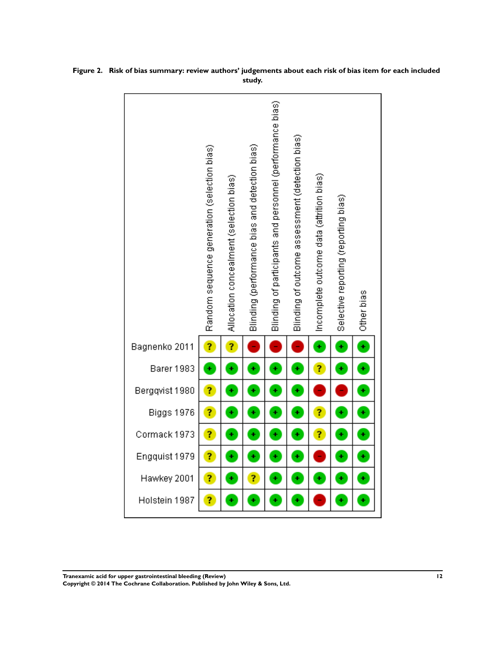|                | Random sequence generation (selection bias) | Allocation concealment (selection bias) | Blinding (performance bias and detection bias) | Blinding of participants and personnel (performance bias) | Blinding of outcome assessment (detection bias) | (Incomplete outcome data (attrition bias) | Selective reporting (reporting bias) | Other bias |
|----------------|---------------------------------------------|-----------------------------------------|------------------------------------------------|-----------------------------------------------------------|-------------------------------------------------|-------------------------------------------|--------------------------------------|------------|
| Bagnenko 2011  | ?                                           | 7                                       |                                                |                                                           |                                                 | Ŧ                                         | ÷                                    | ÷          |
| Barer 1983     | ÷                                           | ٠                                       | ÷                                              | ÷                                                         | ÷                                               | ?                                         | ٠                                    | ÷          |
| Bergqvist 1980 | ?                                           | ٠                                       | ٠                                              | ÷                                                         | ÷                                               |                                           |                                      | ÷          |
| Biggs 1976     | ?                                           | ٠                                       | ÷                                              | ÷                                                         | ÷                                               | Ĩ,                                        | ÷                                    | ÷          |
| Cormack 1973   | ?                                           | ÷                                       | ÷                                              | ÷                                                         | ÷                                               | Ĩ,                                        | ÷                                    | ÷          |
| Engquist 1979  | ?                                           | ٠                                       | ÷                                              | ÷                                                         | ÷                                               |                                           | ÷                                    | $\ddot{}$  |
| Hawkey 2001    | ?                                           | ٠                                       | ?                                              | ÷                                                         | ÷                                               | ٠                                         | ٠                                    | ÷          |
| Holstein 1987  | 7                                           | ٠                                       | ÷                                              | ÷                                                         | ¥                                               |                                           | ÷                                    | ¥          |

<span id="page-14-0"></span>

**Tranexamic acid for upper gastrointestinal bleeding (Review) 12**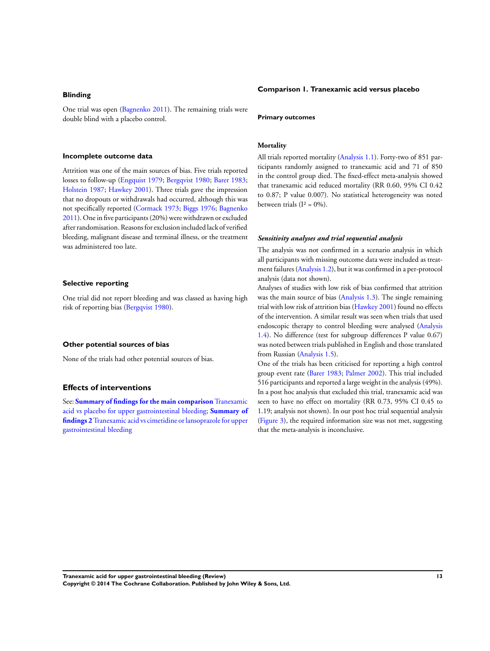#### **Blinding**

One trial was open [\(Bagnenko 2011\)](#page-23-0). The remaining trials were double blind with a placebo control.

#### **Incomplete outcome data**

Attrition was one of the main sources of bias. Five trials reported losses to follow-up [\(Engquist 1979;](#page-23-0) [Bergqvist 1980](#page-23-0); [Barer 1983;](#page-23-0) [Holstein 1987;](#page-23-0) [Hawkey 2001](#page-23-0)). Three trials gave the impression that no dropouts or withdrawals had occurred, although this was not specifically reported [\(Cormack 1973;](#page-23-0) [Biggs 1976;](#page-23-0) [Bagnenko](#page-23-0) [2011](#page-23-0)). One in five participants (20%) were withdrawn or excluded after randomisation. Reasonsfor exclusion included lack of verified bleeding, malignant disease and terminal illness, or the treatment was administered too late.

#### **Selective reporting**

One trial did not report bleeding and was classed as having high risk of reporting bias [\(Bergqvist 1980\)](#page-23-0).

#### **Other potential sources of bias**

None of the trials had other potential sources of bias.

#### **Effects of interventions**

See: **[Summary of findings for the main comparison](#page-5-0)** [Tranexamic](#page-5-0) [acid vs placebo for upper gastrointestinal bleeding;](#page-5-0) **[Summary of](#page-19-0) [findings 2](#page-19-0)**[Tranexamic acid vs cimetidine or lansoprazole for upper](#page-19-0) [gastrointestinal bleeding](#page-19-0)

#### **Comparison 1. Tranexamic acid versus placebo**

#### **Primary outcomes**

#### **Mortality**

All trials reported mortality [\(Analysis 1.1](#page-39-0)). Forty-two of 851 participants randomly assigned to tranexamic acid and 71 of 850 in the control group died. The fixed-effect meta-analysis showed that tranexamic acid reduced mortality (RR 0.60, 95% CI 0.42 to 0.87; P value 0.007). No statistical heterogeneity was noted between trials  $(I^2 = 0\%)$ .

#### *Sensitivity analyses and trial sequential analysis*

The analysis was not confirmed in a scenario analysis in which all participants with missing outcome data were included as treatment failures [\(Analysis 1.2](#page-40-0)), but it was confirmed in a per-protocol analysis (data not shown).

Analyses of studies with low risk of bias confirmed that attrition was the main source of bias [\(Analysis 1.3](#page-40-0)). The single remaining trial with low risk of attrition bias ([Hawkey 2001\)](#page-23-0) found no effects of the intervention. A similar result was seen when trials that used endoscopic therapy to control bleeding were analysed ([Analysis](#page-43-0) [1.4](#page-43-0)). No difference (test for subgroup differences P value 0.67) was noted between trials published in English and those translated from Russian [\(Analysis 1.5](#page-44-0)).

One of the trials has been criticised for reporting a high control group event rate [\(Barer 1983](#page-23-0); [Palmer 2002](#page-23-0)). This trial included 516 participants and reported a large weight in the analysis (49%). In a post hoc analysis that excluded this trial, tranexamic acid was seen to have no effect on mortality (RR 0.73, 95% CI 0.45 to 1.19; analysis not shown). In our post hoc trial sequential analysis [\(Figure 3\)](#page-16-0), the required information size was not met, suggesting that the meta-analysis is inconclusive.

**Tranexamic acid for upper gastrointestinal bleeding (Review) 13 Copyright © 2014 The Cochrane Collaboration. Published by John Wiley & Sons, Ltd.**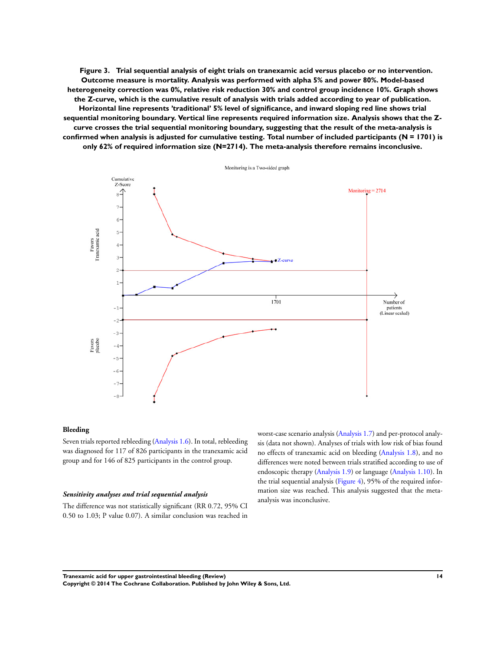<span id="page-16-0"></span>**Figure 3. Trial sequential analysis of eight trials on tranexamic acid versus placebo or no intervention. Outcome measure is mortality. Analysis was performed with alpha 5% and power 80%. Model-based heterogeneity correction was 0%, relative risk reduction 30% and control group incidence 10%. Graph shows the Z-curve, which is the cumulative result of analysis with trials added according to year of publication. Horizontal line represents 'traditional' 5% level of significance, and inward sloping red line shows trial sequential monitoring boundary. Vertical line represents required information size. Analysis shows that the Zcurve crosses the trial sequential monitoring boundary, suggesting that the result of the meta-analysis is confirmed when analysis is adjusted for cumulative testing. Total number of included participants (N = 1701) is only 62% of required information size (N=2714). The meta-analysis therefore remains inconclusive.**



#### **Bleeding**

Seven trials reported rebleeding [\(Analysis 1.6](#page-45-0)). In total, rebleeding was diagnosed for 117 of 826 participants in the tranexamic acid group and for 146 of 825 participants in the control group.

#### *Sensitivity analyses and trial sequential analysis*

The difference was not statistically significant (RR 0.72, 95% CI 0.50 to 1.03; P value 0.07). A similar conclusion was reached in

worst-case scenario analysis [\(Analysis 1.7\)](#page-46-0) and per-protocol analysis (data not shown). Analyses of trials with low risk of bias found no effects of tranexamic acid on bleeding [\(Analysis 1.8\)](#page-47-0), and no differences were noted between trials stratified according to use of endoscopic therapy [\(Analysis 1.9\)](#page-49-0) or language [\(Analysis 1.10](#page-50-0)). In the trial sequential analysis ([Figure 4](#page-17-0)), 95% of the required information size was reached. This analysis suggested that the metaanalysis was inconclusive.

**Tranexamic acid for upper gastrointestinal bleeding (Review) 14 Copyright © 2014 The Cochrane Collaboration. Published by John Wiley & Sons, Ltd.**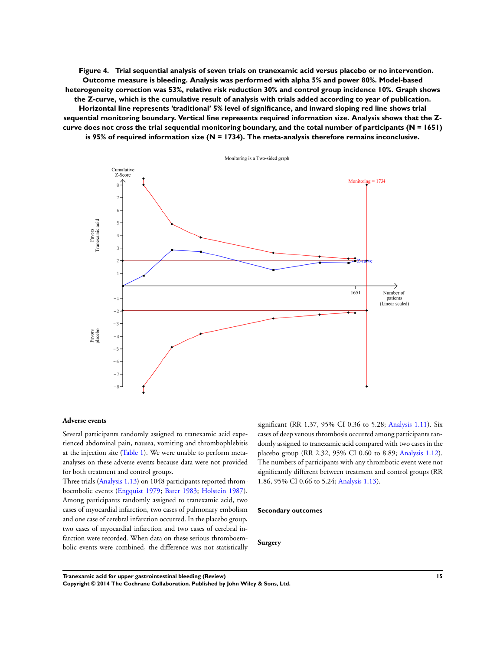<span id="page-17-0"></span>**Figure 4. Trial sequential analysis of seven trials on tranexamic acid versus placebo or no intervention. Outcome measure is bleeding. Analysis was performed with alpha 5% and power 80%. Model-based heterogeneity correction was 53%, relative risk reduction 30% and control group incidence 10%. Graph shows the Z-curve, which is the cumulative result of analysis with trials added according to year of publication. Horizontal line represents 'traditional' 5% level of significance, and inward sloping red line shows trial sequential monitoring boundary. Vertical line represents required information size. Analysis shows that the Zcurve does not cross the trial sequential monitoring boundary, and the total number of participants (N = 1651) is 95% of required information size (N = 1734). The meta-analysis therefore remains inconclusive.**



#### **Adverse events**

Several participants randomly assigned to tranexamic acid experienced abdominal pain, nausea, vomiting and thrombophlebitis at the injection site ([Table 1\)](#page-58-0). We were unable to perform metaanalyses on these adverse events because data were not provided for both treatment and control groups.

Three trials [\(Analysis 1.13](#page-53-0)) on 1048 participants reported thromboembolic events [\(Engquist 1979](#page-23-0); [Barer 1983;](#page-23-0) [Holstein 1987](#page-23-0)). Among participants randomly assigned to tranexamic acid, two cases of myocardial infarction, two cases of pulmonary embolism and one case of cerebral infarction occurred. In the placebo group, two cases of myocardial infarction and two cases of cerebral infarction were recorded. When data on these serious thromboembolic events were combined, the difference was not statistically

significant (RR 1.37, 95% CI 0.36 to 5.28; [Analysis 1.11\)](#page-51-0). Six cases of deep venous thrombosis occurred among participants randomly assigned to tranexamic acid compared with two cases in the placebo group (RR 2.32, 95% CI 0.60 to 8.89; [Analysis 1.12](#page-52-0)). The numbers of participants with any thrombotic event were not significantly different between treatment and control groups (RR 1.86, 95% CI 0.66 to 5.24; [Analysis 1.13\)](#page-53-0).

#### **Secondary outcomes**

**Surgery**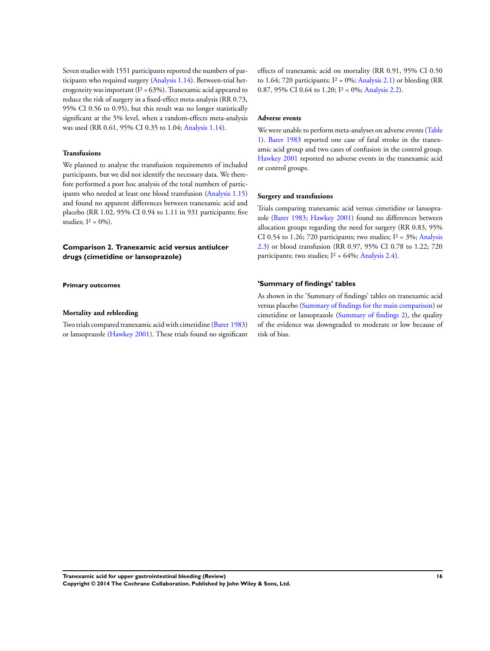Seven studies with 1551 participants reported the numbers of participants who required surgery ([Analysis 1.14\)](#page-54-0). Between-trial heterogeneity was important ( $I^2 = 63\%$ ). Tranexamic acid appeared to reduce the risk of surgery in a fixed-effect meta-analysis (RR 0.73, 95% CI 0.56 to 0.95), but this result was no longer statistically significant at the 5% level, when a random-effects meta-analysis was used (RR 0.61, 95% CI 0.35 to 1.04; [Analysis 1.14](#page-54-0)).

#### **Transfusions**

We planned to analyse the transfusion requirements of included participants, but we did not identify the necessary data. We therefore performed a post hoc analysis of the total numbers of participants who needed at least one blood transfusion ([Analysis 1.15](#page-55-0)) and found no apparent differences between tranexamic acid and placebo (RR 1.02, 95% CI 0.94 to 1.11 in 931 participants; five studies;  $I^2 = 0\%$ ).

## **Comparison 2. Tranexamic acid versus antiulcer drugs (cimetidine or lansoprazole)**

**Primary outcomes**

#### **Mortality and rebleeding**

Two trials compared tranexamic acid with cimetidine ([Barer 1983](#page-23-0)) or lansoprazole [\(Hawkey 2001](#page-23-0)). These trials found no significant effects of tranexamic acid on mortality (RR 0.91, 95% CI 0.50 to 1.64; 720 participants;  $I^2 = 0\%$ ; [Analysis 2.1](#page-56-0)) or bleeding (RR 0.87, 95% CI 0.64 to 1.20;  $I^2 = 0\%$ ; [Analysis 2.2](#page-56-0)).

#### **Adverse events**

We were unable to perform meta-analyses on adverse events [\(Table](#page-58-0) [1\)](#page-58-0). [Barer 1983](#page-23-0) reported one case of fatal stroke in the tranexamic acid group and two cases of confusion in the control group. [Hawkey 2001](#page-23-0) reported no adverse events in the tranexamic acid or control groups.

#### **Surgery and transfusions**

Trials comparing tranexamic acid versus cimetidine or lansoprazole ([Barer 1983](#page-23-0); [Hawkey 2001](#page-23-0)) found no differences between allocation groups regarding the need for surgery (RR 0.83, 95% CI 0.54 to 1.26; 720 participants; two studies;  $I^2 = 3\%$ ; [Analysis](#page-57-0) [2.3](#page-57-0)) or blood transfusion (RR 0.97, 95% CI 0.78 to 1.22; 720 participants; two studies;  $I^2 = 64\%$ ; [Analysis 2.4](#page-58-0)).

#### **'Summary of findings' tables**

As shown in the 'Summary of findings' tables on tranexamic acid versus placebo [\(Summary of findings for the main comparison](#page-5-0)) or cimetidine or lansoprazole [\(Summary of findings 2\)](#page-19-0), the quality of the evidence was downgraded to moderate or low because of risk of bias.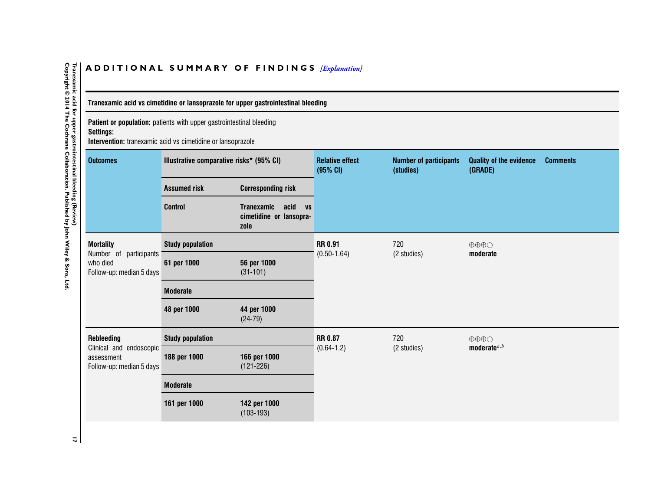## ADDITIONAL SUMMARY OF FINDINGS *[\[Explanation\]](http://www.thecochranelibrary.com/view/0/SummaryFindings.html)*

## **Tranexamic acid vs cimetidine or lansoprazole for upper gastrointestinal bleeding**

**Patient or population:** patients with upper gastrointestinal bleeding **Settings:**

**Intervention:** tranexamic acid vs cimetidine or lansoprazole

| <b>Outcomes</b>                                                                    | Illustrative comparative risks* (95% CI) |                                                                           | <b>Relative effect</b><br>(95% CI) | <b>Number of participants</b><br>(studies) | <b>Quality of the evidence</b><br>(GRADE) | <b>Comments</b> |
|------------------------------------------------------------------------------------|------------------------------------------|---------------------------------------------------------------------------|------------------------------------|--------------------------------------------|-------------------------------------------|-----------------|
|                                                                                    | <b>Assumed risk</b>                      | <b>Corresponding risk</b>                                                 |                                    |                                            |                                           |                 |
|                                                                                    | <b>Control</b>                           | <b>Tranexamic</b><br>acid<br><b>VS</b><br>cimetidine or lansopra-<br>zole |                                    |                                            |                                           |                 |
| <b>Mortality</b><br>Number of participants<br>who died<br>Follow-up: median 5 days | <b>Study population</b>                  |                                                                           | <b>RR 0.91</b>                     | 720                                        | $\oplus \oplus \oplus \bigcirc$           |                 |
|                                                                                    | 61 per 1000                              | 56 per 1000<br>$(31-101)$                                                 | $(0.50 - 1.64)$                    | (2 studies)                                | moderate                                  |                 |
|                                                                                    | <b>Moderate</b>                          |                                                                           |                                    |                                            |                                           |                 |
|                                                                                    | 48 per 1000                              | 44 per 1000<br>$(24-79)$                                                  |                                    |                                            |                                           |                 |
| <b>Rebleeding</b>                                                                  | <b>Study population</b>                  |                                                                           | <b>RR 0.87</b><br>720              |                                            | $\oplus \oplus \oplus \bigcirc$           |                 |
| Clinical and endoscopic<br>assessment<br>Follow-up: median 5 days                  | 188 per 1000                             | 166 per 1000<br>$(121 - 226)$                                             | $(0.64 - 1.2)$                     | (2 studies)                                | moderate $a,b$                            |                 |
|                                                                                    | <b>Moderate</b>                          |                                                                           |                                    |                                            |                                           |                 |
|                                                                                    | 161 per 1000                             | 142 per 1000<br>$(103-193)$                                               |                                    |                                            |                                           |                 |

<span id="page-19-0"></span>Tranexamic acid for upper gastrointestinal bleeding (Review)<br>Copyright © 2014 The Cochrane Collaboration. Published by John Wiley & Sons, Ltd **Copyright © 2014 The Cochrane Collaboration. Published by John Wiley & Sons, Ltd.17 Tranexamic acid for upper gastrointestinal bleeding (Review)**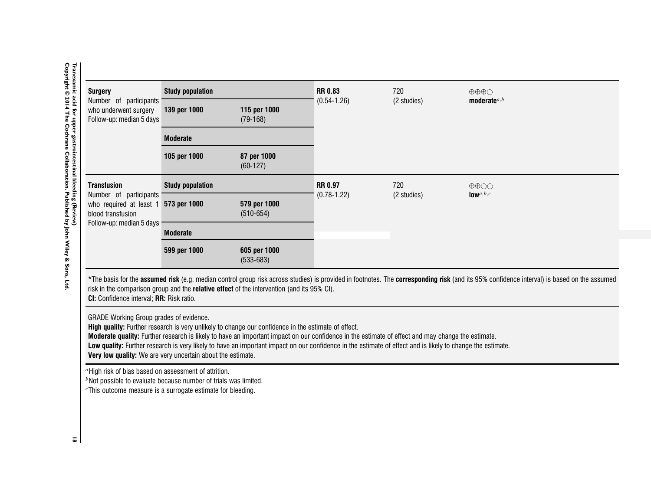| <b>Surgery</b>                                                                                                                                                                                                 | <b>Study population</b> |                                                                                                                                                                                                                                                                                                                                                                                                                        | <b>RR 0.83</b>  | 720         | $\oplus \oplus \oplus \bigcirc$                                                                                                                                                            |
|----------------------------------------------------------------------------------------------------------------------------------------------------------------------------------------------------------------|-------------------------|------------------------------------------------------------------------------------------------------------------------------------------------------------------------------------------------------------------------------------------------------------------------------------------------------------------------------------------------------------------------------------------------------------------------|-----------------|-------------|--------------------------------------------------------------------------------------------------------------------------------------------------------------------------------------------|
| Number of participants<br>who underwent surgery<br>Follow-up: median 5 days                                                                                                                                    | 139 per 1000            | 115 per 1000<br>$(79-168)$                                                                                                                                                                                                                                                                                                                                                                                             | $(0.54 - 1.26)$ | (2 studies) | moderate $a,b$                                                                                                                                                                             |
|                                                                                                                                                                                                                | <b>Moderate</b>         |                                                                                                                                                                                                                                                                                                                                                                                                                        |                 |             |                                                                                                                                                                                            |
|                                                                                                                                                                                                                | 105 per 1000            | 87 per 1000<br>$(60-127)$                                                                                                                                                                                                                                                                                                                                                                                              |                 |             |                                                                                                                                                                                            |
| <b>Transfusion</b>                                                                                                                                                                                             | <b>Study population</b> |                                                                                                                                                                                                                                                                                                                                                                                                                        | <b>RR 0.97</b>  | 720         | $\oplus \oplus \bigcirc \bigcirc$                                                                                                                                                          |
| Number of participants<br>who required at least 1 573 per 1000<br>blood transfusion<br>Follow-up: median 5 days                                                                                                |                         | 579 per 1000<br>$(510 - 654)$                                                                                                                                                                                                                                                                                                                                                                                          | $(0.78 - 1.22)$ | (2 studies) | $low$ <sup><math>a,b,c</math></sup>                                                                                                                                                        |
|                                                                                                                                                                                                                | <b>Moderate</b>         |                                                                                                                                                                                                                                                                                                                                                                                                                        |                 |             |                                                                                                                                                                                            |
|                                                                                                                                                                                                                | 599 per 1000            | 605 per 1000<br>$(533 - 683)$                                                                                                                                                                                                                                                                                                                                                                                          |                 |             |                                                                                                                                                                                            |
| CI: Confidence interval; RR: Risk ratio.                                                                                                                                                                       |                         | risk in the comparison group and the relative effect of the intervention (and its 95% CI).                                                                                                                                                                                                                                                                                                                             |                 |             | *The basis for the assumed risk (e.g. median control group risk across studies) is provided in footnotes. The corresponding risk (and its 95% confidence interval) is based on the assumed |
| GRADE Working Group grades of evidence.<br>Very low quality: We are very uncertain about the estimate.                                                                                                         |                         | High quality: Further research is very unlikely to change our confidence in the estimate of effect.<br>Moderate quality: Further research is likely to have an important impact on our confidence in the estimate of effect and may change the estimate.<br>Low quality: Further research is very likely to have an important impact on our confidence in the estimate of effect and is likely to change the estimate. |                 |             |                                                                                                                                                                                            |
| "High risk of bias based on assessment of attrition.<br><sup>b</sup> Not possible to evaluate because number of trials was limited.<br><sup>c</sup> This outcome measure is a surrogate estimate for bleeding. |                         |                                                                                                                                                                                                                                                                                                                                                                                                                        |                 |             |                                                                                                                                                                                            |

 $\bar{z}$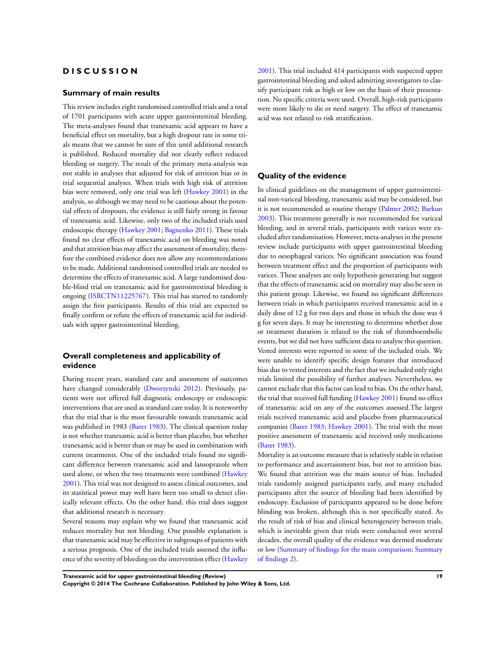## **D I S C U S S I O N**

#### **Summary of main results**

This review includes eight randomised controlled trials and a total of 1701 participants with acute upper gastrointestinal bleeding. The meta-analyses found that tranexamic acid appears to have a beneficial effect on mortality, but a high dropout rate in some trials means that we cannot be sure of this until additional research is published. Reduced mortality did not clearly reflect reduced bleeding or surgery. The result of the primary meta-analysis was not stable in analyses that adjusted for risk of attrition bias or in trial sequential analyses. When trials with high risk of attrition bias were removed, only one trial was left [\(Hawkey 2001](#page-23-0)) in the analysis, so although we may need to be cautious about the potential effects of dropouts, the evidence is still fairly strong in favour of tranexamic acid. Likewise, only two of the included trials used endoscopic therapy ([Hawkey 2001](#page-23-0); [Bagnenko 2011\)](#page-23-0). These trials found no clear effects of tranexamic acid on bleeding was noted and that attrition bias may affect the assessment of mortality, therefore the combined evidence does not allow any recommendations to be made. Additional randomised controlled trials are needed to determine the effects of tranexamic acid. A large randomised double-blind trial on tranexamic acid for gastrointestinal bleeding is ongoing ([ISRCTN11225767\)](#page-23-0). This trial has started to randomly assign the first participants. Results of this trial are expected to finally confirm or refute the effects of tranexamic acid for individuals with upper gastrointestinal bleeding.

## **Overall completeness and applicability of evidence**

During recent years, standard care and assessment of outcomes have changed considerably [\(Dworzynski 2012](#page-23-0)). Previously, patients were not offered full diagnostic endoscopy or endoscopic interventions that are used as standard care today. It is noteworthy that the trial that is the most favourable towards tranexamic acid was published in 1983 ([Barer 1983\)](#page-23-0). The clinical question today is not whether tranexamic acid is better than placebo, but whether tranexamic acid is better than or may be used in combination with current treatments. One of the included trials found no significant difference between tranexamic acid and lansoprazole when used alone, or when the two treatments were combined ([Hawkey](#page-23-0) [2001](#page-23-0)). This trial was not designed to assess clinical outcomes, and its statistical power may well have been too small to detect clinically relevant effects. On the other hand, this trial does suggest that additional research is necessary.

Several reasons may explain why we found that tranexamic acid reduces mortality but not bleeding. One possible explanation is that tranexamic acid may be effective in subgroups of patients with a serious prognosis. One of the included trials assessed the influence of the severity of bleeding on the intervention effect ([Hawkey](#page-23-0)

[2001](#page-23-0)). This trial included 414 participants with suspected upper gastrointestinal bleeding and asked admitting investigators to classify participant risk as high or low on the basis of their presentation. No specific criteria were used. Overall, high-risk participants were more likely to die or need surgery. The effect of tranexamic acid was not related to risk stratification.

#### **Quality of the evidence**

In clinical guidelines on the management of upper gastrointestinal non-variceal bleeding, tranexamic acid may be considered, but it is not recommended as routine therapy [\(Palmer 2002;](#page-23-0) [Barkun](#page-23-0) [2003](#page-23-0)). This treatment generally is not recommended for variceal bleeding, and in several trials, participants with varices were excluded after randomisation. However, meta-analyses in the present review include participants with upper gastrointestinal bleeding due to oesophageal varices. No significant association was found between treatment effect and the proportion of participants with varices. These analyses are only hypothesis generating but suggest that the effects of tranexamic acid on mortality may also be seen in this patient group. Likewise, we found no significant differences between trials in which participants received tranexamic acid in a daily dose of 12 g for two days and those in which the dose was 4 g for seven days. It may be interesting to determine whether dose or treatment duration is related to the risk of thromboembolic events, but we did not have sufficient data to analyse this question. Vested interests were reported in some of the included trials. We were unable to identify specific design features that introduced bias due to vested interests and the fact that we included only eight trials limited the possibility of further analyses. Nevertheless, we cannot exclude that this factor can lead to bias. On the other hand, the trial that received full funding ([Hawkey 2001](#page-23-0)) found no effect of tranexamic acid on any of the outcomes assessed.The largest trials received tranexamic acid and placebo from pharmaceutical companies [\(Barer 1983](#page-23-0); [Hawkey 2001](#page-23-0)). The trial with the most positive assessment of tranexamic acid received only medications [\(Barer 1983\)](#page-23-0).

Mortality is an outcome measure that is relatively stable in relation to performance and ascertainment bias, but not to attrition bias. We found that attrition was the main source of bias. Included trials randomly assigned participants early, and many excluded participants after the source of bleeding had been identified by endoscopy. Exclusion of participants appeared to be done before blinding was broken, although this is not specifically stated. As the result of risk of bias and clinical heterogeneity between trials, which is inevitable given that trials were conducted over several decades, the overall quality of the evidence was deemed moderate or low ([Summary of findings for the main comparison](#page-5-0); [Summary](#page-19-0) [of findings 2](#page-19-0)).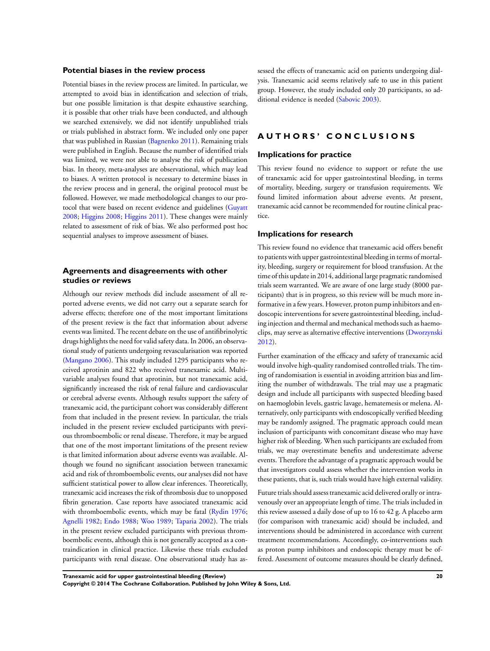#### **Potential biases in the review process**

Potential biases in the review process are limited. In particular, we attempted to avoid bias in identification and selection of trials, but one possible limitation is that despite exhaustive searching, it is possible that other trials have been conducted, and although we searched extensively, we did not identify unpublished trials or trials published in abstract form. We included only one paper that was published in Russian ([Bagnenko 2011](#page-23-0)). Remaining trials were published in English. Because the number of identified trials was limited, we were not able to analyse the risk of publication bias. In theory, meta-analyses are observational, which may lead to biases. A written protocol is necessary to determine biases in the review process and in general, the original protocol must be followed. However, we made methodological changes to our protocol that were based on recent evidence and guidelines ([Guyatt](#page-23-0) [2008](#page-23-0); [Higgins 2008;](#page-23-0) [Higgins 2011\)](#page-23-0). These changes were mainly related to assessment of risk of bias. We also performed post hoc sequential analyses to improve assessment of biases.

## **Agreements and disagreements with other studies or reviews**

Although our review methods did include assessment of all reported adverse events, we did not carry out a separate search for adverse effects; therefore one of the most important limitations of the present review is the fact that information about adverse events was limited. The recent debate on the use of antifibrinolytic drugs highlights the need for valid safety data. In 2006, an observational study of patients undergoing revascularisation was reported [\(Mangano 2006](#page-23-0)). This study included 1295 participants who received aprotinin and 822 who received tranexamic acid. Multivariable analyses found that aprotinin, but not tranexamic acid, significantly increased the risk of renal failure and cardiovascular or cerebral adverse events. Although results support the safety of tranexamic acid, the participant cohort was considerably different from that included in the present review. In particular, the trials included in the present review excluded participants with previous thromboembolic or renal disease. Therefore, it may be argued that one of the most important limitations of the present review is that limited information about adverse events was available. Although we found no significant association between tranexamic acid and risk of thromboembolic events, our analyses did not have sufficient statistical power to allow clear inferences. Theoretically, tranexamic acid increases the risk of thrombosis due to unopposed fibrin generation. Case reports have associated tranexamic acid with thromboembolic events, which may be fatal ([Rydin 1976;](#page-23-0) [Agnelli 1982;](#page-23-0) [Endo 1988](#page-23-0); [Woo 1989](#page-23-0); [Taparia 2002\)](#page-23-0). The trials in the present review excluded participants with previous thromboembolic events, although this is not generally accepted as a contraindication in clinical practice. Likewise these trials excluded participants with renal disease. One observational study has as-

sessed the effects of tranexamic acid on patients undergoing dialysis. Tranexamic acid seems relatively safe to use in this patient group. However, the study included only 20 participants, so additional evidence is needed ([Sabovic 2003](#page-23-0)).

#### **A U T H O R S ' C O N C L U S I O N S**

#### **Implications for practice**

This review found no evidence to support or refute the use of tranexamic acid for upper gastrointestinal bleeding, in terms of mortality, bleeding, surgery or transfusion requirements. We found limited information about adverse events. At present, tranexamic acid cannot be recommended for routine clinical practice.

#### **Implications for research**

This review found no evidence that tranexamic acid offers benefit to patients with upper gastrointestinal bleeding in terms of mortality, bleeding, surgery or requirement for blood transfusion. At the time of this update in 2014, additional large pragmatic randomised trials seem warranted. We are aware of one large study (8000 participants) that is in progress, so this review will be much more informative in a few years. However, proton pump inhibitors and endoscopic interventions for severe gastrointestinal bleeding, including injection and thermal and mechanical methods such as haemoclips, may serve as alternative effective interventions [\(Dworzynski](#page-23-0) [2012](#page-23-0)).

Further examination of the efficacy and safety of tranexamic acid would involve high-quality randomised controlled trials. The timing of randomisation is essential in avoiding attrition bias and limiting the number of withdrawals. The trial may use a pragmatic design and include all participants with suspected bleeding based on haemoglobin levels, gastric lavage, hematemesis or melena. Alternatively, only participants with endoscopically verified bleeding may be randomly assigned. The pragmatic approach could mean inclusion of participants with concomitant disease who may have higher risk of bleeding. When such participants are excluded from trials, we may overestimate benefits and underestimate adverse events. Therefore the advantage of a pragmatic approach would be that investigators could assess whether the intervention works in these patients, that is, such trials would have high external validity.

Future trials should assess tranexamic acid delivered orally or intravenously over an appropriate length of time. The trials included in this review assessed a daily dose of up to 16 to 42 g. A placebo arm (for comparison with tranexamic acid) should be included, and interventions should be administered in accordance with current treatment recommendations. Accordingly, co-interventions such as proton pump inhibitors and endoscopic therapy must be offered. Assessment of outcome measures should be clearly defined,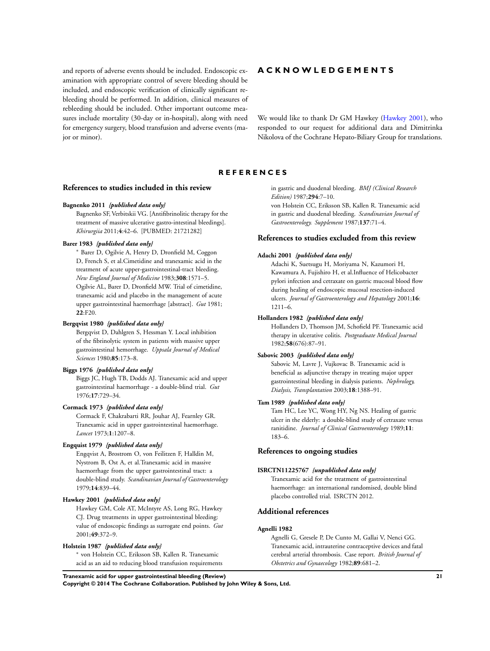<span id="page-23-0"></span>and reports of adverse events should be included. Endoscopic examination with appropriate control of severe bleeding should be included, and endoscopic verification of clinically significant rebleeding should be performed. In addition, clinical measures of rebleeding should be included. Other important outcome measures include mortality (30-day or in-hospital), along with need for emergency surgery, blood transfusion and adverse events (major or minor).

## **A C K N O W L E D G E M E N T S**

We would like to thank Dr GM Hawkey (Hawkey 2001), who responded to our request for additional data and Dimitrinka Nikolova of the Cochrane Hepato-Biliary Group for translations.

#### **R E F E R E N C E S**

## **References to studies included in this review**

#### **Bagnenko 2011** *{published data only}*

Bagnenko SF, Verbitskii VG. [Antifibrinolitic therapy for the treatment of massive ulcerative gastro-intestinal bleedings]. *Khirurgiia* 2011;**4**:42–6. [PUBMED: 21721282]

#### **Barer 1983** *{published data only}*

<sup>∗</sup> Barer D, Ogilvie A, Henry D, Dronfield M, Coggon D, French S, et al.Cimetidine and tranexamic acid in the treatment of acute upper-gastrointestinal-tract bleeding. *New England Journal of Medicine* 1983;**308**:1571–5. Ogilvie AL, Barer D, Dronfield MW. Trial of cimetidine, tranexamic acid and placebo in the management of acute upper gastrointestinal haemorrhage [abstract]. *Gut* 1981; **22**:F20.

#### **Bergqvist 1980** *{published data only}*

Bergqvist D, Dahlgren S, Hessman Y. Local inhibition of the fibrinolytic system in patients with massive upper gastrointestinal hemorrhage. *Uppsala Journal of Medical Sciences* 1980;**85**:173–8.

#### **Biggs 1976** *{published data only}*

Biggs JC, Hugh TB, Dodds AJ. Tranexamic acid and upper gastrointestinal haemorrhage - a double-blind trial. *Gut* 1976;**17**:729–34.

#### **Cormack 1973** *{published data only}*

Cormack F, Chakrabarti RR, Jouhar AJ, Fearnley GR. Tranexamic acid in upper gastrointestinal haemorrhage. *Lancet* 1973;**1**:1207–8.

#### **Engquist 1979** *{published data only}*

Engqvist A, Brostrom O, von Feilitzen F, Halldin M, Nystrom B, Ost A, et al.Tranexamic acid in massive haemorrhage from the upper gastrointestinal tract: a double-blind study. *Scandinavian Journal of Gastroenterology* 1979;**14**:839–44.

#### **Hawkey 2001** *{published data only}*

Hawkey GM, Cole AT, McIntyre AS, Long RG, Hawkey CJ. Drug treatments in upper gastrointestinal bleeding: value of endoscopic findings as surrogate end points. *Gut* 2001;**49**:372–9.

#### **Holstein 1987** *{published data only}*

∗ von Holstein CC, Eriksson SB, Kallen R. Tranexamic acid as an aid to reducing blood transfusion requirements in gastric and duodenal bleeding. *BMJ (Clinical Research Edition)* 1987;**294**:7–10.

von Holstein CC, Eriksson SB, Kallen R. Tranexamic acid in gastric and duodenal bleeding. *Scandinavian Journal of Gastroenterology. Supplement* 1987;**137**:71–4.

#### **References to studies excluded from this review**

#### **Adachi 2001** *{published data only}*

Adachi K, Suetsugu H, Moriyama N, Kazumori H, Kawamura A, Fujishiro H, et al.Influence of Helicobacter pylori infection and cetraxate on gastric mucosal blood flow during healing of endoscopic mucosal resection-induced ulcers. *Journal of Gastroenterology and Hepatology* 2001;**16**: 1211–6.

#### **Hollanders 1982** *{published data only}*

Hollanders D, Thomson JM, Schofield PF. Tranexamic acid therapy in ulcerative colitis. *Postgraduate Medical Journal* 1982;**58**(676):87–91.

#### **Sabovic 2003** *{published data only}*

Sabovic M, Lavre J, Vujkovac B. Tranexamic acid is beneficial as adjunctive therapy in treating major upper gastrointestinal bleeding in dialysis patients. *Nephrology, Dialysis, Transplantation* 2003;**18**:1388–91.

#### **Tam 1989** *{published data only}*

Tam HC, Lee YC, Wong HY, Ng NS. Healing of gastric ulcer in the elderly: a double-blind study of cetraxate versus ranitidine. *Journal of Clinical Gastroenterology* 1989;**11**: 183–6.

#### **References to ongoing studies**

#### **ISRCTN11225767** *{unpublished data only}*

Tranexamic acid for the treatment of gastrointestinal haemorrhage: an international randomised, double blind placebo controlled trial. ISRCTN 2012.

#### **Additional references**

## **Agnelli 1982**

Agnelli G, Gresele P, De Cunto M, Gallai V, Nenci GG. Tranexamic acid, intrauterine contraceptive devices and fatal cerebral arterial thrombosis. Case report. *British Journal of Obstetrics and Gynaecology* 1982;**89**:681–2.

**Tranexamic acid for upper gastrointestinal bleeding (Review) 21 Copyright © 2014 The Cochrane Collaboration. Published by John Wiley & Sons, Ltd.**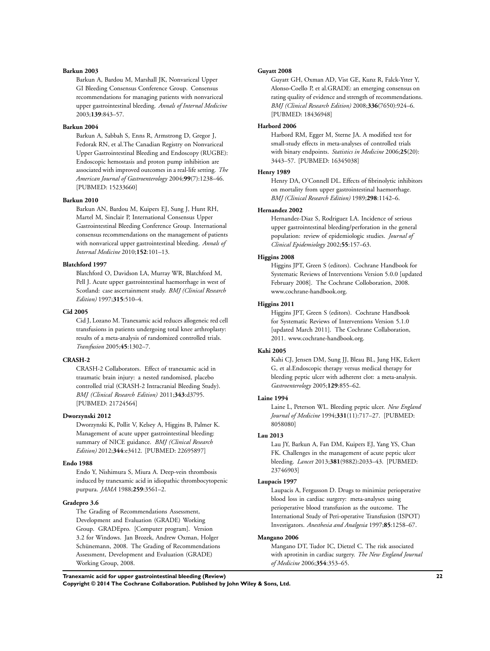#### **Barkun 2003**

Barkun A, Bardou M, Marshall JK, Nonvariceal Upper GI Bleeding Consensus Conference Group. Consensus recommendations for managing patients with nonvariceal upper gastrointestinal bleeding. *Annals of Internal Medicine* 2003;**139**:843–57.

#### **Barkun 2004**

Barkun A, Sabbah S, Enns R, Armstrong D, Gregor J, Fedorak RN, et al.The Canadian Registry on Nonvariceal Upper Gastrointestinal Bleeding and Endoscopy (RUGBE): Endoscopic hemostasis and proton pump inhibition are associated with improved outcomes in a real-life setting. *The American Journal of Gastroenterology* 2004;**99**(7):1238–46. [PUBMED: 15233660]

#### **Barkun 2010**

Barkun AN, Bardou M, Kuipers EJ, Sung J, Hunt RH, Martel M, Sinclair P, International Consensus Upper Gastrointestinal Bleeding Conference Group. International consensus recommendations on the management of patients with nonvariceal upper gastrointestinal bleeding. *Annals of Internal Medicine* 2010;**152**:101–13.

#### **Blatchford 1997**

Blatchford O, Davidson LA, Murray WR, Blatchford M, Pell J. Acute upper gastrointestinal haemorrhage in west of Scotland: case ascertainment study. *BMJ (Clinical Research Edition)* 1997;**315**:510–4.

#### **Cid 2005**

Cid J, Lozano M. Tranexamic acid reduces allogeneic red cell transfusions in patients undergoing total knee arthroplasty: results of a meta-analysis of randomized controlled trials. *Transfusion* 2005;**45**:1302–7.

#### **CRASH-2**

CRASH-2 Collaborators. Effect of tranexamic acid in traumatic brain injury: a nested randomised, placebo controlled trial (CRASH-2 Intracranial Bleeding Study). *BMJ (Clinical Research Edition)* 2011;**343**:d3795. [PUBMED: 21724564]

#### **Dworzynski 2012**

Dworzynski K, Pollit V, Kelsey A, Higgins B, Palmer K. Management of acute upper gastrointestinal bleeding: summary of NICE guidance. *BMJ (Clinical Research Edition)* 2012;**344**:e3412. [PUBMED: 22695897]

#### **Endo 1988**

Endo Y, Nishimura S, Miura A. Deep-vein thrombosis induced by tranexamic acid in idiopathic thrombocytopenic purpura. *JAMA* 1988;**259**:3561–2.

#### **Gradepro 3.6**

The Grading of Recommendations Assessment, Development and Evaluation (GRADE) Working Group. GRADEpro. [Computer program]. Version 3.2 for Windows. Jan Brozek, Andrew Oxman, Holger Schünemann, 2008. The Grading of Recommendations Assessment, Development and Evaluation (GRADE) Working Group, 2008.

#### **Guyatt 2008**

Guyatt GH, Oxman AD, Vist GE, Kunz R, Falck-Ytter Y, Alonso-Coello P, et al.GRADE: an emerging consensus on rating quality of evidence and strength of recommendations. *BMJ (Clinical Research Edition)* 2008;**336**(7650):924–6. [PUBMED: 18436948]

#### **Harbord 2006**

Harbord RM, Egger M, Sterne JA. A modified test for small-study effects in meta-analyses of controlled trials with binary endpoints. *Statistics in Medicine* 2006;**25**(20): 3443–57. [PUBMED: 16345038]

#### **Henry 1989**

Henry DA, O'Connell DL. Effects of fibrinolytic inhibitors on mortality from upper gastrointestinal haemorrhage. *BMJ (Clinical Research Edition)* 1989;**298**:1142–6.

#### **Hernandez 2002**

Hernandez-Diaz S, Rodriguez LA. Incidence of serious upper gastrointestinal bleeding/perforation in the general population: review of epidemiologic studies. *Journal of Clinical Epidemiology* 2002;**55**:157–63.

#### **Higgins 2008**

Higgins JPT, Green S (editors). Cochrane Handbook for Systematic Reviews of Interventions Version 5.0.0 [updated February 2008]. The Cochrane Colloboration, 2008. www.cochrane-handbook.org.

#### **Higgins 2011**

Higgins JPT, Green S (editors). Cochrane Handbook for Systematic Reviews of Interventions Version 5.1.0 [updated March 2011]. The Cochrane Collaboration, 2011. www.cochrane-handbook.org.

#### **Kahi 2005**

Kahi CJ, Jensen DM, Sung JJ, Bleau BL, Jung HK, Eckert G, et al.Endoscopic therapy versus medical therapy for bleeding peptic ulcer with adherent clot: a meta-analysis. *Gastroenterology* 2005;**129**:855–62.

#### **Laine 1994**

Laine L, Peterson WL. Bleeding peptic ulcer. *New England Journal of Medicine* 1994;**331**(11):717–27. [PUBMED: 8058080]

#### **Lau 2013**

Lau JY, Barkun A, Fan DM, Kuipers EJ, Yang YS, Chan FK. Challenges in the management of acute peptic ulcer bleeding. *Lancet* 2013;**381**(9882):2033–43. [PUBMED: 23746903]

#### **Laupacis 1997**

Laupacis A, Fergusson D. Drugs to minimize perioperative blood loss in cardiac surgery: meta-analyses using perioperative blood transfusion as the outcome. The International Study of Peri-operative Transfusion (ISPOT) Investigators. *Anesthesia and Analgesia* 1997;**85**:1258–67.

#### **Mangano 2006**

Mangano DT, Tudor IC, Dietzel C. The risk associated with aprotinin in cardiac surgery. *The New England Journal of Medicine* 2006;**354**:353–65.

**Tranexamic acid for upper gastrointestinal bleeding (Review) 22 Copyright © 2014 The Cochrane Collaboration. Published by John Wiley & Sons, Ltd.**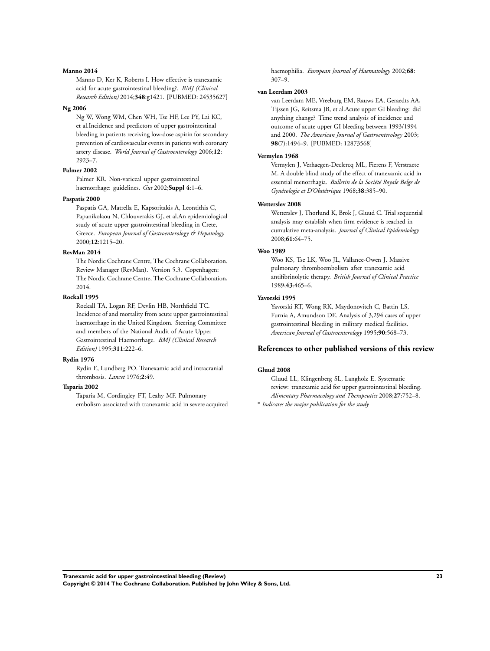#### **Manno 2014**

Manno D, Ker K, Roberts I. How effective is tranexamic acid for acute gastrointestinal bleeding?. *BMJ (Clinical Research Edition)* 2014;**348**:g1421. [PUBMED: 24535627]

#### **Ng 2006**

Ng W, Wong WM, Chen WH, Tse HF, Lee PY, Lai KC, et al.Incidence and predictors of upper gastrointestinal bleeding in patients receiving low-dose aspirin for secondary prevention of cardiovascular events in patients with coronary artery disease. *World Journal of Gastroenterology* 2006;**12**: 2923–7.

## **Palmer 2002**

Palmer KR. Non-variceal upper gastrointestinal haemorrhage: guidelines. *Gut* 2002;**Suppl 4**:1–6.

#### **Paspatis 2000**

Paspatis GA, Matrella E, Kapsoritakis A, Leontithis C, Papanikolaou N, Chlouverakis GJ, et al.An epidemiological study of acute upper gastrointestinal bleeding in Crete, Greece. *European Journal of Gastroenterology & Hepatology* 2000;**12**:1215–20.

#### **RevMan 2014**

The Nordic Cochrane Centre, The Cochrane Collaboration. Review Manager (RevMan). Version 5.3. Copenhagen: The Nordic Cochrane Centre, The Cochrane Collaboration, 2014.

#### **Rockall 1995**

Rockall TA, Logan RF, Devlin HB, Northfield TC. Incidence of and mortality from acute upper gastrointestinal haemorrhage in the United Kingdom. Steering Committee and members of the National Audit of Acute Upper Gastrointestinal Haemorrhage. *BMJ (Clinical Research Edition)* 1995;**311**:222–6.

## **Rydin 1976**

Rydin E, Lundberg PO. Tranexamic acid and intracranial thrombosis. *Lancet* 1976;**2**:49.

#### **Taparia 2002**

Taparia M, Cordingley FT, Leahy MF. Pulmonary embolism associated with tranexamic acid in severe acquired haemophilia. *European Journal of Haematology* 2002;**68**: 307–9.

#### **van Leerdam 2003**

van Leerdam ME, Vreeburg EM, Rauws EA, Geraedts AA, Tijssen JG, Reitsma JB, et al.Acute upper GI bleeding: did anything change? Time trend analysis of incidence and outcome of acute upper GI bleeding between 1993/1994 and 2000. *The American Journal of Gastroenterology* 2003; **98**(7):1494–9. [PUBMED: 12873568]

#### **Vermylen 1968**

Vermylen J, Verhaegen-Declercq ML, Fierens F, Verstraete M. A double blind study of the effect of tranexamic acid in essential menorrhagia. *Bulletin de la Société Royale Belge de Gynécologie et D'Obstétrique* 1968;**38**:385–90.

#### **Wetterslev 2008**

Wetterslev J, Thorlund K, Brok J, Gluud C. Trial sequential analysis may establish when firm evidence is reached in cumulative meta-analysis. *Journal of Clinical Epidemiology* 2008;**61**:64–75.

#### **Woo 1989**

Woo KS, Tse LK, Woo JL, Vallance-Owen J. Massive pulmonary thromboembolism after tranexamic acid antifibrinolytic therapy. *British Journal of Clinical Practice* 1989;**43**:465–6.

#### **Yavorski 1995**

Yavorski RT, Wong RK, Maydonovitch C, Battin LS, Furnia A, Amundson DE. Analysis of 3,294 cases of upper gastrointestinal bleeding in military medical facilities. *American Journal of Gastroenterology* 1995;**90**:568–73.

## **References to other published versions of this review**

#### **Gluud 2008**

Gluud LL, Klingenberg SL, Langholz E. Systematic review: tranexamic acid for upper gastrointestinal bleeding. *Alimentary Pharmacology and Therapeutics* 2008;**27**:752–8.

∗ *Indicates the major publication for the study*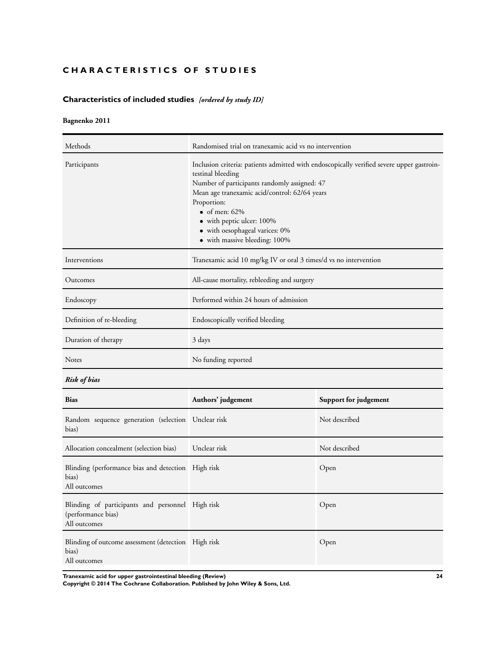## <span id="page-26-0"></span>**CHARACTERISTICS OF STUDIES**

## **Characteristics of included studies** *[ordered by study ID]*

## **Bagnenko 2011**

| Methods                                                                                | Randomised trial on tranexamic acid vs no intervention                                                                                                                                                                                                                                                                                             |                                                                  |  |  |  |  |  |
|----------------------------------------------------------------------------------------|----------------------------------------------------------------------------------------------------------------------------------------------------------------------------------------------------------------------------------------------------------------------------------------------------------------------------------------------------|------------------------------------------------------------------|--|--|--|--|--|
| Participants                                                                           | Inclusion criteria: patients admitted with endoscopically verified severe upper gastroin-<br>testinal bleeding<br>Number of participants randomly assigned: 47<br>Mean age tranexamic acid/control: 62/64 years<br>Proportion:<br>• of men: $62\%$<br>• with peptic ulcer: 100%<br>• with oesophageal varices: 0%<br>• with massive bleeding: 100% |                                                                  |  |  |  |  |  |
| Interventions                                                                          |                                                                                                                                                                                                                                                                                                                                                    | Tranexamic acid 10 mg/kg IV or oral 3 times/d vs no intervention |  |  |  |  |  |
| Outcomes                                                                               | All-cause mortality, rebleeding and surgery                                                                                                                                                                                                                                                                                                        |                                                                  |  |  |  |  |  |
| Endoscopy                                                                              | Performed within 24 hours of admission                                                                                                                                                                                                                                                                                                             |                                                                  |  |  |  |  |  |
| Definition of re-bleeding                                                              | Endoscopically verified bleeding                                                                                                                                                                                                                                                                                                                   |                                                                  |  |  |  |  |  |
| Duration of therapy                                                                    | 3 days                                                                                                                                                                                                                                                                                                                                             |                                                                  |  |  |  |  |  |
| Notes                                                                                  | No funding reported                                                                                                                                                                                                                                                                                                                                |                                                                  |  |  |  |  |  |
| <b>Risk of bias</b>                                                                    |                                                                                                                                                                                                                                                                                                                                                    |                                                                  |  |  |  |  |  |
| <b>Bias</b>                                                                            | Authors' judgement                                                                                                                                                                                                                                                                                                                                 | Support for judgement                                            |  |  |  |  |  |
| Random sequence generation (selection Unclear risk<br>bias)                            |                                                                                                                                                                                                                                                                                                                                                    | Not described                                                    |  |  |  |  |  |
| Allocation concealment (selection bias)                                                | Unclear risk                                                                                                                                                                                                                                                                                                                                       | Not described                                                    |  |  |  |  |  |
| Blinding (performance bias and detection High risk<br>bias)<br>All outcomes            |                                                                                                                                                                                                                                                                                                                                                    | Open                                                             |  |  |  |  |  |
| Blinding of participants and personnel High risk<br>(performance bias)<br>All outcomes |                                                                                                                                                                                                                                                                                                                                                    | Open                                                             |  |  |  |  |  |
| Blinding of outcome assessment (detection High risk<br>bias)                           |                                                                                                                                                                                                                                                                                                                                                    | Open                                                             |  |  |  |  |  |

**Tranexamic acid for upper gastrointestinal bleeding (Review) 24**

All outcomes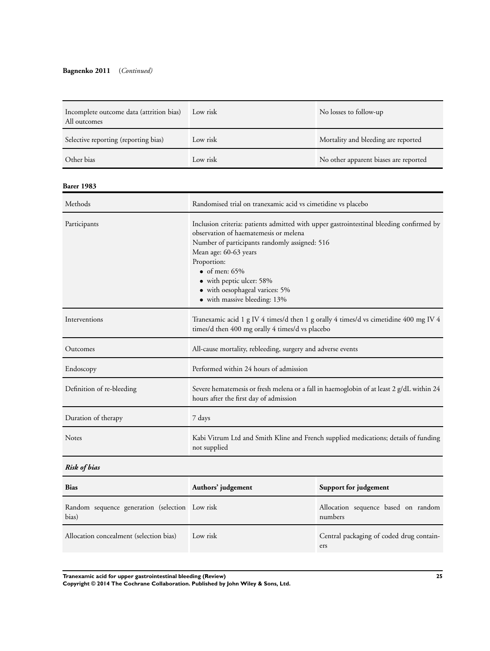## **Bagnenko 2011** (*Continued)*

| Incomplete outcome data (attrition bias)<br>All outcomes | Low risk | No losses to follow-up                |
|----------------------------------------------------------|----------|---------------------------------------|
| Selective reporting (reporting bias)                     | Low risk | Mortality and bleeding are reported   |
| Other bias                                               | Low risk | No other apparent biases are reported |

#### **Barer 1983**

| Methods                   | Randomised trial on tranexamic acid vs cimetidine vs placebo                                                                                                                                                                                                                                                                                     |
|---------------------------|--------------------------------------------------------------------------------------------------------------------------------------------------------------------------------------------------------------------------------------------------------------------------------------------------------------------------------------------------|
| Participants              | Inclusion criteria: patients admitted with upper gastrointestinal bleeding confirmed by<br>observation of haematemesis or melena<br>Number of participants randomly assigned: 516<br>Mean age: 60-63 years<br>Proportion:<br>$\bullet$ of men: 65%<br>• with peptic ulcer: 58%<br>• with oesophageal varices: 5%<br>• with massive bleeding: 13% |
| Interventions             | Tranexamic acid 1 g IV 4 times/d then 1 g orally 4 times/d vs cimetidine 400 mg IV 4<br>times/d then 400 mg orally 4 times/d vs placebo                                                                                                                                                                                                          |
| Outcomes                  | All-cause mortality, rebleeding, surgery and adverse events                                                                                                                                                                                                                                                                                      |
| Endoscopy                 | Performed within 24 hours of admission                                                                                                                                                                                                                                                                                                           |
| Definition of re-bleeding | Severe hematemesis or fresh melena or a fall in haemoglobin of at least 2 g/dL within 24<br>hours after the first day of admission                                                                                                                                                                                                               |
| Duration of therapy       | 7 days                                                                                                                                                                                                                                                                                                                                           |
| <b>Notes</b>              | Kabi Vitrum Ltd and Smith Kline and French supplied medications; details of funding<br>not supplied                                                                                                                                                                                                                                              |
| <b>Risk of bias</b>       |                                                                                                                                                                                                                                                                                                                                                  |

|  | insk of ours |  |
|--|--------------|--|
|  |              |  |

| <b>Bias</b>                                             | Authors' judgement | Support for judgement                           |
|---------------------------------------------------------|--------------------|-------------------------------------------------|
| Random sequence generation (selection Low risk<br>bias) |                    | Allocation sequence based on random<br>numbers  |
| Allocation concealment (selection bias)                 | Low risk           | Central packaging of coded drug contain-<br>ers |

**Tranexamic acid for upper gastrointestinal bleeding (Review) 25**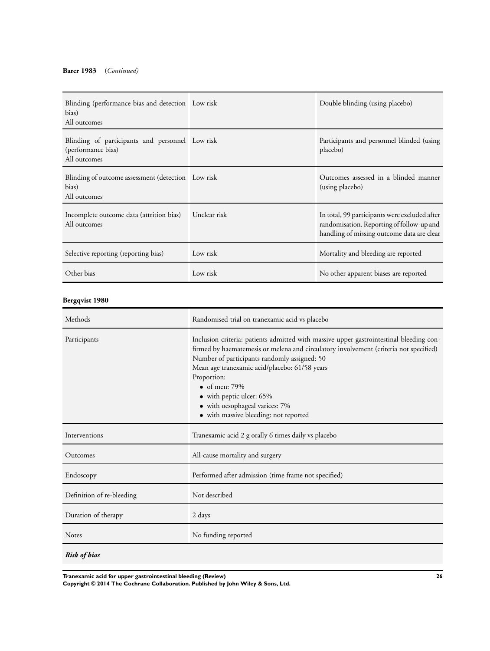| Blinding (performance bias and detection Low risk<br>bias)<br>All outcomes            |              | Double blinding (using placebo)                                                                                                          |
|---------------------------------------------------------------------------------------|--------------|------------------------------------------------------------------------------------------------------------------------------------------|
| Blinding of participants and personnel Low risk<br>(performance bias)<br>All outcomes |              | Participants and personnel blinded (using<br>placebo)                                                                                    |
| Blinding of outcome assessment (detection Low risk<br>bias)<br>All outcomes           |              | Outcomes assessed in a blinded manner<br>(using placebo)                                                                                 |
| Incomplete outcome data (attrition bias)<br>All outcomes                              | Unclear risk | In total, 99 participants were excluded after<br>randomisation. Reporting of follow-up and<br>handling of missing outcome data are clear |
| Selective reporting (reporting bias)                                                  | Low risk     | Mortality and bleeding are reported                                                                                                      |
| Other bias                                                                            | Low risk     | No other apparent biases are reported                                                                                                    |

## **Bergqvist 1980**

| Methods                   | Randomised trial on tranexamic acid vs placebo                                                                                                                                                                                                                                                                                                                                                                                   |
|---------------------------|----------------------------------------------------------------------------------------------------------------------------------------------------------------------------------------------------------------------------------------------------------------------------------------------------------------------------------------------------------------------------------------------------------------------------------|
| Participants              | Inclusion criteria: patients admitted with massive upper gastrointestinal bleeding con-<br>firmed by haematemesis or melena and circulatory involvement (criteria not specified)<br>Number of participants randomly assigned: 50<br>Mean age tranexamic acid/placebo: 61/58 years<br>Proportion:<br>$\bullet$ of men: 79%<br>• with peptic ulcer: 65%<br>• with oesophageal varices: 7%<br>• with massive bleeding: not reported |
| Interventions             | Tranexamic acid 2 g orally 6 times daily vs placebo                                                                                                                                                                                                                                                                                                                                                                              |
| Outcomes                  | All-cause mortality and surgery                                                                                                                                                                                                                                                                                                                                                                                                  |
| Endoscopy                 | Performed after admission (time frame not specified)                                                                                                                                                                                                                                                                                                                                                                             |
| Definition of re-bleeding | Not described                                                                                                                                                                                                                                                                                                                                                                                                                    |
| Duration of therapy       | 2 days                                                                                                                                                                                                                                                                                                                                                                                                                           |
| <b>Notes</b>              | No funding reported                                                                                                                                                                                                                                                                                                                                                                                                              |
| <b>Risk of bias</b>       |                                                                                                                                                                                                                                                                                                                                                                                                                                  |

**Tranexamic acid for upper gastrointestinal bleeding (Review) 26**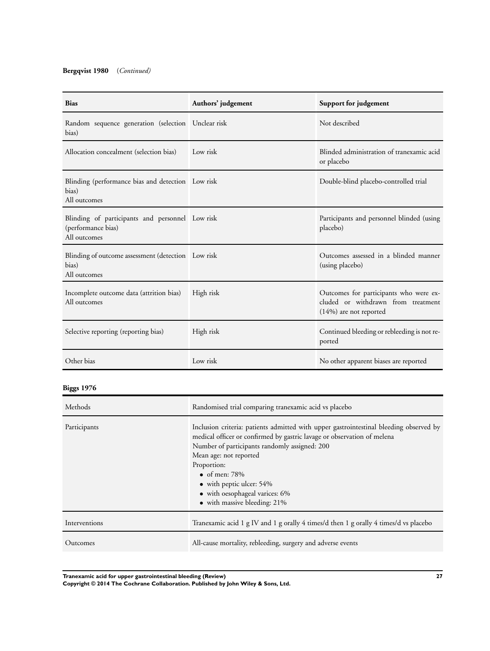## **Bergqvist 1980** (*Continued)*

| <b>Bias</b>                                                                           | Authors' judgement | Support for judgement                                                                                    |
|---------------------------------------------------------------------------------------|--------------------|----------------------------------------------------------------------------------------------------------|
| Random sequence generation (selection Unclear risk<br>bias)                           |                    | Not described                                                                                            |
| Allocation concealment (selection bias)                                               | Low risk           | Blinded administration of tranexamic acid<br>or placebo                                                  |
| Blinding (performance bias and detection Low risk<br>bias)<br>All outcomes            |                    | Double-blind placebo-controlled trial                                                                    |
| Blinding of participants and personnel Low risk<br>(performance bias)<br>All outcomes |                    | Participants and personnel blinded (using<br>placebo)                                                    |
| Blinding of outcome assessment (detection Low risk<br>bias)<br>All outcomes           |                    | Outcomes assessed in a blinded manner<br>(using placebo)                                                 |
| Incomplete outcome data (attrition bias)<br>All outcomes                              | High risk          | Outcomes for participants who were ex-<br>cluded or withdrawn from treatment<br>$(14%)$ are not reported |
| Selective reporting (reporting bias)                                                  | High risk          | Continued bleeding or rebleeding is not re-<br>ported                                                    |
| Other bias                                                                            | Low risk           | No other apparent biases are reported                                                                    |

## **Biggs 1976**

| Methods       | Randomised trial comparing tranexamic acid vs placebo                                                                                                                                                                                                                                                                                                                              |
|---------------|------------------------------------------------------------------------------------------------------------------------------------------------------------------------------------------------------------------------------------------------------------------------------------------------------------------------------------------------------------------------------------|
| Participants  | Inclusion criteria: patients admitted with upper gastrointestinal bleeding observed by<br>medical officer or confirmed by gastric lavage or observation of melena<br>Number of participants randomly assigned: 200<br>Mean age: not reported<br>Proportion:<br>$\bullet$ of men: 78%<br>• with peptic ulcer: 54%<br>• with oesophageal varices: 6%<br>• with massive bleeding: 21% |
| Interventions | Tranexamic acid 1 g IV and 1 g orally 4 times/d then 1 g orally 4 times/d vs placebo                                                                                                                                                                                                                                                                                               |
| Outcomes      | All-cause mortality, rebleeding, surgery and adverse events                                                                                                                                                                                                                                                                                                                        |

**Tranexamic acid for upper gastrointestinal bleeding (Review) 27**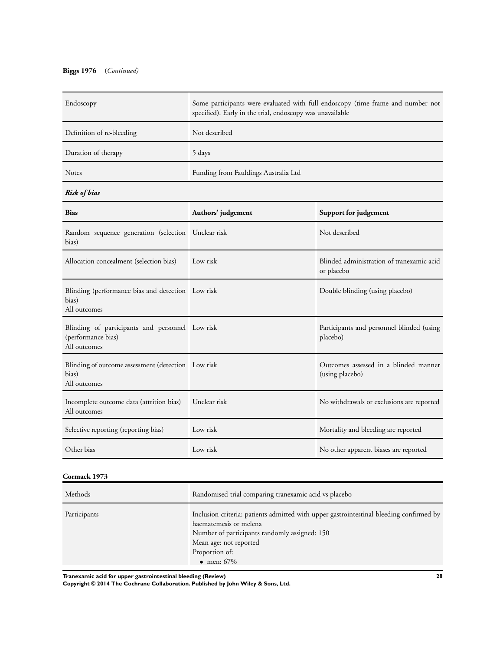## **Biggs 1976** (*Continued)*

| Endoscopy                                                                             | Some participants were evaluated with full endoscopy (time frame and number not<br>specified). Early in the trial, endoscopy was unavailable |                                                          |  |
|---------------------------------------------------------------------------------------|----------------------------------------------------------------------------------------------------------------------------------------------|----------------------------------------------------------|--|
| Definition of re-bleeding                                                             | Not described                                                                                                                                |                                                          |  |
| Duration of therapy                                                                   | 5 days                                                                                                                                       |                                                          |  |
| Notes                                                                                 | Funding from Fauldings Australia Ltd                                                                                                         |                                                          |  |
| <b>Risk of bias</b>                                                                   |                                                                                                                                              |                                                          |  |
| <b>Bias</b>                                                                           | Authors' judgement                                                                                                                           | Support for judgement                                    |  |
| Random sequence generation (selection Unclear risk<br>bias)                           |                                                                                                                                              | Not described                                            |  |
| Allocation concealment (selection bias)                                               | Low risk                                                                                                                                     | Blinded administration of tranexamic acid<br>or placebo  |  |
| Blinding (performance bias and detection Low risk<br>bias)<br>All outcomes            |                                                                                                                                              | Double blinding (using placebo)                          |  |
| Blinding of participants and personnel Low risk<br>(performance bias)<br>All outcomes |                                                                                                                                              | Participants and personnel blinded (using<br>placebo)    |  |
| Blinding of outcome assessment (detection Low risk<br>bias)<br>All outcomes           |                                                                                                                                              | Outcomes assessed in a blinded manner<br>(using placebo) |  |
| Incomplete outcome data (attrition bias)<br>All outcomes                              | Unclear risk                                                                                                                                 | No withdrawals or exclusions are reported                |  |
| Selective reporting (reporting bias)                                                  | Low risk                                                                                                                                     | Mortality and bleeding are reported                      |  |
| Other bias                                                                            | Low risk                                                                                                                                     | No other apparent biases are reported                    |  |

## **Cormack 1973**

| Methods      | Randomised trial comparing tranexamic acid vs placebo                                                                                                                                                                                |
|--------------|--------------------------------------------------------------------------------------------------------------------------------------------------------------------------------------------------------------------------------------|
| Participants | Inclusion criteria: patients admitted with upper gastrointestinal bleeding confirmed by<br>haematemesis or melena<br>Number of participants randomly assigned: 150<br>Mean age: not reported<br>Proportion of:<br>$\bullet$ men: 67% |

**Tranexamic acid for upper gastrointestinal bleeding (Review) 28**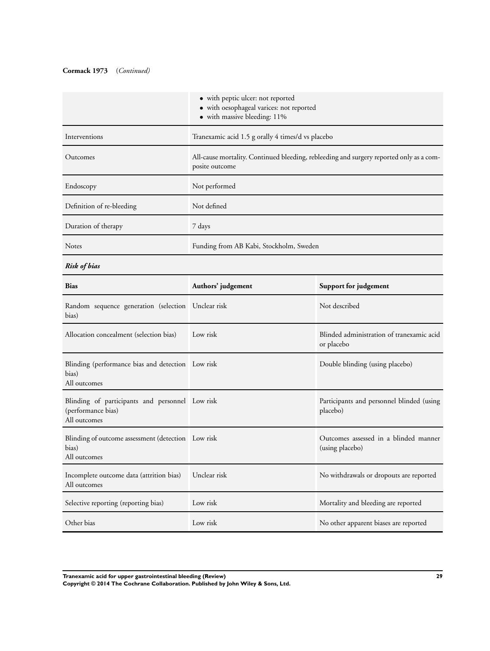## **Cormack 1973** (*Continued)*

|                                                                                       | • with peptic ulcer: not reported<br>· with oesophageal varices: not reported<br>• with massive bleeding: 11% |                                                          |
|---------------------------------------------------------------------------------------|---------------------------------------------------------------------------------------------------------------|----------------------------------------------------------|
| Interventions                                                                         | Tranexamic acid 1.5 g orally 4 times/d vs placebo                                                             |                                                          |
| Outcomes                                                                              | All-cause mortality. Continued bleeding, rebleeding and surgery reported only as a com-<br>posite outcome     |                                                          |
| Endoscopy                                                                             | Not performed                                                                                                 |                                                          |
| Definition of re-bleeding                                                             | Not defined                                                                                                   |                                                          |
| Duration of therapy                                                                   | 7 days                                                                                                        |                                                          |
| Notes                                                                                 | Funding from AB Kabi, Stockholm, Sweden                                                                       |                                                          |
| <b>Risk of bias</b>                                                                   |                                                                                                               |                                                          |
| Bias                                                                                  | Authors' judgement                                                                                            | Support for judgement                                    |
| Random sequence generation (selection Unclear risk<br>bias)                           |                                                                                                               | Not described                                            |
| Allocation concealment (selection bias)                                               | Low risk                                                                                                      | Blinded administration of tranexamic acid<br>or placebo  |
| Blinding (performance bias and detection Low risk<br>bias)<br>All outcomes            |                                                                                                               | Double blinding (using placebo)                          |
| Blinding of participants and personnel Low risk<br>(performance bias)<br>All outcomes |                                                                                                               | Participants and personnel blinded (using<br>placebo)    |
| Blinding of outcome assessment (detection Low risk<br>bias)<br>All outcomes           |                                                                                                               | Outcomes assessed in a blinded manner<br>(using placebo) |
| Incomplete outcome data (attrition bias)<br>All outcomes                              | Unclear risk                                                                                                  | No withdrawals or dropouts are reported                  |
| Selective reporting (reporting bias)                                                  | Low risk                                                                                                      | Mortality and bleeding are reported                      |
| Other bias                                                                            | Low risk                                                                                                      | No other apparent biases are reported                    |

**Tranexamic acid for upper gastrointestinal bleeding (Review) 29**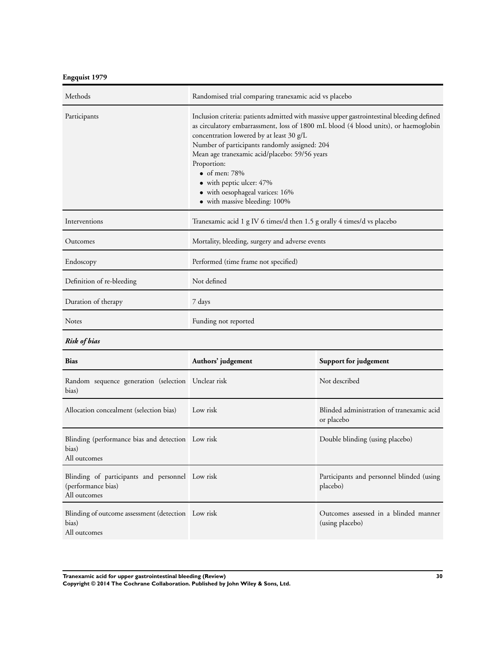**Engquist 1979**

| Methods                                                                               | Randomised trial comparing tranexamic acid vs placebo                                                                                                                                                                                                                                                                                                                                                                                                                   |                                                          |
|---------------------------------------------------------------------------------------|-------------------------------------------------------------------------------------------------------------------------------------------------------------------------------------------------------------------------------------------------------------------------------------------------------------------------------------------------------------------------------------------------------------------------------------------------------------------------|----------------------------------------------------------|
| Participants                                                                          | Inclusion criteria: patients admitted with massive upper gastrointestinal bleeding defined<br>as circulatory embarrassment, loss of 1800 mL blood (4 blood units), or haemoglobin<br>concentration lowered by at least 30 g/L<br>Number of participants randomly assigned: 204<br>Mean age tranexamic acid/placebo: 59/56 years<br>Proportion:<br>$\bullet$ of men: 78%<br>• with peptic ulcer: 47%<br>• with oesophageal varices: 16%<br>• with massive bleeding: 100% |                                                          |
| Interventions                                                                         | Tranexamic acid 1 g IV 6 times/d then 1.5 g orally 4 times/d vs placebo                                                                                                                                                                                                                                                                                                                                                                                                 |                                                          |
| Outcomes                                                                              | Mortality, bleeding, surgery and adverse events                                                                                                                                                                                                                                                                                                                                                                                                                         |                                                          |
| Endoscopy                                                                             | Performed (time frame not specified)                                                                                                                                                                                                                                                                                                                                                                                                                                    |                                                          |
| Definition of re-bleeding                                                             | Not defined                                                                                                                                                                                                                                                                                                                                                                                                                                                             |                                                          |
| Duration of therapy                                                                   | 7 days                                                                                                                                                                                                                                                                                                                                                                                                                                                                  |                                                          |
| Notes                                                                                 | Funding not reported                                                                                                                                                                                                                                                                                                                                                                                                                                                    |                                                          |
| <b>Risk of bias</b>                                                                   |                                                                                                                                                                                                                                                                                                                                                                                                                                                                         |                                                          |
| <b>Bias</b>                                                                           | Authors' judgement                                                                                                                                                                                                                                                                                                                                                                                                                                                      | Support for judgement                                    |
| Random sequence generation (selection Unclear risk<br>bias)                           |                                                                                                                                                                                                                                                                                                                                                                                                                                                                         | Not described                                            |
| Allocation concealment (selection bias)                                               | Low risk                                                                                                                                                                                                                                                                                                                                                                                                                                                                | Blinded administration of tranexamic acid<br>or placebo  |
| Blinding (performance bias and detection Low risk<br>bias)<br>All outcomes            |                                                                                                                                                                                                                                                                                                                                                                                                                                                                         | Double blinding (using placebo)                          |
| Blinding of participants and personnel Low risk<br>(performance bias)<br>All outcomes |                                                                                                                                                                                                                                                                                                                                                                                                                                                                         | Participants and personnel blinded (using<br>placebo)    |
| Blinding of outcome assessment (detection Low risk<br>bias)<br>All outcomes           |                                                                                                                                                                                                                                                                                                                                                                                                                                                                         | Outcomes assessed in a blinded manner<br>(using placebo) |

**Tranexamic acid for upper gastrointestinal bleeding (Review) 30**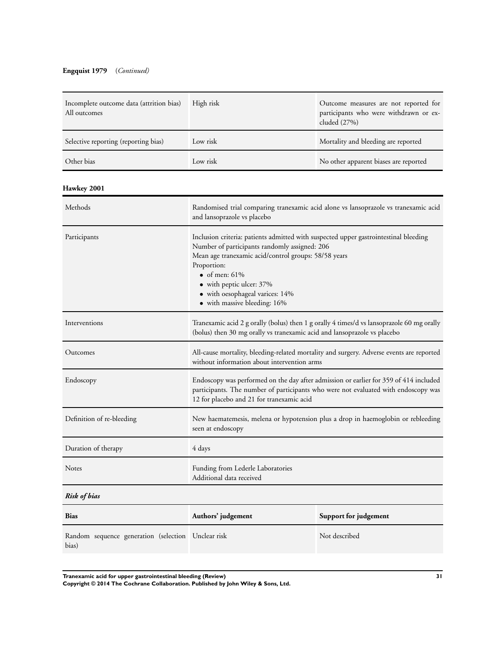## **Engquist 1979** (*Continued)*

| Incomplete outcome data (attrition bias)<br>All outcomes    | High risk                                                                                                                                                                                                                                                                                                                       | Outcome measures are not reported for<br>participants who were withdrawn or ex-<br>cluded (27%) |
|-------------------------------------------------------------|---------------------------------------------------------------------------------------------------------------------------------------------------------------------------------------------------------------------------------------------------------------------------------------------------------------------------------|-------------------------------------------------------------------------------------------------|
| Selective reporting (reporting bias)                        | Low risk                                                                                                                                                                                                                                                                                                                        | Mortality and bleeding are reported                                                             |
| Other bias                                                  | Low risk                                                                                                                                                                                                                                                                                                                        | No other apparent biases are reported                                                           |
| <b>Hawkey 2001</b>                                          |                                                                                                                                                                                                                                                                                                                                 |                                                                                                 |
| Methods                                                     | Randomised trial comparing tranexamic acid alone vs lansoprazole vs tranexamic acid<br>and lansoprazole vs placebo                                                                                                                                                                                                              |                                                                                                 |
| Participants                                                | Inclusion criteria: patients admitted with suspected upper gastrointestinal bleeding<br>Number of participants randomly assigned: 206<br>Mean age tranexamic acid/control groups: 58/58 years<br>Proportion:<br>• of men: $61\%$<br>• with peptic ulcer: 37%<br>• with oesophageal varices: 14%<br>• with massive bleeding: 16% |                                                                                                 |
| Interventions                                               | Tranexamic acid 2 g orally (bolus) then 1 g orally 4 times/d vs lansoprazole 60 mg orally<br>(bolus) then 30 mg orally vs tranexamic acid and lansoprazole vs placebo                                                                                                                                                           |                                                                                                 |
| Outcomes                                                    | All-cause mortality, bleeding-related mortality and surgery. Adverse events are reported<br>without information about intervention arms                                                                                                                                                                                         |                                                                                                 |
| Endoscopy                                                   | Endoscopy was performed on the day after admission or earlier for 359 of 414 included<br>participants. The number of participants who were not evaluated with endoscopy was<br>12 for placebo and 21 for tranexamic acid                                                                                                        |                                                                                                 |
| Definition of re-bleeding                                   | New haematemesis, melena or hypotension plus a drop in haemoglobin or rebleeding<br>seen at endoscopy                                                                                                                                                                                                                           |                                                                                                 |
| Duration of therapy                                         | 4 days                                                                                                                                                                                                                                                                                                                          |                                                                                                 |
| Notes                                                       | Funding from Lederle Laboratories<br>Additional data received                                                                                                                                                                                                                                                                   |                                                                                                 |
| <b>Risk of bias</b>                                         |                                                                                                                                                                                                                                                                                                                                 |                                                                                                 |
| <b>Bias</b>                                                 | Authors' judgement                                                                                                                                                                                                                                                                                                              | Support for judgement                                                                           |
| Random sequence generation (selection Unclear risk<br>bias) |                                                                                                                                                                                                                                                                                                                                 | Not described                                                                                   |

**Tranexamic acid for upper gastrointestinal bleeding (Review) 31**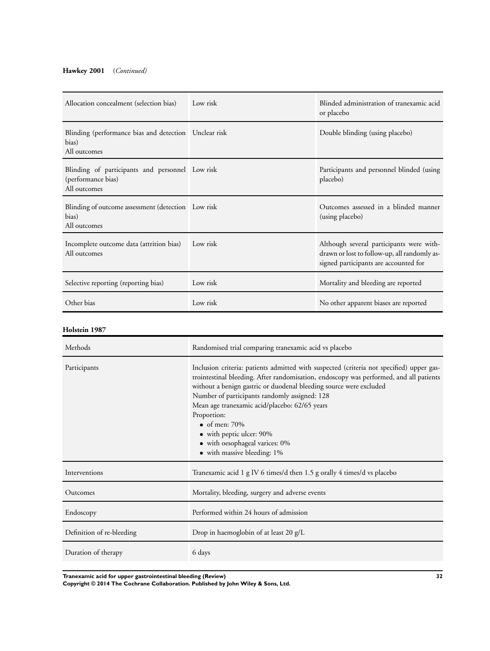## **Hawkey 2001** (*Continued)*

| Allocation concealment (selection bias)                                               | Low risk | Blinded administration of tranexamic acid<br>or placebo                                                                           |
|---------------------------------------------------------------------------------------|----------|-----------------------------------------------------------------------------------------------------------------------------------|
| Blinding (performance bias and detection Unclear risk<br>bias)<br>All outcomes        |          | Double blinding (using placebo)                                                                                                   |
| Blinding of participants and personnel Low risk<br>(performance bias)<br>All outcomes |          | Participants and personnel blinded (using<br>placebo)                                                                             |
| Blinding of outcome assessment (detection Low risk<br>bias)<br>All outcomes           |          | Outcomes assessed in a blinded manner<br>(using placebo)                                                                          |
| Incomplete outcome data (attrition bias)<br>All outcomes                              | Low risk | Although several participants were with-<br>drawn or lost to follow-up, all randomly as-<br>signed participants are accounted for |
| Selective reporting (reporting bias)                                                  | Low risk | Mortality and bleeding are reported                                                                                               |
| Other bias                                                                            | Low risk | No other apparent biases are reported                                                                                             |

#### **Holstein 1987**

| Methods                   | Randomised trial comparing tranexamic acid vs placebo                                                                                                                                                                                                                                                                                                                                                                                                                                           |
|---------------------------|-------------------------------------------------------------------------------------------------------------------------------------------------------------------------------------------------------------------------------------------------------------------------------------------------------------------------------------------------------------------------------------------------------------------------------------------------------------------------------------------------|
| Participants              | Inclusion criteria: patients admitted with suspected (criteria not specified) upper gas-<br>trointestinal bleeding. After randomisation, endoscopy was performed, and all patients<br>without a benign gastric or duodenal bleeding source were excluded<br>Number of participants randomly assigned: 128<br>Mean age tranexamic acid/placebo: 62/65 years<br>Proportion:<br>$\bullet$ of men: 70%<br>• with peptic ulcer: 90%<br>• with oesophageal varices: 0%<br>• with massive bleeding: 1% |
| Interventions             | Tranexamic acid 1 g IV 6 times/d then 1.5 g orally 4 times/d vs placebo                                                                                                                                                                                                                                                                                                                                                                                                                         |
| Outcomes                  | Mortality, bleeding, surgery and adverse events                                                                                                                                                                                                                                                                                                                                                                                                                                                 |
| Endoscopy                 | Performed within 24 hours of admission                                                                                                                                                                                                                                                                                                                                                                                                                                                          |
| Definition of re-bleeding | Drop in haemoglobin of at least 20 g/L                                                                                                                                                                                                                                                                                                                                                                                                                                                          |
| Duration of therapy       | 6 days                                                                                                                                                                                                                                                                                                                                                                                                                                                                                          |

**Tranexamic acid for upper gastrointestinal bleeding (Review) 32**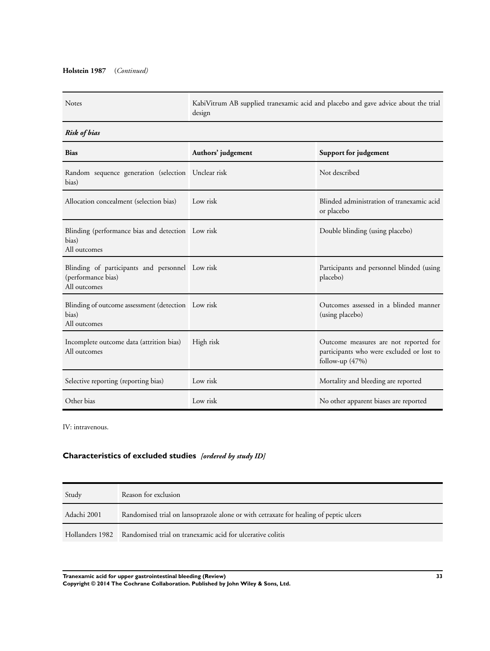## **Holstein 1987** (*Continued)*

| <b>Notes</b>                                                                          | KabiVitrum AB supplied tranexamic acid and placebo and gave advice about the trial<br>design |                                                                                                         |
|---------------------------------------------------------------------------------------|----------------------------------------------------------------------------------------------|---------------------------------------------------------------------------------------------------------|
| <b>Risk of bias</b>                                                                   |                                                                                              |                                                                                                         |
| <b>Bias</b>                                                                           | Authors' judgement                                                                           | Support for judgement                                                                                   |
| Random sequence generation (selection Unclear risk<br>bias)                           |                                                                                              | Not described                                                                                           |
| Allocation concealment (selection bias)                                               | Low risk                                                                                     | Blinded administration of tranexamic acid<br>or placebo                                                 |
| Blinding (performance bias and detection Low risk<br>bias)<br>All outcomes            |                                                                                              | Double blinding (using placebo)                                                                         |
| Blinding of participants and personnel Low risk<br>(performance bias)<br>All outcomes |                                                                                              | Participants and personnel blinded (using<br>placebo)                                                   |
| Blinding of outcome assessment (detection Low risk<br>bias)<br>All outcomes           |                                                                                              | Outcomes assessed in a blinded manner<br>(using placebo)                                                |
| Incomplete outcome data (attrition bias)<br>All outcomes                              | High risk                                                                                    | Outcome measures are not reported for<br>participants who were excluded or lost to<br>follow-up $(47%)$ |
| Selective reporting (reporting bias)                                                  | Low risk                                                                                     | Mortality and bleeding are reported                                                                     |
| Other bias                                                                            | Low risk                                                                                     | No other apparent biases are reported                                                                   |

IV: intravenous.

## **Characteristics of excluded studies** *[ordered by study ID]*

| Study       | Reason for exclusion                                                                  |
|-------------|---------------------------------------------------------------------------------------|
| Adachi 2001 | Randomised trial on lansoprazole alone or with cetraxate for healing of peptic ulcers |
|             | Hollanders 1982 Randomised trial on tranexamic acid for ulcerative colitis            |

**Tranexamic acid for upper gastrointestinal bleeding (Review) 33 Copyright © 2014 The Cochrane Collaboration. Published by John Wiley & Sons, Ltd.**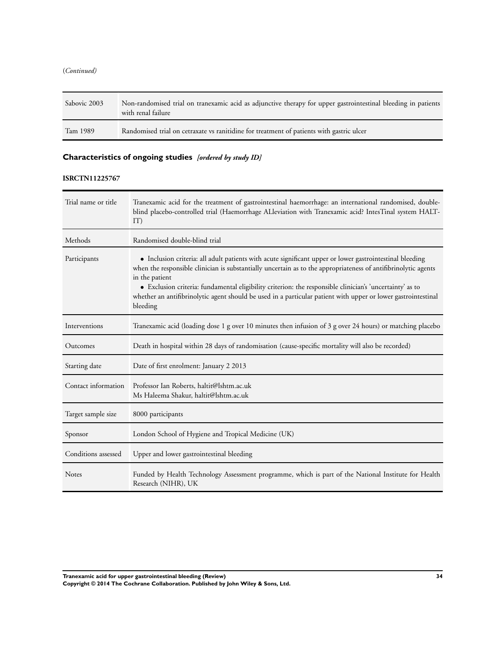<span id="page-36-0"></span>(*Continued)*

| Sabovic 2003 | Non-randomised trial on tranexamic acid as adjunctive therapy for upper gastrointestinal bleeding in patients<br>with renal failure |
|--------------|-------------------------------------------------------------------------------------------------------------------------------------|
| Tam 1989     | Randomised trial on cetraxate vs ranitidine for treatment of patients with gastric ulcer                                            |

## **Characteristics of ongoing studies** *[ordered by study ID]*

## **ISRCTN11225767**

| Trial name or title | Tranexamic acid for the treatment of gastrointestinal haemorrhage: an international randomised, double-<br>blind placebo-controlled trial (Haemorrhage ALleviation with Tranexamic acid? IntesTinal system HALT-<br>IT)                                                                                                                                                                                                                                                               |
|---------------------|---------------------------------------------------------------------------------------------------------------------------------------------------------------------------------------------------------------------------------------------------------------------------------------------------------------------------------------------------------------------------------------------------------------------------------------------------------------------------------------|
| Methods             | Randomised double-blind trial                                                                                                                                                                                                                                                                                                                                                                                                                                                         |
| Participants        | • Inclusion criteria: all adult patients with acute significant upper or lower gastrointestinal bleeding<br>when the responsible clinician is substantially uncertain as to the appropriateness of antifibrinolytic agents<br>in the patient<br>• Exclusion criteria: fundamental eligibility criterion: the responsible clinician's 'uncertainty' as to<br>whether an antifibrinolytic agent should be used in a particular patient with upper or lower gastrointestinal<br>bleeding |
| Interventions       | Tranexamic acid (loading dose 1 g over 10 minutes then infusion of 3 g over 24 hours) or matching placebo                                                                                                                                                                                                                                                                                                                                                                             |
| Outcomes            | Death in hospital within 28 days of randomisation (cause-specific mortality will also be recorded)                                                                                                                                                                                                                                                                                                                                                                                    |
| Starting date       | Date of first enrolment: January 2 2013                                                                                                                                                                                                                                                                                                                                                                                                                                               |
| Contact information | Professor Ian Roberts, haltit@lshtm.ac.uk<br>Ms Haleema Shakur, haltit@lshtm.ac.uk                                                                                                                                                                                                                                                                                                                                                                                                    |
| Target sample size  | 8000 participants                                                                                                                                                                                                                                                                                                                                                                                                                                                                     |
| Sponsor             | London School of Hygiene and Tropical Medicine (UK)                                                                                                                                                                                                                                                                                                                                                                                                                                   |
| Conditions assessed | Upper and lower gastrointestinal bleeding                                                                                                                                                                                                                                                                                                                                                                                                                                             |
| <b>Notes</b>        | Funded by Health Technology Assessment programme, which is part of the National Institute for Health<br>Research (NIHR), UK                                                                                                                                                                                                                                                                                                                                                           |

**Tranexamic acid for upper gastrointestinal bleeding (Review) 34**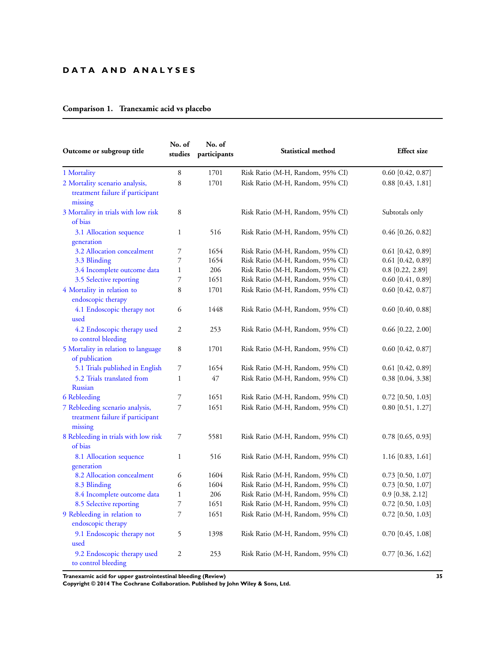## **D A T A A N D A N A L Y S E S**

## **Comparison 1. Tranexamic acid vs placebo**

| Outcome or subgroup title                                                      | No. of<br>studies        | No. of<br>participants | Statistical method               | <b>Effect</b> size  |
|--------------------------------------------------------------------------------|--------------------------|------------------------|----------------------------------|---------------------|
| 1 Mortality                                                                    | 8                        | 1701                   | Risk Ratio (M-H, Random, 95% CI) | $0.60$ [0.42, 0.87] |
| 2 Mortality scenario analysis,<br>treatment failure if participant<br>missing  | 8                        | 1701                   | Risk Ratio (M-H, Random, 95% CI) | $0.88$ [0.43, 1.81] |
| 3 Mortality in trials with low risk<br>of bias                                 | 8                        |                        | Risk Ratio (M-H, Random, 95% CI) | Subtotals only      |
| 3.1 Allocation sequence<br>generation                                          | $\mathbf{1}$             | 516                    | Risk Ratio (M-H, Random, 95% CI) | $0.46$ [0.26, 0.82] |
| 3.2 Allocation concealment                                                     | 7                        | 1654                   | Risk Ratio (M-H, Random, 95% CI) | $0.61$ [0.42, 0.89] |
| 3.3 Blinding                                                                   | 7                        | 1654                   | Risk Ratio (M-H, Random, 95% CI) | $0.61$ [0.42, 0.89] |
| 3.4 Incomplete outcome data                                                    | $\mathbf{1}$             | 206                    | Risk Ratio (M-H, Random, 95% CI) | $0.8$ [0.22, 2.89]  |
| 3.5 Selective reporting                                                        | 7                        | 1651                   | Risk Ratio (M-H, Random, 95% CI) | $0.60$ [0.41, 0.89] |
| 4 Mortality in relation to<br>endoscopic therapy                               | 8                        | 1701                   | Risk Ratio (M-H, Random, 95% CI) | $0.60$ [0.42, 0.87] |
| 4.1 Endoscopic therapy not<br>used                                             | 6                        | 1448                   | Risk Ratio (M-H, Random, 95% CI) | $0.60$ [0.40, 0.88] |
| 4.2 Endoscopic therapy used<br>to control bleeding                             | 2                        | 253                    | Risk Ratio (M-H, Random, 95% CI) | $0.66$ [0.22, 2.00] |
| 5 Mortality in relation to language<br>of publication                          | 8                        | 1701                   | Risk Ratio (M-H, Random, 95% CI) | $0.60$ [0.42, 0.87] |
| 5.1 Trials published in English                                                | 7                        | 1654                   | Risk Ratio (M-H, Random, 95% CI) | $0.61$ [0.42, 0.89] |
| 5.2 Trials translated from<br><b>Russian</b>                                   | $\mathbf{1}$             | 47                     | Risk Ratio (M-H, Random, 95% CI) | 0.38 [0.04, 3.38]   |
| 6 Rebleeding                                                                   | 7                        | 1651                   | Risk Ratio (M-H, Random, 95% CI) | $0.72$ [0.50, 1.03] |
| 7 Rebleeding scenario analysis,<br>treatment failure if participant<br>missing | 7                        | 1651                   | Risk Ratio (M-H, Random, 95% CI) | $0.80$ [0.51, 1.27] |
| 8 Rebleeding in trials with low risk<br>of bias                                | 7                        | 5581                   | Risk Ratio (M-H, Random, 95% CI) | $0.78$ [0.65, 0.93] |
| 8.1 Allocation sequence<br>generation                                          | $\mathbf{1}$             | 516                    | Risk Ratio (M-H, Random, 95% CI) | $1.16$ [0.83, 1.61] |
| 8.2 Allocation concealment                                                     | 6                        | 1604                   | Risk Ratio (M-H, Random, 95% CI) | $0.73$ [0.50, 1.07] |
| 8.3 Blinding                                                                   | 6                        | 1604                   | Risk Ratio (M-H, Random, 95% CI) | $0.73$ [0.50, 1.07] |
| 8.4 Incomplete outcome data                                                    | $\mathbf{1}$             | 206                    | Risk Ratio (M-H, Random, 95% CI) | $0.9$ [0.38, 2.12]  |
| 8.5 Selective reporting                                                        | $\overline{\phantom{a}}$ | 1651                   | Risk Ratio (M-H, Random, 95% CI) | $0.72$ [0.50, 1.03] |
| 9 Rebleeding in relation to<br>endoscopic therapy                              | $\overline{7}$           | 1651                   | Risk Ratio (M-H, Random, 95% CI) | $0.72$ [0.50, 1.03] |
| 9.1 Endoscopic therapy not<br>used                                             | 5                        | 1398                   | Risk Ratio (M-H, Random, 95% CI) | $0.70$ [0.45, 1.08] |
| 9.2 Endoscopic therapy used<br>to control bleeding                             | $\mathfrak{2}$           | 253                    | Risk Ratio (M-H, Random, 95% CI) | $0.77$ [0.36, 1.62] |

**Tranexamic acid for upper gastrointestinal bleeding (Review) 35**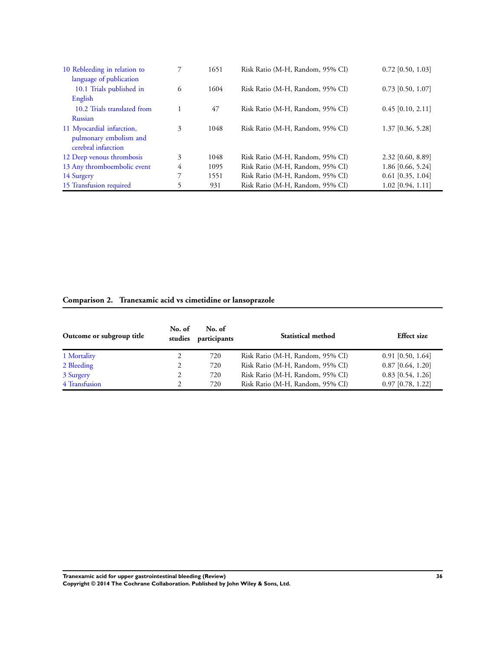| 10 Rebleeding in relation to<br>language of publication |   | 1651 | Risk Ratio (M-H, Random, 95% CI) | $0.72$ [0.50, 1.03] |
|---------------------------------------------------------|---|------|----------------------------------|---------------------|
| 10.1 Trials published in                                | 6 | 1604 | Risk Ratio (M-H, Random, 95% CI) | $0.73$ [0.50, 1.07] |
| English                                                 |   |      |                                  |                     |
| 10.2 Trials translated from                             |   | 47   | Risk Ratio (M-H, Random, 95% CI) | $0.45$ [0.10, 2.11] |
| <b>Russian</b>                                          |   |      |                                  |                     |
| 11 Myocardial infarction,                               | 3 | 1048 | Risk Ratio (M-H, Random, 95% CI) | $1.37$ [0.36, 5.28] |
| pulmonary embolism and<br>cerebral infarction           |   |      |                                  |                     |
| 12 Deep venous thrombosis                               | 3 | 1048 | Risk Ratio (M-H, Random, 95% CI) | 2.32 [0.60, 8.89]   |
| 13 Any thromboembolic event                             | 4 | 1095 | Risk Ratio (M-H, Random, 95% CI) | 1.86 [0.66, 5.24]   |
| 14 Surgery                                              | 7 | 1551 | Risk Ratio (M-H, Random, 95% CI) | $0.61$ [0.35, 1.04] |
| 15 Transfusion required                                 | 5 | 931  | Risk Ratio (M-H, Random, 95% CI) | $1.02$ [0.94, 1.11] |

## **Comparison 2. Tranexamic acid vs cimetidine or lansoprazole**

| Outcome or subgroup title | No. of<br>studies | No. of<br>participants | <b>Statistical method</b>        | <b>Effect size</b>  |
|---------------------------|-------------------|------------------------|----------------------------------|---------------------|
| 1 Mortality               |                   | 720                    | Risk Ratio (M-H, Random, 95% CI) | $0.91$ [0.50, 1.64] |
| 2 Bleeding                |                   | 720                    | Risk Ratio (M-H, Random, 95% CI) | $0.87$ [0.64, 1.20] |
| 3 Surgery                 |                   | 720                    | Risk Ratio (M-H, Random, 95% CI) | $0.83$ [0.54, 1.26] |
| 4 Transfusion             |                   | 720                    | Risk Ratio (M-H, Random, 95% CI) | $0.97$ [0.78, 1.22] |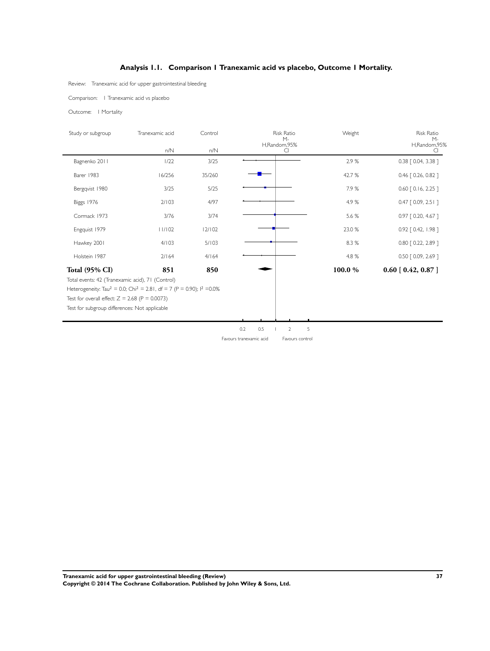## **Analysis 1.1. Comparison 1 Tranexamic acid vs placebo, Outcome 1 Mortality.**

<span id="page-39-0"></span>Review: Tranexamic acid for upper gastrointestinal bleeding

Comparison: 1 Tranexamic acid vs placebo

Outcome: 1 Mortality

| Study or subgroup                                                                                                                                                              | Tranexamic acid                                                                                                 | Control | <b>Risk Ratio</b><br>$M -$ | Weight  | <b>Risk Ratio</b><br>$M-$ |
|--------------------------------------------------------------------------------------------------------------------------------------------------------------------------------|-----------------------------------------------------------------------------------------------------------------|---------|----------------------------|---------|---------------------------|
|                                                                                                                                                                                | n/N                                                                                                             | n/N     | H,Random,95%               |         | H,Random,95%<br>CI.       |
| Bagnenko 2011                                                                                                                                                                  | 1/22                                                                                                            | 3/25    |                            | 2.9%    | 0.38 [ 0.04, 3.38 ]       |
| Barer 1983                                                                                                                                                                     | 16/256                                                                                                          | 35/260  |                            | 42.7 %  | 0.46 [0.26, 0.82]         |
| Bergqvist 1980                                                                                                                                                                 | 3/25                                                                                                            | 5/25    |                            | 7.9%    | $0.60$ $[0.16, 2.25]$     |
| Biggs 1976                                                                                                                                                                     | 2/103                                                                                                           | 4/97    |                            | 4.9%    | $0.47$ $[0.09, 2.51]$     |
| Cormack 1973                                                                                                                                                                   | 3/76                                                                                                            | 3/74    |                            | 5.6 %   | 0.97 [ 0.20, 4.67 ]       |
| Engquist 1979                                                                                                                                                                  | 11/102                                                                                                          | 12/102  |                            | 23.0 %  | 0.92 [ 0.42, 1.98 ]       |
| Hawkey 2001                                                                                                                                                                    | 4/103                                                                                                           | 5/103   |                            | 8.3 %   | 0.80 [ 0.22, 2.89 ]       |
| Holstein 1987                                                                                                                                                                  | 2/164                                                                                                           | 4/164   |                            | 4.8 %   | 0.50 [ 0.09, 2.69 ]       |
| <b>Total (95% CI)</b><br>Total events: 42 (Tranexamic acid), 71 (Control)<br>Test for overall effect: $Z = 2.68$ (P = 0.0073)<br>Test for subgroup differences: Not applicable | 851<br>Heterogeneity: Tau <sup>2</sup> = 0.0; Chi <sup>2</sup> = 2.81, df = 7 (P = 0.90); l <sup>2</sup> = 0.0% | 850     |                            | 100.0 % | 0.60 [0.42, 0.87]         |
|                                                                                                                                                                                |                                                                                                                 |         |                            |         |                           |
|                                                                                                                                                                                |                                                                                                                 |         |                            |         |                           |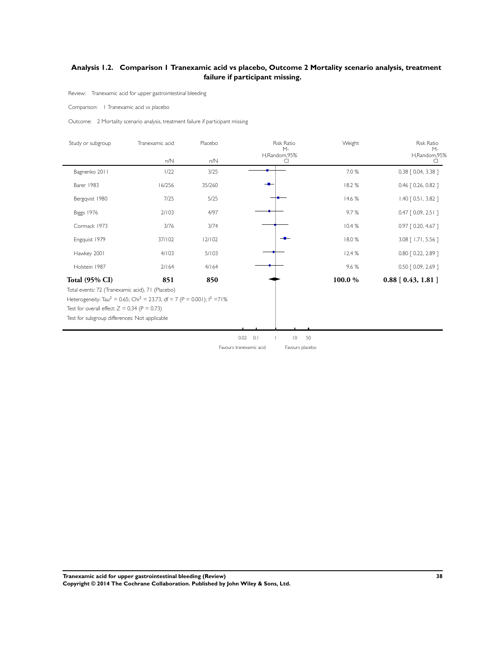## <span id="page-40-0"></span>**Analysis 1.2. Comparison 1 Tranexamic acid vs placebo, Outcome 2 Mortality scenario analysis, treatment failure if participant missing.**

Review: Tranexamic acid for upper gastrointestinal bleeding

Comparison: 1 Tranexamic acid vs placebo

Outcome: 2 Mortality scenario analysis, treatment failure if participant missing

| Study or subgroup     | Tranexamic acid | Placebo | Risk Ratio<br>$M-$ | Weight | Risk Ratio<br>$M -$        |
|-----------------------|-----------------|---------|--------------------|--------|----------------------------|
|                       | n/N             | n/N     | H,Random,95%<br>CI |        | H,Random,95%<br>CI.        |
| Bagnenko 2011         | 1/22            | 3/25    |                    | 7.0 %  | 0.38 [ 0.04, 3.38 ]        |
| Barer 1983            | 16/256          | 35/260  |                    | 18.2%  | 0.46 [ 0.26, 0.82 ]        |
| Bergqvist 1980        | 7/25            | $5/25$  |                    | 14.6 % | 1.40 [ 0.51, 3.82 ]        |
| Biggs 1976            | 2/103           | 4/97    |                    | 9.7%   | $0.47$ $[0.09, 2.51]$      |
| Cormack 1973          | $3/76$          | 3/74    |                    | 10.4 % | 0.97 [0.20, 4.67]          |
| Engquist 1979         | 37/102          | 12/102  | $-$                | 18.0%  | 3.08 [ 1.71, 5.56 ]        |
| Hawkey 2001           | 4/103           | 5/103   |                    | 12.4 % | 0.80 [ 0.22, 2.89 ]        |
| Holstein 1987         | $2/164$         | 4/164   |                    | 9.6%   | 0.50 [ 0.09, 2.69 ]        |
| <b>Total (95% CI)</b> | 851             | 850     |                    | 100.0% | $0.88$ [ $0.43$ , $1.81$ ] |
|                       |                 |         |                    |        |                            |
|                       |                 |         |                    |        |                            |

**Tranexamic acid for upper gastrointestinal bleeding (Review) 38 Copyright © 2014 The Cochrane Collaboration. Published by John Wiley & Sons, Ltd.**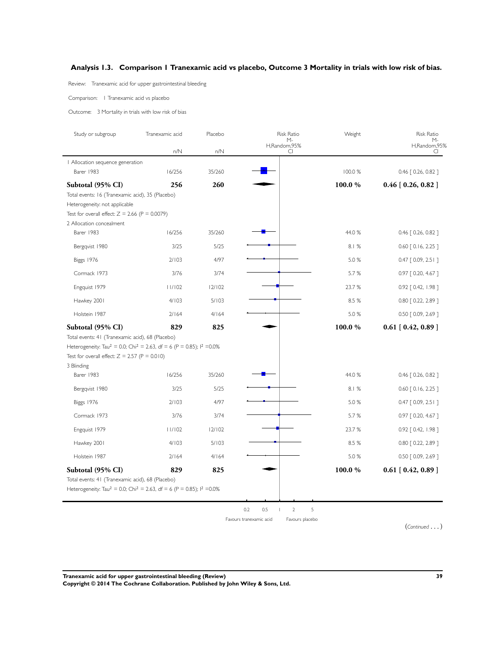## **Analysis 1.3. Comparison 1 Tranexamic acid vs placebo, Outcome 3 Mortality in trials with low risk of bias.**

Review: Tranexamic acid for upper gastrointestinal bleeding

Comparison: 1 Tranexamic acid vs placebo

Outcome: 3 Mortality in trials with low risk of bias

| Study or subgroup                                                                                                                                            | Tranexamic acid | Placebo | <b>Risk Ratio</b><br>$M -$                                                      | Weight  | <b>Risk Ratio</b><br>М-    |
|--------------------------------------------------------------------------------------------------------------------------------------------------------------|-----------------|---------|---------------------------------------------------------------------------------|---------|----------------------------|
|                                                                                                                                                              | n/N             | n/N     | H,Random,95%<br>CI                                                              |         | H,Random,95%<br>CI         |
| Allocation sequence generation                                                                                                                               |                 |         |                                                                                 |         |                            |
| Barer 1983                                                                                                                                                   | 16/256          | 35/260  |                                                                                 | 100.0 % | 0.46 [ 0.26, 0.82 ]        |
| Subtotal (95% CI)                                                                                                                                            | 256             | 260     |                                                                                 | 100.0 % | $0.46$ [ $0.26$ , $0.82$ ] |
| Total events: 16 (Tranexamic acid), 35 (Placebo)<br>Heterogeneity: not applicable                                                                            |                 |         |                                                                                 |         |                            |
| Test for overall effect: $Z = 2.66$ (P = 0.0079)                                                                                                             |                 |         |                                                                                 |         |                            |
| 2 Allocation concealment                                                                                                                                     |                 |         |                                                                                 |         |                            |
| Barer 1983                                                                                                                                                   | 16/256          | 35/260  |                                                                                 | 44.0 %  | $0.46$ $[0.26, 0.82]$      |
| Bergqvist 1980                                                                                                                                               | 3/25            | 5/25    |                                                                                 | 8.1%    | $0.60$ $[0.16, 2.25]$      |
| Biggs 1976                                                                                                                                                   | 2/103           | 4/97    |                                                                                 | 5.0%    | $0.47$ $[0.09, 2.51]$      |
| Cormack 1973                                                                                                                                                 | 3/76            | 3/74    |                                                                                 | 5.7 %   | $0.97$ $[0.20, 4.67]$      |
| Engquist 1979                                                                                                                                                | 11/102          | 12/102  |                                                                                 | 23.7%   | $0.92$ $[0.42, 1.98]$      |
| Hawkey 2001                                                                                                                                                  | 4/103           | 5/103   |                                                                                 | 8.5 %   | $0.80$ $[0.22, 2.89]$      |
| Holstein 1987                                                                                                                                                | 2/164           | 4/164   |                                                                                 | 5.0 %   | $0.50$ $[0.09, 2.69]$      |
| Subtotal (95% CI)                                                                                                                                            | 829             | 825     |                                                                                 | 100.0 % | $0.61$ [ $0.42, 0.89$ ]    |
| Total events: 41 (Tranexamic acid), 68 (Placebo)                                                                                                             |                 |         |                                                                                 |         |                            |
| Heterogeneity: Tau <sup>2</sup> = 0.0; Chi <sup>2</sup> = 2.63, df = 6 (P = 0.85); l <sup>2</sup> = 0.0%<br>Test for overall effect: $Z = 2.57$ (P = 0.010)  |                 |         |                                                                                 |         |                            |
| 3 Blinding                                                                                                                                                   |                 |         |                                                                                 |         |                            |
| Barer 1983                                                                                                                                                   | 16/256          | 35/260  |                                                                                 | 44.0 %  | $0.46$ $[0.26, 0.82]$      |
| Bergqvist 1980                                                                                                                                               | 3/25            | 5/25    |                                                                                 | 8.1%    | $0.60$ [ $0.16$ , $2.25$ ] |
| <b>Biggs 1976</b>                                                                                                                                            | 2/103           | 4/97    |                                                                                 | 5.0%    | $0.47$ $[0.09, 2.51]$      |
| Cormack 1973                                                                                                                                                 | 3/76            | 3/74    |                                                                                 | 5.7%    | $0.97$ [ 0.20, 4.67 ]      |
| Engquist 1979                                                                                                                                                | 11/102          | 12/102  |                                                                                 | 23.7%   | 0.92 [ 0.42, 1.98 ]        |
| Hawkey 2001                                                                                                                                                  | 4/103           | 5/103   |                                                                                 | 8.5 %   | $0.80$ $[0.22, 2.89]$      |
| Holstein 1987                                                                                                                                                | 2/164           | 4/164   |                                                                                 | 5.0 %   | $0.50$ $[0.09, 2.69]$      |
| Subtotal (95% CI)                                                                                                                                            | 829             | 825     |                                                                                 | 100.0%  | $0.61$ [ $0.42$ , $0.89$ ] |
| Total events: 41 (Tranexamic acid), 68 (Placebo)<br>Heterogeneity: Tau <sup>2</sup> = 0.0; Chi <sup>2</sup> = 2.63, df = 6 (P = 0.85); l <sup>2</sup> = 0.0% |                 |         |                                                                                 |         |                            |
|                                                                                                                                                              |                 |         |                                                                                 |         |                            |
|                                                                                                                                                              |                 |         | 0.2<br>0.5<br>$\overline{2}$<br>5<br>Favours tranexamic acid<br>Favours placebo |         |                            |

(*Continued* ... )

**Tranexamic acid for upper gastrointestinal bleeding (Review) 39 Copyright © 2014 The Cochrane Collaboration. Published by John Wiley & Sons, Ltd.**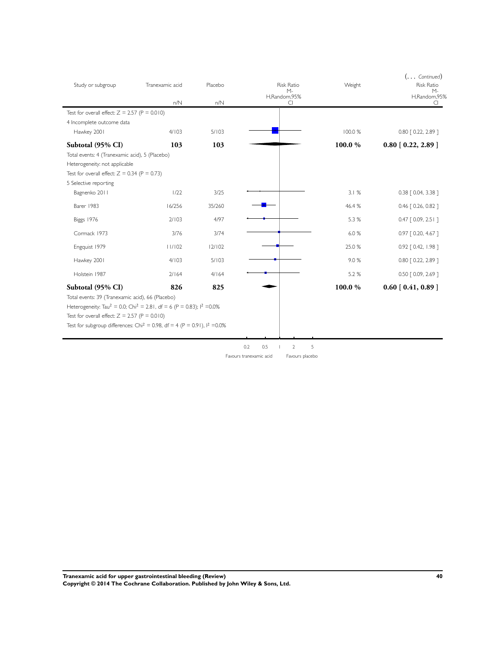| Study or subgroup                                                                               | Tranexamic acid | Placebo | <b>Risk Ratio</b><br>$M -$<br>H,Random,95% | Weight  | $(\ldots$ Continued)<br><b>Risk Ratio</b><br>$M -$<br>H,Random,95% |
|-------------------------------------------------------------------------------------------------|-----------------|---------|--------------------------------------------|---------|--------------------------------------------------------------------|
|                                                                                                 | n/N             | n/N     | CI                                         |         | CI                                                                 |
| Test for overall effect: $Z = 2.57$ (P = 0.010)                                                 |                 |         |                                            |         |                                                                    |
| 4 Incomplete outcome data                                                                       |                 |         |                                            |         |                                                                    |
| Hawkey 2001                                                                                     | 4/103           | 5/103   |                                            | 100.0 % | 0.80 [ 0.22, 2.89 ]                                                |
| Subtotal (95% CI)                                                                               | 103             | 103     |                                            | 100.0%  | $0.80$ [ $0.22$ , 2.89 ]                                           |
| Total events: 4 (Tranexamic acid), 5 (Placebo)                                                  |                 |         |                                            |         |                                                                    |
| Heterogeneity: not applicable                                                                   |                 |         |                                            |         |                                                                    |
| Test for overall effect: $Z = 0.34$ (P = 0.73)                                                  |                 |         |                                            |         |                                                                    |
| 5 Selective reporting<br>Bagnenko 2011                                                          | 1/22            | 3/25    |                                            | 3.1%    | 0.38 [ 0.04, 3.38 ]                                                |
|                                                                                                 |                 |         |                                            |         |                                                                    |
| Barer 1983                                                                                      | 16/256          | 35/260  |                                            | 46.4%   | $0.46$ $[0.26, 0.82]$                                              |
| Biggs 1976                                                                                      | 2/103           | 4/97    |                                            | 5.3 %   | $0.47$ $[0.09, 2.51]$                                              |
| Cormack 1973                                                                                    | 3/76            | 3/74    |                                            | 6.0%    | 0.97 [ 0.20, 4.67 ]                                                |
| Engquist 1979                                                                                   | 11/102          | 12/102  |                                            | 25.0 %  | 0.92 [ 0.42, 1.98 ]                                                |
| Hawkey 2001                                                                                     | 4/103           | 5/103   |                                            | 9.0%    | $0.80$ $[0.22, 2.89]$                                              |
| Holstein 1987                                                                                   | 2/164           | 4/164   |                                            | 5.2 %   | 0.50 [ 0.09, 2.69 ]                                                |
| Subtotal (95% CI)                                                                               | 826             | 825     |                                            | 100.0%  | $0.60$ [ $0.41, 0.89$ ]                                            |
| Total events: 39 (Tranexamic acid), 66 (Placebo)                                                |                 |         |                                            |         |                                                                    |
| Heterogeneity: Tau <sup>2</sup> = 0.0; Chi <sup>2</sup> = 2.81, df = 6 (P = 0.83); $1^2$ = 0.0% |                 |         |                                            |         |                                                                    |
| Test for overall effect: $Z = 2.57$ (P = 0.010)                                                 |                 |         |                                            |         |                                                                    |
| Test for subgroup differences: Chi <sup>2</sup> = 0.98, df = 4 (P = 0.91), $1^2$ = 0.0%         |                 |         |                                            |         |                                                                    |
|                                                                                                 |                 |         |                                            |         |                                                                    |
|                                                                                                 |                 |         | 5<br>0.2<br>0.5<br>$\overline{2}$          |         |                                                                    |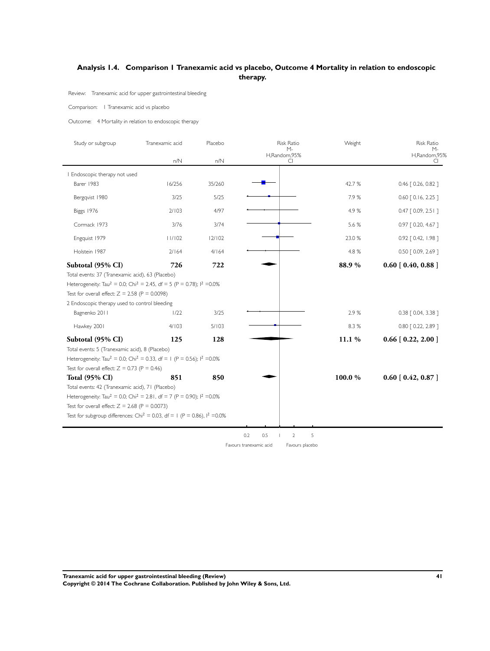## <span id="page-43-0"></span>**Analysis 1.4. Comparison 1 Tranexamic acid vs placebo, Outcome 4 Mortality in relation to endoscopic therapy.**

Review: Tranexamic acid for upper gastrointestinal bleeding

#### Comparison: 1 Tranexamic acid vs placebo

Outcome: 4 Mortality in relation to endoscopic therapy

| Study or subgroup                                                                                                                                                                                                                                                                                           | Tranexamic acid | Placebo | <b>Risk Ratio</b>           | Weight | <b>Risk Ratio</b>           |
|-------------------------------------------------------------------------------------------------------------------------------------------------------------------------------------------------------------------------------------------------------------------------------------------------------------|-----------------|---------|-----------------------------|--------|-----------------------------|
|                                                                                                                                                                                                                                                                                                             | n/N             | n/N     | $M -$<br>H,Random,95%<br>CI |        | $M -$<br>H,Random,95%<br>C. |
| Endoscopic therapy not used                                                                                                                                                                                                                                                                                 |                 |         |                             |        |                             |
| Barer 1983                                                                                                                                                                                                                                                                                                  | 16/256          | 35/260  |                             | 42.7%  | 0.46 [ 0.26, 0.82 ]         |
| Bergqvist 1980                                                                                                                                                                                                                                                                                              | 3/25            | 5/25    |                             | 7.9%   | $0.60$ $[0.16, 2.25]$       |
| Biggs 1976                                                                                                                                                                                                                                                                                                  | 2/103           | 4/97    |                             | 4.9%   | $0.47$ $[0.09, 2.51]$       |
| Cormack 1973                                                                                                                                                                                                                                                                                                | 3/76            | 3/74    |                             | 5.6 %  | 0.97 [ 0.20, 4.67 ]         |
| Engquist 1979                                                                                                                                                                                                                                                                                               | 11/102          | 12/102  |                             | 23.0 % | 0.92 [ 0.42, 1.98 ]         |
| Holstein 1987                                                                                                                                                                                                                                                                                               | 2/164           | 4/164   |                             | 4.8 %  | 0.50 [ 0.09, 2.69 ]         |
| Subtotal (95% CI)                                                                                                                                                                                                                                                                                           | 726             | 722     |                             | 88.9%  | $0.60$ [ $0.40, 0.88$ ]     |
| Heterogeneity: Tau <sup>2</sup> = 0.0; Chi <sup>2</sup> = 2.45, df = 5 (P = 0.78); l <sup>2</sup> = 0.0%<br>Test for overall effect: $Z = 2.58$ (P = 0.0098)<br>2 Endoscopic therapy used to control bleeding                                                                                               |                 |         |                             |        |                             |
| Bagnenko 2011                                                                                                                                                                                                                                                                                               | 1/22            | 3/25    |                             | 2.9%   | 0.38 [ 0.04, 3.38 ]         |
| Hawkey 2001                                                                                                                                                                                                                                                                                                 | 4/103           | 5/103   |                             | 8.3%   | 0.80 [ 0.22, 2.89 ]         |
| Subtotal (95% CI)                                                                                                                                                                                                                                                                                           | 125             | 128     |                             | 11.1 % | $0.66$ [ $0.22$ , 2.00 ]    |
| Total events: 5 (Tranexamic acid), 8 (Placebo)<br>Heterogeneity: Tau <sup>2</sup> = 0.0; Chi <sup>2</sup> = 0.33, df = 1 (P = 0.56); $1^2$ = 0.0%<br>Test for overall effect: $Z = 0.73$ (P = 0.46)                                                                                                         |                 |         |                             |        |                             |
| <b>Total (95% CI)</b>                                                                                                                                                                                                                                                                                       | 851             | 850     |                             | 100.0% | $0.60$ [ $0.42, 0.87$ ]     |
| Total events: 42 (Tranexamic acid), 71 (Placebo)<br>Heterogeneity: Tau <sup>2</sup> = 0.0; Chi <sup>2</sup> = 2.81, df = 7 (P = 0.90); l <sup>2</sup> = 0.0%<br>Test for overall effect: $Z = 2.68$ (P = 0.0073)<br>Test for subgroup differences: Chi <sup>2</sup> = 0.03, df = 1 (P = 0.86), $1^2$ = 0.0% |                 |         |                             |        |                             |

0.2 0.5 1 2 5

**Tranexamic acid for upper gastrointestinal bleeding (Review) 41 Copyright © 2014 The Cochrane Collaboration. Published by John Wiley & Sons, Ltd.**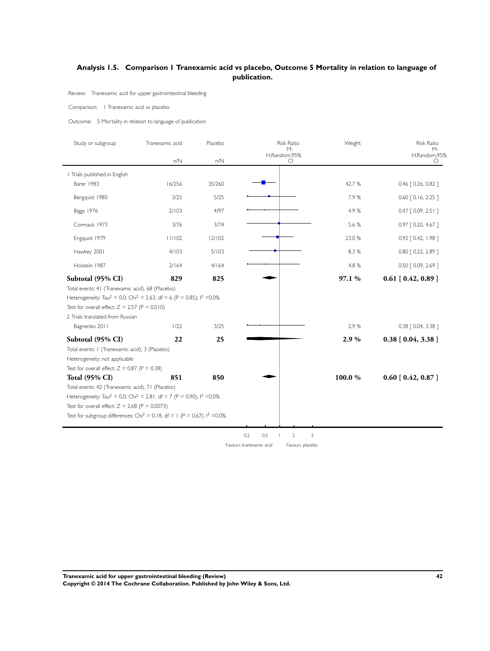## <span id="page-44-0"></span>**Analysis 1.5. Comparison 1 Tranexamic acid vs placebo, Outcome 5 Mortality in relation to language of publication.**

Review: Tranexamic acid for upper gastrointestinal bleeding

#### Comparison: 1 Tranexamic acid vs placebo

Outcome: 5 Mortality in relation to language of publication

| Study or subgroup                                                                                        | Tranexamic acid | Placebo | <b>Risk Ratio</b><br>$M -$ | Weight | <b>Risk Ratio</b>           |
|----------------------------------------------------------------------------------------------------------|-----------------|---------|----------------------------|--------|-----------------------------|
|                                                                                                          | n/N             | n/N     | H,Random,95%<br>CI         |        | $M -$<br>H,Random,95%<br>CI |
| Trials published in English                                                                              |                 |         |                            |        |                             |
| Barer 1983                                                                                               | 16/256          | 35/260  |                            | 42.7%  | 0.46 [ 0.26, 0.82 ]         |
| Bergqvist 1980                                                                                           | 3/25            | 5/25    |                            | 7.9%   | $0.60$ $[0.16, 2.25]$       |
| Biggs 1976                                                                                               | 2/103           | 4/97    |                            | 4.9%   | $0.47$ $[0.09, 2.51]$       |
| Cormack 1973                                                                                             | 3/76            | 3/74    |                            | 5.6 %  | 0.97 [0.20, 4.67]           |
| Engquist 1979                                                                                            | 11/102          | 12/102  |                            | 23.0 % | 0.92 [ 0.42, 1.98 ]         |
| Hawkey 2001                                                                                              | 4/103           | 5/103   |                            | 8.3 %  | 0.80 [ 0.22, 2.89 ]         |
| Holstein 1987                                                                                            | 2/164           | 4/164   |                            | 4.8 %  | 0.50 [ 0.09, 2.69 ]         |
| Subtotal (95% CI)                                                                                        | 829             | 825     |                            | 97.1 % | $0.61$ [ $0.42, 0.89$ ]     |
| Total events: 41 (Tranexamic acid), 68 (Placebo)                                                         |                 |         |                            |        |                             |
| Heterogeneity: Tau <sup>2</sup> = 0.0; Chi <sup>2</sup> = 2.63, df = 6 (P = 0.85); l <sup>2</sup> = 0.0% |                 |         |                            |        |                             |
| Test for overall effect: $Z = 2.57$ (P = 0.010)                                                          |                 |         |                            |        |                             |
| 2 Trials translated from Russian                                                                         |                 |         |                            |        |                             |
| Bagnenko 2011                                                                                            | 1/22            | 3/25    |                            | 2.9%   | 0.38 [ 0.04, 3.38 ]         |
| Subtotal (95% CI)                                                                                        | 22              | 25      |                            | 2.9%   | $0.38$ [ $0.04, 3.38$ ]     |
| Total events: I (Tranexamic acid), 3 (Placebo)                                                           |                 |         |                            |        |                             |
| Heterogeneity: not applicable                                                                            |                 |         |                            |        |                             |
| Test for overall effect: $Z = 0.87$ (P = 0.38)                                                           |                 |         |                            |        |                             |
| <b>Total (95% CI)</b>                                                                                    | 851             | 850     |                            | 100.0% | $0.60$ [ $0.42, 0.87$ ]     |
| Total events: 42 (Tranexamic acid), 71 (Placebo)                                                         |                 |         |                            |        |                             |
| Heterogeneity: Tau <sup>2</sup> = 0.0; Chi <sup>2</sup> = 2.81, df = 7 (P = 0.90); $1^2$ = 0.0%          |                 |         |                            |        |                             |
| Test for overall effect: $Z = 2.68$ (P = 0.0073)                                                         |                 |         |                            |        |                             |
| Test for subgroup differences: Chi <sup>2</sup> = 0.18, df = 1 (P = 0.67), $1^2$ =0.0%                   |                 |         |                            |        |                             |

 $0.2$  0.5  $2$  5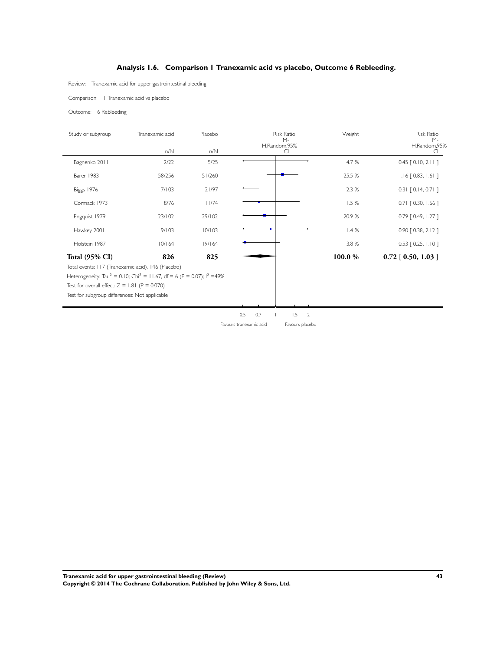## **Analysis 1.6. Comparison 1 Tranexamic acid vs placebo, Outcome 6 Rebleeding.**

<span id="page-45-0"></span>Review: Tranexamic acid for upper gastrointestinal bleeding

Comparison: 1 Tranexamic acid vs placebo

Outcome: 6 Rebleeding

| Study or subgroup     | Tranexamic acid | Placebo | Risk Ratio<br>M-<br>H,Random,95%                                                  | Weight | Risk Ratio<br>М-           |
|-----------------------|-----------------|---------|-----------------------------------------------------------------------------------|--------|----------------------------|
|                       | $n/N$           | $n/N$   | CI                                                                                |        | H,Random,95%<br>CI.        |
| Bagnenko 2011         | 2/22            | $5/25$  |                                                                                   | 4.7 %  | $0.45$ [ $0.10, 2.11$ ]    |
| Barer 1983            | 58/256          | 51/260  |                                                                                   | 25.5 % | $1.16$ [ 0.83, 1.61 ]      |
| Biggs 1976            | 7/103           | 21/97   |                                                                                   | 12.3 % | $0.31$ [ 0.14, 0.71 ]      |
| Cormack 1973          | 8/76            | 11/74   |                                                                                   | 11.5 % | $0.71$ $[0.30, 1.66]$      |
| Engquist 1979         | 23/102          | 29/102  |                                                                                   | 20.9%  | 0.79 [ 0.49, 1.27 ]        |
| Hawkey 2001           | 9/103           | 10/103  |                                                                                   | 11.4%  | 0.90 [0.38, 2.12]          |
| Holstein 1987         | 10/164          | 19/164  |                                                                                   | 13.8 % | $0.53$ $[0.25, 1.10]$      |
| <b>Total (95% CI)</b> | 826             | 825     |                                                                                   | 100.0% | $0.72$ [ $0.50$ , $1.03$ ] |
|                       |                 |         | 0.7<br>1.5<br>0.5<br>$\overline{2}$<br>Favours placebo<br>Favours tranexamic acid |        |                            |
|                       |                 |         |                                                                                   |        |                            |

**Tranexamic acid for upper gastrointestinal bleeding (Review) 43 Copyright © 2014 The Cochrane Collaboration. Published by John Wiley & Sons, Ltd.**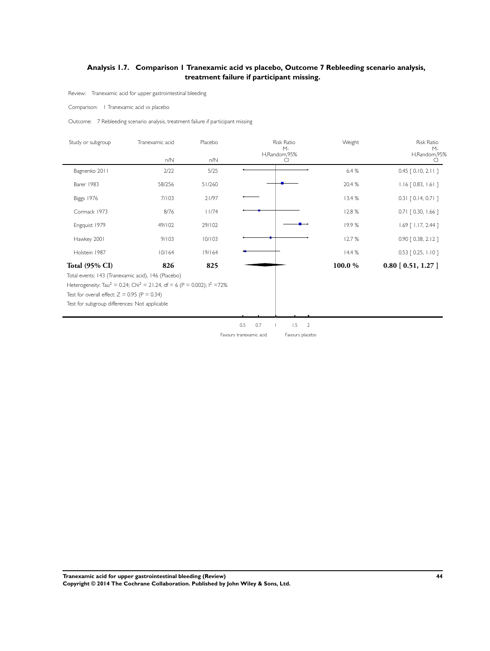## <span id="page-46-0"></span>**Analysis 1.7. Comparison 1 Tranexamic acid vs placebo, Outcome 7 Rebleeding scenario analysis, treatment failure if participant missing.**

Review: Tranexamic acid for upper gastrointestinal bleeding

Comparison: 1 Tranexamic acid vs placebo

Outcome: 7 Rebleeding scenario analysis, treatment failure if participant missing

| Study or subgroup     | Tranexamic acid | Placebo | Risk Ratio                                |                                          | Weight  | Risk Ratio<br>$M -$     |
|-----------------------|-----------------|---------|-------------------------------------------|------------------------------------------|---------|-------------------------|
|                       | $n/N$           | $n/N$   | M-<br>H,Random,95%                        | CI                                       |         | H,Random,95%<br>CI      |
| Bagnenko 2011         | 2/22            | 5/25    |                                           |                                          | 6.4%    | $0.45$ [ $0.10, 2.11$ ] |
| Barer 1983            | 58/256          | 51/260  |                                           |                                          | 20.4 %  | $1.16$ [ 0.83, 1.61 ]   |
| <b>Biggs 1976</b>     | 7/103           | 21/97   |                                           |                                          | 13.4 %  | $0.31$ $[0.14, 0.71]$   |
| Cormack 1973          | 8/76            | 11/74   |                                           |                                          | 12.8%   | $0.71$ $[0.30, 1.66]$   |
| Engquist 1979         | 49/102          | 29/102  |                                           |                                          | 19.9%   | 1.69 [ 1.17, 2.44 ]     |
| Hawkey 2001           | 9/103           | 10/103  |                                           |                                          | 12.7%   | 0.90 [0.38, 2.12]       |
| Holstein 1987         | 10/164          | 19/164  |                                           |                                          | 14.4 %  | $0.53$ [ 0.25, 1.10 ]   |
| <b>Total (95% CI)</b> | 826             | 825     |                                           |                                          | 100.0 % | 0.80 [0.51, 1.27]       |
|                       |                 |         | 0.5<br>$0.7\,$<br>Favours tranexamic acid | 1.5<br>$\overline{2}$<br>Favours placebo |         |                         |
|                       |                 |         |                                           |                                          |         |                         |

**Tranexamic acid for upper gastrointestinal bleeding (Review) 44 Copyright © 2014 The Cochrane Collaboration. Published by John Wiley & Sons, Ltd.**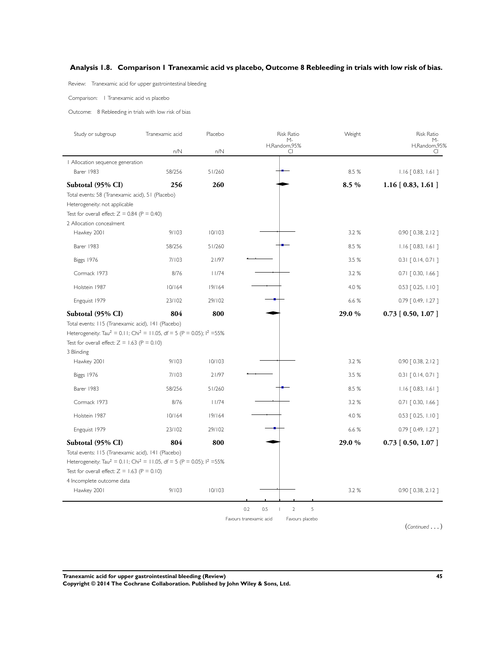## <span id="page-47-0"></span>**Analysis 1.8. Comparison 1 Tranexamic acid vs placebo, Outcome 8 Rebleeding in trials with low risk of bias.**

Review: Tranexamic acid for upper gastrointestinal bleeding

Comparison: 1 Tranexamic acid vs placebo

Outcome: 8 Rebleeding in trials with low risk of bias

| Study or subgroup                                                                                                                                                                                       | Tranexamic acid | Placebo | <b>Risk Ratio</b><br>M-                    | Weight | <b>Risk Ratio</b><br>М- |
|---------------------------------------------------------------------------------------------------------------------------------------------------------------------------------------------------------|-----------------|---------|--------------------------------------------|--------|-------------------------|
|                                                                                                                                                                                                         | n/N             | n/N     | H,Random,95%<br>CI                         |        | H,Random,95%<br>CI      |
| Allocation sequence generation                                                                                                                                                                          |                 |         |                                            |        |                         |
| Barer 1983                                                                                                                                                                                              | 58/256          | 51/260  |                                            | 8.5 %  | $1.16$ [ 0.83, 1.61 ]   |
| Subtotal (95% CI)                                                                                                                                                                                       | 256             | 260     |                                            | 8.5 %  | $1.16$ [ 0.83, 1.61 ]   |
| Total events: 58 (Tranexamic acid), 51 (Placebo)<br>Heterogeneity: not applicable                                                                                                                       |                 |         |                                            |        |                         |
| Test for overall effect: $Z = 0.84$ (P = 0.40)<br>2 Allocation concealment                                                                                                                              |                 |         |                                            |        |                         |
| Hawkey 2001                                                                                                                                                                                             | 9/103           | 10/103  |                                            | 3.2%   | $0.90$ $[0.38, 2.12]$   |
| Barer 1983                                                                                                                                                                                              | 58/256          | 51/260  |                                            | 8.5 %  | $1.16$ [ 0.83, 1.61 ]   |
| Biggs 1976                                                                                                                                                                                              | 7/103           | 21/97   |                                            | 3.5 %  | $0.31$ $[0.14, 0.71]$   |
| Cormack 1973                                                                                                                                                                                            | 8/76            | 11/74   |                                            | 3.2 %  | $0.71$ $[0.30, 1.66]$   |
| Holstein 1987                                                                                                                                                                                           | 10/164          | 19/164  |                                            | 4.0 %  | $0.53$ $[0.25, 1.10]$   |
| Engquist 1979                                                                                                                                                                                           | 23/102          | 29/102  |                                            | 6.6 %  | $0.79$ $[0.49, 1.27]$   |
| Subtotal (95% CI)                                                                                                                                                                                       | 804             | 800     |                                            | 29.0 % | $0.73$ [ 0.50, 1.07 ]   |
| Test for overall effect: $Z = 1.63$ (P = 0.10)<br>3 Blinding<br>Hawkey 2001                                                                                                                             | 9/103           | 10/103  |                                            | 3.2%   | 0.90 [0.38, 2.12]       |
|                                                                                                                                                                                                         |                 |         |                                            |        |                         |
| Biggs 1976                                                                                                                                                                                              | 7/103           | 21/97   |                                            | 3.5 %  | $0.31$ [ 0.14, 0.71 ]   |
| Barer 1983                                                                                                                                                                                              | 58/256          | 51/260  |                                            | 8.5 %  | $1.16$ [ 0.83, 1.61 ]   |
| Cormack 1973                                                                                                                                                                                            | 8/76            | 11/74   |                                            | 3.2%   | $0.71$ $[0.30, 1.66]$   |
| Holstein 1987                                                                                                                                                                                           | 10/164          | 19/164  |                                            | 4.0 %  | $0.53$ [ 0.25, 1.10 ]   |
| Engquist 1979                                                                                                                                                                                           | 23/102          | 29/102  |                                            | 6.6 %  | $0.79$ $[0.49, 1.27]$   |
| Subtotal (95% CI)                                                                                                                                                                                       | 804             | 800     |                                            | 29.0 % | $0.73$ [ $0.50, 1.07$ ] |
| Total events: 115 (Tranexamic acid), 141 (Placebo)<br>Heterogeneity: Tau <sup>2</sup> = 0.11; Chi <sup>2</sup> = 11.05, df = 5 (P = 0.05); $1^2$ =55%<br>Test for overall effect: $Z = 1.63$ (P = 0.10) |                 |         |                                            |        |                         |
| 4 Incomplete outcome data                                                                                                                                                                               |                 |         |                                            |        |                         |
| Hawkey 2001                                                                                                                                                                                             | 9/103           | 10/103  |                                            | 3.2 %  | 0.90 [0.38, 2.12]       |
|                                                                                                                                                                                                         |                 |         | 5<br>0.2<br>0.5<br>$\overline{2}$          |        |                         |
|                                                                                                                                                                                                         |                 |         | Favours tranexamic acid<br>Favours placebo |        |                         |
|                                                                                                                                                                                                         |                 |         |                                            |        | $(Continued \dots)$     |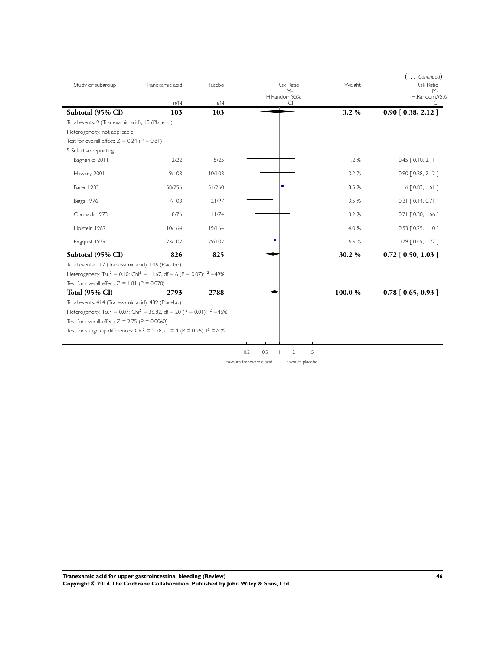| Study or subgroup                                                                                | Tranexamic acid<br>n/N | Placebo<br>n/N | <b>Risk Ratio</b><br>$M -$<br>H,Random,95%<br>CI | Weight | $(\ldots$ Continued)<br><b>Risk Ratio</b><br>$M -$<br>H,Random,95%<br>C. |
|--------------------------------------------------------------------------------------------------|------------------------|----------------|--------------------------------------------------|--------|--------------------------------------------------------------------------|
| Subtotal (95% CI)                                                                                | 103                    | 103            |                                                  | 3.2%   | $0.90$ [ $0.38$ , $2.12$ ]                                               |
| Total events: 9 (Tranexamic acid), 10 (Placebo)                                                  |                        |                |                                                  |        |                                                                          |
| Heterogeneity: not applicable                                                                    |                        |                |                                                  |        |                                                                          |
| Test for overall effect: $Z = 0.24$ (P = 0.81)                                                   |                        |                |                                                  |        |                                                                          |
| 5 Selective reporting                                                                            |                        |                |                                                  |        |                                                                          |
| Bagnenko 2011                                                                                    | 2/22                   | 5/25           |                                                  | 1.2%   | $0.45$ $[0.10, 2.11]$                                                    |
| Hawkey 2001                                                                                      | 9/103                  | 10/103         |                                                  | 3.2 %  | 0.90 [ 0.38, 2.12 ]                                                      |
| Barer 1983                                                                                       | 58/256                 | 51/260         |                                                  | 8.5 %  | $1.16$ $[0.83, 1.61]$                                                    |
| Biggs 1976                                                                                       | 7/103                  | 21/97          |                                                  | 3.5 %  | $0.31$ $[0.14, 0.71]$                                                    |
| Cormack 1973                                                                                     | 8/76                   | 11/74          |                                                  | 3.2 %  | $0.71$ $[0.30, 1.66]$                                                    |
| Holstein 1987                                                                                    | 10/164                 | 19/164         |                                                  | 4.0 %  | $0.53$ $[0.25, 1.10]$                                                    |
| Engquist 1979                                                                                    | 23/102                 | 29/102         |                                                  | 6.6 %  | 0.79 [ 0.49, 1.27 ]                                                      |
| Subtotal (95% CI)                                                                                | 826                    | 825            |                                                  | 30.2%  | $0.72$ [ 0.50, 1.03 ]                                                    |
| Total events: 117 (Tranexamic acid), 146 (Placebo)                                               |                        |                |                                                  |        |                                                                          |
| Heterogeneity: Tau <sup>2</sup> = 0.10; Chi <sup>2</sup> = 11.67, df = 6 (P = 0.07); $1^2$ =49%  |                        |                |                                                  |        |                                                                          |
| Test for overall effect: $Z = 1.81$ (P = 0.070)                                                  |                        |                |                                                  |        |                                                                          |
| <b>Total (95% CI)</b>                                                                            | 2793                   | 2788           |                                                  | 100.0% | $0.78$ [ 0.65, 0.93 ]                                                    |
| Total events: 414 (Tranexamic acid), 489 (Placebo)                                               |                        |                |                                                  |        |                                                                          |
| Heterogeneity: Tau <sup>2</sup> = 0.07; Chi <sup>2</sup> = 36.82, df = 20 (P = 0.01); $1^2$ =46% |                        |                |                                                  |        |                                                                          |
| Test for overall effect: $Z = 2.75$ (P = 0.0060)                                                 |                        |                |                                                  |        |                                                                          |
| Test for subgroup differences: Chi <sup>2</sup> = 5.28, df = 4 (P = 0.26), $1^2$ = 24%           |                        |                |                                                  |        |                                                                          |
|                                                                                                  |                        |                | 5<br>0.2<br>0.5<br>$\overline{2}$                |        |                                                                          |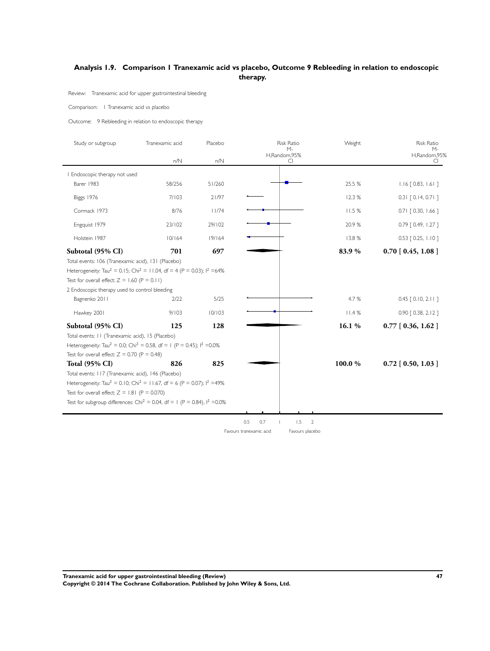## <span id="page-49-0"></span>**Analysis 1.9. Comparison 1 Tranexamic acid vs placebo, Outcome 9 Rebleeding in relation to endoscopic therapy.**

Review: Tranexamic acid for upper gastrointestinal bleeding

#### Comparison: 1 Tranexamic acid vs placebo

Outcome: 9 Rebleeding in relation to endoscopic therapy

| Study or subgroup                                                                                                                                                                                                                                                                             | Tranexamic acid | Placebo | <b>Risk Ratio</b><br>$M -$          | Weight | <b>Risk Ratio</b><br>$M -$ |
|-----------------------------------------------------------------------------------------------------------------------------------------------------------------------------------------------------------------------------------------------------------------------------------------------|-----------------|---------|-------------------------------------|--------|----------------------------|
|                                                                                                                                                                                                                                                                                               | n/N             | n/N     | H,Random,95%<br>CI                  |        | H,Random,95%<br>CI.        |
| Endoscopic therapy not used                                                                                                                                                                                                                                                                   |                 |         |                                     |        |                            |
| Barer 1983                                                                                                                                                                                                                                                                                    | 58/256          | 51/260  |                                     | 25.5 % | $1.16$ $[0.83, 1.61]$      |
| Biggs 1976                                                                                                                                                                                                                                                                                    | 7/103           | 21/97   |                                     | 12.3%  | $0.31$ $[0.14, 0.71]$      |
| Cormack 1973                                                                                                                                                                                                                                                                                  | 8/76            | 11/74   |                                     | 11.5%  | $0.71$ $[0.30, 1.66]$      |
| Engquist 1979                                                                                                                                                                                                                                                                                 | 23/102          | 29/102  |                                     | 20.9%  | 0.79 [ 0.49, 1.27 ]        |
| Holstein 1987                                                                                                                                                                                                                                                                                 | 10/164          | 19/164  |                                     | 13.8%  | $0.53$ $[0.25, 1.10]$      |
| Subtotal (95% CI)                                                                                                                                                                                                                                                                             | 701             | 697     |                                     | 83.9%  | $0.70$ [ $0.45$ , $1.08$ ] |
| Heterogeneity: Tau <sup>2</sup> = 0.15; Chi <sup>2</sup> = 11.04, df = 4 (P = 0.03); l <sup>2</sup> =64%<br>Test for overall effect: $Z = 1.60$ (P = 0.11)<br>2 Endoscopic therapy used to control bleeding                                                                                   |                 |         |                                     |        |                            |
| Bagnenko 2011                                                                                                                                                                                                                                                                                 | 2/22            | 5/25    |                                     | 4.7 %  | $0.45$ $[0.10, 2.11]$      |
| Hawkey 2001                                                                                                                                                                                                                                                                                   | 9/103           | 10/103  |                                     | 11.4%  | $0.90$ $[0.38, 2.12]$      |
| Subtotal (95% CI)                                                                                                                                                                                                                                                                             | 125             | 128     |                                     | 16.1%  | $0.77$ [ 0.36, 1.62 ]      |
| Total events: II (Tranexamic acid), 15 (Placebo)<br>Heterogeneity: Tau <sup>2</sup> = 0.0; Chi <sup>2</sup> = 0.58, df = 1 (P = 0.45); l <sup>2</sup> = 0.0%<br>Test for overall effect: $Z = 0.70$ (P = 0.48)<br><b>Total (95% CI)</b><br>Total events: 117 (Tranexamic acid), 146 (Placebo) | 826             | 825     |                                     | 100.0% | $0.72$ [ 0.50, 1.03 ]      |
| Heterogeneity: Tau <sup>2</sup> = 0.10; Chi <sup>2</sup> = 11.67, df = 6 (P = 0.07); $1^2$ =49%<br>Test for overall effect: $Z = 1.81$ (P = 0.070)<br>Test for subgroup differences: Chi <sup>2</sup> = 0.04, df = 1 (P = 0.84), $1^2$ = 0.0%                                                 |                 |         |                                     |        |                            |
|                                                                                                                                                                                                                                                                                               |                 |         |                                     |        |                            |
|                                                                                                                                                                                                                                                                                               |                 |         | 0.5<br>0.7<br>1.5<br>$\overline{2}$ |        |                            |

Favours tranexamic acid Favours placebo

**Tranexamic acid for upper gastrointestinal bleeding (Review) 47 Copyright © 2014 The Cochrane Collaboration. Published by John Wiley & Sons, Ltd.**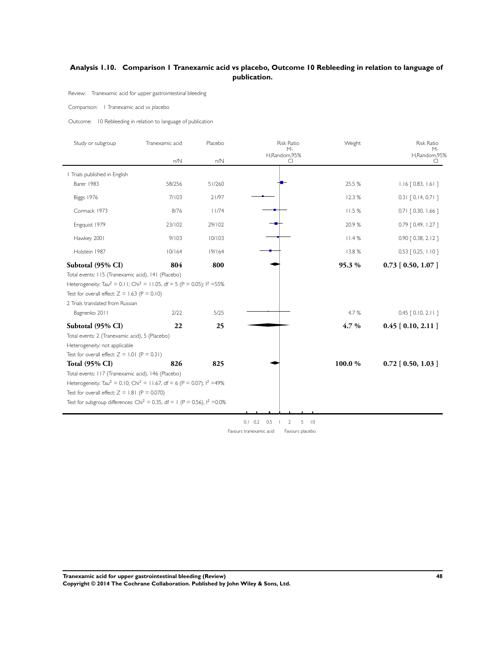## <span id="page-50-0"></span>**Analysis 1.10. Comparison 1 Tranexamic acid vs placebo, Outcome 10 Rebleeding in relation to language of publication.**

Review: Tranexamic acid for upper gastrointestinal bleeding

#### Comparison: 1 Tranexamic acid vs placebo

Outcome: 10 Rebleeding in relation to language of publication

| Study or subgroup                                                                                        | Tranexamic acid | Placebo | <b>Risk Ratio</b>        | Weight  | <b>Risk Ratio</b>        |
|----------------------------------------------------------------------------------------------------------|-----------------|---------|--------------------------|---------|--------------------------|
|                                                                                                          | n/N             | n/N     | М-<br>H,Random,95%<br>CI |         | М-<br>H,Random,95%<br>CI |
| I Trials published in English                                                                            |                 |         |                          |         |                          |
| Barer 1983                                                                                               | 58/256          | 51/260  |                          | 25.5 %  | $1.16$ $[0.83, 1.61]$    |
| Biggs 1976                                                                                               | 7/103           | 21/97   |                          | 12.3%   | $0.31$ $[0.14, 0.71]$    |
| Cormack 1973                                                                                             | 8/76            | 11/74   |                          | 11.5 %  | $0.71$ $[0.30, 1.66]$    |
| Engquist 1979                                                                                            | 23/102          | 29/102  |                          | 20.9%   | 0.79 [ 0.49, 1.27 ]      |
| Hawkey 2001                                                                                              | 9/103           | 10/103  |                          | 11.4%   | 0.90 [ 0.38, 2.12 ]      |
| Holstein 1987                                                                                            | 10/164          | 19/164  |                          | 13.8%   | $0.53$ $[0.25, 1.10]$    |
| Subtotal (95% CI)                                                                                        | 804             | 800     |                          | 95.3 %  | $0.73$ [ 0.50, 1.07 ]    |
| Total events: 115 (Tranexamic acid), 141 (Placebo)                                                       |                 |         |                          |         |                          |
| Heterogeneity: Tau <sup>2</sup> = 0.11; Chi <sup>2</sup> = 11.05, df = 5 (P = 0.05); $1^2$ =55%          |                 |         |                          |         |                          |
| Test for overall effect: $Z = 1.63$ (P = 0.10)                                                           |                 |         |                          |         |                          |
| 2 Trials translated from Russian                                                                         |                 |         |                          |         |                          |
| Bagnenko 2011                                                                                            | 2/22            | 5/25    |                          | 4.7 %   | $0.45$ $[0.10, 2.11]$    |
| Subtotal (95% CI)                                                                                        | 22              | 25      |                          | $4.7\%$ | $0.45$ [ $0.10, 2.11$ ]  |
| Total events: 2 (Tranexamic acid), 5 (Placebo)                                                           |                 |         |                          |         |                          |
| Heterogeneity: not applicable                                                                            |                 |         |                          |         |                          |
| Test for overall effect: $Z = 1.01$ (P = 0.31)                                                           |                 |         |                          |         |                          |
| <b>Total (95% CI)</b>                                                                                    | 826             | 825     |                          | 100.0 % | $0.72$ [ 0.50, 1.03 ]    |
| Total events: 117 (Tranexamic acid), 146 (Placebo)                                                       |                 |         |                          |         |                          |
| Heterogeneity: Tau <sup>2</sup> = 0.10; Chi <sup>2</sup> = 11.67, df = 6 (P = 0.07); l <sup>2</sup> =49% |                 |         |                          |         |                          |
| Test for overall effect: $Z = 1.81$ (P = 0.070)                                                          |                 |         |                          |         |                          |
| Test for subgroup differences: Chi <sup>2</sup> = 0.35, df = 1 (P = 0.56), $1^2$ = 0.0%                  |                 |         |                          |         |                          |
|                                                                                                          |                 |         |                          |         |                          |

 $0.1$   $0.2$   $0.5$   $1$   $2$   $5$   $10$ 

Favours tranexamic acid Favours placebo

**Tranexamic acid for upper gastrointestinal bleeding (Review) 48 Copyright © 2014 The Cochrane Collaboration. Published by John Wiley & Sons, Ltd.**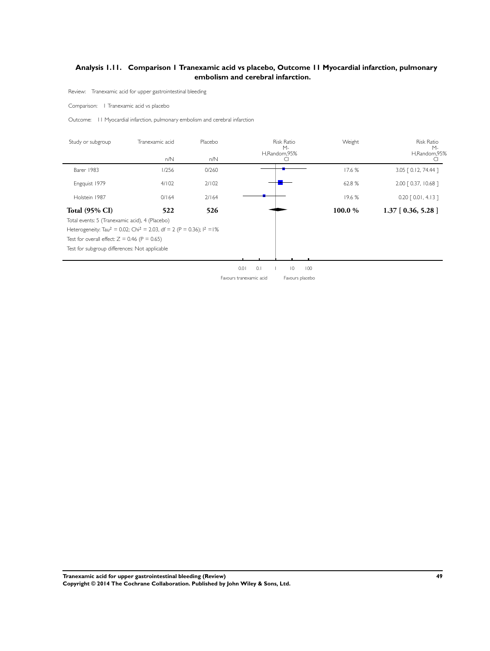## <span id="page-51-0"></span>**Analysis 1.11. Comparison 1 Tranexamic acid vs placebo, Outcome 11 Myocardial infarction, pulmonary embolism and cerebral infarction.**

Review: Tranexamic acid for upper gastrointestinal bleeding

Comparison: 1 Tranexamic acid vs placebo

 $\blacksquare$ 

L.

Outcome: 11 Myocardial infarction, pulmonary embolism and cerebral infarction

| Study or subgroup                              | Tranexamic acid                                                                                         | Placebo<br><b>Risk Ratio</b><br>$M -$ |                                            | Weight | Risk Ratio<br>$M -$   |  |
|------------------------------------------------|---------------------------------------------------------------------------------------------------------|---------------------------------------|--------------------------------------------|--------|-----------------------|--|
|                                                | n/N                                                                                                     | n/N                                   | H,Random,95%<br>CI                         |        | H,Random,95%<br>C     |  |
| Barer 1983                                     | 1/256                                                                                                   | 0/260                                 |                                            | 17.6 % | 3.05 [ 0.12, 74.44 ]  |  |
| Engquist 1979                                  | 4/102                                                                                                   | 2/102                                 |                                            | 62.8%  | 2.00 [ 0.37, 10.68 ]  |  |
| Holstein 1987                                  | 0/164                                                                                                   | 2/164                                 |                                            | 19.6%  | $0.20$ $[0.01, 4.13]$ |  |
| Total (95% CI)                                 | 522                                                                                                     | 526                                   |                                            | 100.0% | $1.37$ [ 0.36, 5.28 ] |  |
| Total events: 5 (Tranexamic acid), 4 (Placebo) |                                                                                                         |                                       |                                            |        |                       |  |
|                                                | Heterogeneity: Tau <sup>2</sup> = 0.02; Chi <sup>2</sup> = 2.03, df = 2 (P = 0.36); l <sup>2</sup> = l% |                                       |                                            |        |                       |  |
| Test for overall effect: $Z = 0.46$ (P = 0.65) |                                                                                                         |                                       |                                            |        |                       |  |
| Test for subgroup differences: Not applicable  |                                                                                                         |                                       |                                            |        |                       |  |
|                                                |                                                                                                         |                                       |                                            |        |                       |  |
|                                                |                                                                                                         |                                       | 0.01<br>0.1<br>$\overline{0}$<br>100       |        |                       |  |
|                                                |                                                                                                         |                                       | Favours tranexamic acid<br>Favours placebo |        |                       |  |
|                                                |                                                                                                         |                                       |                                            |        |                       |  |
|                                                |                                                                                                         |                                       |                                            |        |                       |  |
|                                                |                                                                                                         |                                       |                                            |        |                       |  |
|                                                |                                                                                                         |                                       |                                            |        |                       |  |
|                                                |                                                                                                         |                                       |                                            |        |                       |  |
|                                                |                                                                                                         |                                       |                                            |        |                       |  |
|                                                |                                                                                                         |                                       |                                            |        |                       |  |
|                                                |                                                                                                         |                                       |                                            |        |                       |  |
|                                                |                                                                                                         |                                       |                                            |        |                       |  |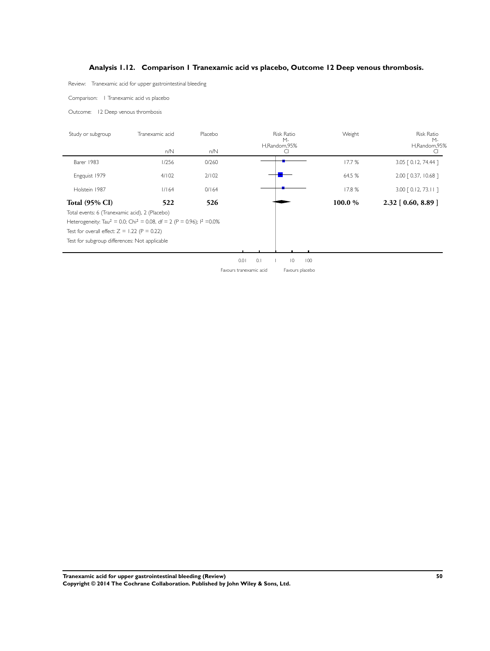## **Analysis 1.12. Comparison 1 Tranexamic acid vs placebo, Outcome 12 Deep venous thrombosis.**

<span id="page-52-0"></span>Review: Tranexamic acid for upper gastrointestinal bleeding

Comparison: 1 Tranexamic acid vs placebo

Outcome: 12 Deep venous thrombosis

| Study or subgroup                              | Tranexamic acid                                                                                          | Placebo |      | <b>Risk Ratio</b><br>$M -$ |                |     | Weight  | <b>Risk Ratio</b><br>$M -$    |  |
|------------------------------------------------|----------------------------------------------------------------------------------------------------------|---------|------|----------------------------|----------------|-----|---------|-------------------------------|--|
|                                                | n/N                                                                                                      | n/N     |      | H,Random,95%<br>C          |                |     |         | H,Random,95%                  |  |
| Barer 1983                                     | 1/256                                                                                                    | 0/260   |      |                            |                |     | 17.7%   | 3.05 [ 0.12, 74.44 ]          |  |
| Engquist 1979                                  | 4/102                                                                                                    | 2/102   |      |                            |                |     | 64.5 %  | 2.00 [ 0.37, 10.68 ]          |  |
| Holstein 1987                                  | 1/164                                                                                                    | 0/164   |      |                            |                |     | 17.8%   | $3.00$ $\lceil$ 0.12, 73.11 ] |  |
| <b>Total (95% CI)</b>                          | 522                                                                                                      | 526     |      |                            |                |     | 100.0 % | $2.32$ [ 0.60, 8.89 ]         |  |
| Total events: 6 (Tranexamic acid), 2 (Placebo) |                                                                                                          |         |      |                            |                |     |         |                               |  |
|                                                | Heterogeneity: Tau <sup>2</sup> = 0.0; Chi <sup>2</sup> = 0.08, df = 2 (P = 0.96); l <sup>2</sup> = 0.0% |         |      |                            |                |     |         |                               |  |
| Test for overall effect: $Z = 1.22$ (P = 0.22) |                                                                                                          |         |      |                            |                |     |         |                               |  |
| Test for subgroup differences: Not applicable  |                                                                                                          |         |      |                            |                |     |         |                               |  |
|                                                |                                                                                                          |         |      |                            |                |     |         |                               |  |
|                                                |                                                                                                          |         | 0.01 | 0.1                        | $\overline{0}$ | 100 |         |                               |  |

Favours tranexamic acid Favours placebo

**Tranexamic acid for upper gastrointestinal bleeding (Review) 50 Copyright © 2014 The Cochrane Collaboration. Published by John Wiley & Sons, Ltd.**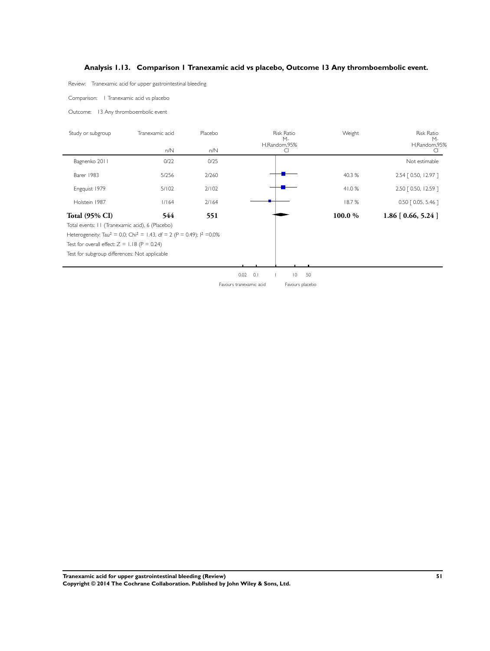## **Analysis 1.13. Comparison 1 Tranexamic acid vs placebo, Outcome 13 Any thromboembolic event.**

<span id="page-53-0"></span>Review: Tranexamic acid for upper gastrointestinal bleeding

Comparison: 1 Tranexamic acid vs placebo

Outcome: 13 Any thromboembolic event

| Study or subgroup                               | Tranexamic acid                                                                                          | Placebo | <b>Risk Ratio</b><br>$M -$<br>H,Random,95%<br>CI |                      | Weight | <b>Risk Ratio</b><br>$M -$ |
|-------------------------------------------------|----------------------------------------------------------------------------------------------------------|---------|--------------------------------------------------|----------------------|--------|----------------------------|
|                                                 | n/N                                                                                                      | n/N     |                                                  |                      |        | H,Random,95%<br>U          |
| Bagnenko 2011                                   | 0/22                                                                                                     | 0/25    |                                                  |                      |        | Not estimable              |
| Barer 1983                                      | 5/256                                                                                                    | 2/260   |                                                  |                      | 40.3 % | 2.54 [ 0.50, 12.97 ]       |
| Engquist 1979                                   | 5/102                                                                                                    | 2/102   |                                                  |                      | 41.0%  | 2.50 [ 0.50, 12.59 ]       |
| Holstein 1987                                   | 1/164                                                                                                    | 2/164   |                                                  |                      | 18.7%  | 0.50 [ 0.05, 5.46 ]        |
| <b>Total (95% CI)</b>                           | 544                                                                                                      | 551     |                                                  |                      | 100.0% | $1.86$ [ 0.66, 5.24 ]      |
| Total events: 11 (Tranexamic acid), 6 (Placebo) |                                                                                                          |         |                                                  |                      |        |                            |
|                                                 | Heterogeneity: Tau <sup>2</sup> = 0.0; Chi <sup>2</sup> = 1.43, df = 2 (P = 0.49); l <sup>2</sup> = 0.0% |         |                                                  |                      |        |                            |
| Test for overall effect: $Z = 1.18$ (P = 0.24)  |                                                                                                          |         |                                                  |                      |        |                            |
| Test for subgroup differences: Not applicable   |                                                                                                          |         |                                                  |                      |        |                            |
|                                                 |                                                                                                          |         |                                                  |                      |        |                            |
|                                                 |                                                                                                          |         | $0.02$ 0.1                                       | $\overline{0}$<br>50 |        |                            |
|                                                 |                                                                                                          |         | Favours tranexamic acid                          | Favours placebo      |        |                            |
|                                                 |                                                                                                          |         |                                                  |                      |        |                            |

**Tranexamic acid for upper gastrointestinal bleeding (Review) 51 Copyright © 2014 The Cochrane Collaboration. Published by John Wiley & Sons, Ltd.**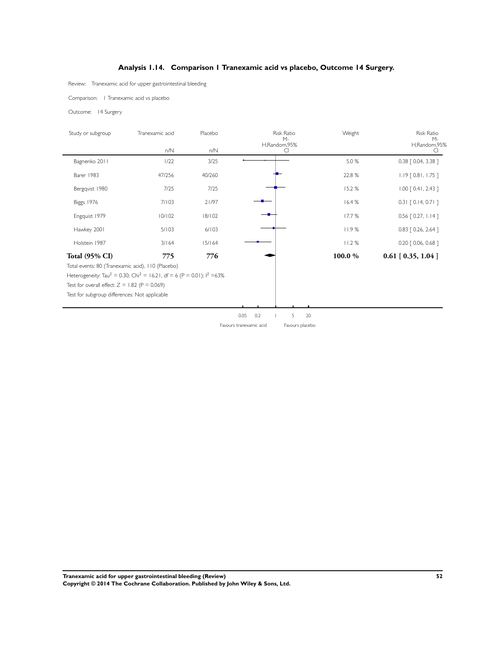## **Analysis 1.14. Comparison 1 Tranexamic acid vs placebo, Outcome 14 Surgery.**

<span id="page-54-0"></span>Review: Tranexamic acid for upper gastrointestinal bleeding

Comparison: 1 Tranexamic acid vs placebo

Outcome: 14 Surgery

| Study or subgroup     | Tranexamic acid | Placebo  | Risk Ratio<br>$M -$ | Weight | Risk Ratio<br>$M -$        |
|-----------------------|-----------------|----------|---------------------|--------|----------------------------|
|                       | $n/N$           | $n/N$    | H,Random,95%<br>CI  |        | H,Random,95%<br>CI.        |
| Bagnenko 2011         | 1/22            | 3/25     |                     | 5.0 %  | 0.38 [ 0.04, 3.38 ]        |
| Barer 1983            | 47/256          | 40/260   |                     | 22.8 % | $1.19$ [ 0.81, 1.75 ]      |
| Bergqvist 1980        | $7/25$          | $7/25$   |                     | 15.2%  | $1.00$ $[0.41, 2.43]$      |
| Biggs 1976            | 7/103           | 21/97    |                     | 16.4%  | $0.31$ [ 0.14, 0.71 ]      |
| Engquist 1979         | $10/102$        | $18/102$ |                     | 17.7 % | $0.56$ [ 0.27, 1.14 ]      |
| Hawkey 2001           | 5/103           | 6/103    |                     | 11.9%  | 0.83 [ 0.26, 2.64 ]        |
| Holstein 1987         | 3/164           | 15/164   |                     | 11.2%  | 0.20 [ 0.06, 0.68 ]        |
| <b>Total (95% CI)</b> | 775             | 776      |                     | 100.0% | $0.61$ [ $0.35$ , $1.04$ ] |
|                       |                 |          |                     |        |                            |
|                       |                 |          |                     |        |                            |
|                       |                 |          |                     |        |                            |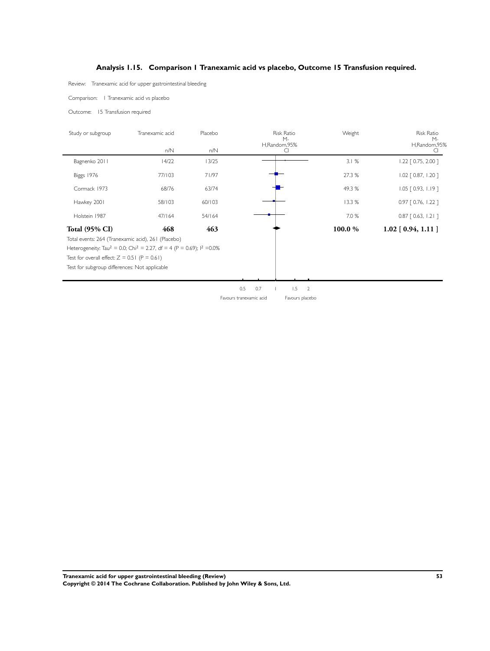## **Analysis 1.15. Comparison 1 Tranexamic acid vs placebo, Outcome 15 Transfusion required.**

<span id="page-55-0"></span>Review: Tranexamic acid for upper gastrointestinal bleeding

Comparison: 1 Tranexamic acid vs placebo

Outcome: 15 Transfusion required

| Study or subgroup                              | Tranexamic acid                                                                                          | Placebo |                         | <b>Risk Ratio</b><br>$M -$ | Weight | <b>Risk Ratio</b><br>$M -$ |
|------------------------------------------------|----------------------------------------------------------------------------------------------------------|---------|-------------------------|----------------------------|--------|----------------------------|
|                                                | n/N                                                                                                      | n/N     |                         | H,Random,95%<br>CI         |        | H,Random,95%               |
| Bagnenko 2011                                  | 14/22                                                                                                    | 13/25   |                         |                            | 3.1%   | $1.22$ $[0.75, 2.00]$      |
| <b>Biggs 1976</b>                              | 77/103                                                                                                   | 71/97   |                         |                            | 27.3 % | $1.02$ $[0.87, 1.20]$      |
| Cormack 1973                                   | 68/76                                                                                                    | 63/74   |                         |                            | 49.3%  | $1.05$ $[0.93, 1.19]$      |
| Hawkey 2001                                    | 58/103                                                                                                   | 60/103  |                         |                            | 13.3 % | 0.97 [ 0.76, 1.22 ]        |
| Holstein 1987                                  | 47/164                                                                                                   | 54/164  |                         |                            | 7.0 %  | $0.87$ $[ 0.63, 1.21 ]$    |
| <b>Total (95% CI)</b>                          | 468                                                                                                      | 463     |                         |                            | 100.0% | $1.02$ [ 0.94, 1.11 ]      |
|                                                | Total events: 264 (Tranexamic acid), 261 (Placebo)                                                       |         |                         |                            |        |                            |
|                                                | Heterogeneity: Tau <sup>2</sup> = 0.0; Chi <sup>2</sup> = 2.27, df = 4 (P = 0.69); l <sup>2</sup> = 0.0% |         |                         |                            |        |                            |
| Test for overall effect: $Z = 0.51$ (P = 0.61) |                                                                                                          |         |                         |                            |        |                            |
| Test for subgroup differences: Not applicable  |                                                                                                          |         |                         |                            |        |                            |
|                                                |                                                                                                          |         |                         |                            |        |                            |
|                                                |                                                                                                          |         | 0.5<br>0.7              | 1.5<br>$\overline{2}$      |        |                            |
|                                                |                                                                                                          |         | Favours tranexamic acid | Favours placebo            |        |                            |

**Tranexamic acid for upper gastrointestinal bleeding (Review) 53 Copyright © 2014 The Cochrane Collaboration. Published by John Wiley & Sons, Ltd.**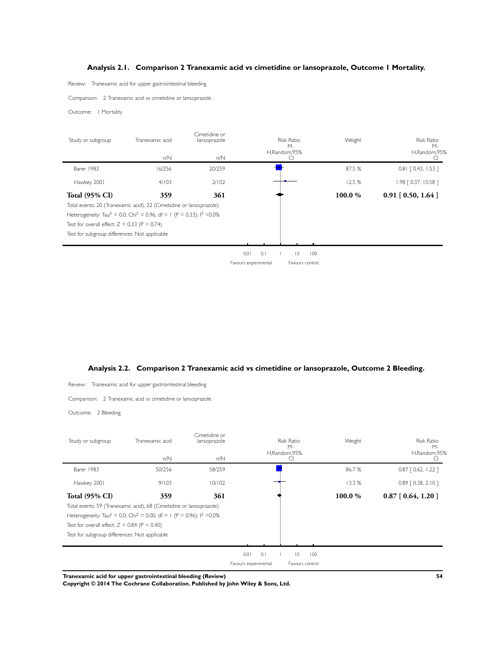## **Analysis 2.1. Comparison 2 Tranexamic acid vs cimetidine or lansoprazole, Outcome 1 Mortality.**

<span id="page-56-0"></span>Review: Tranexamic acid for upper gastrointestinal bleeding

Comparison: 2 Tranexamic acid vs cimetidine or lansoprazole

Outcome: 1 Mortality

| Study or subgroup                              | Tranexamic acid                                                                                          | Cimetidine or<br>lansoprazole | <b>Risk Ratio</b><br>$M -$ |                       | Weight | <b>Risk Ratio</b><br>$M -$   |
|------------------------------------------------|----------------------------------------------------------------------------------------------------------|-------------------------------|----------------------------|-----------------------|--------|------------------------------|
|                                                | n/N                                                                                                      | n/N                           |                            | H,Random,95%<br>CI    |        | H,Random,95%<br><sup>C</sup> |
| Barer 1983                                     | 16/256                                                                                                   | 20/259                        |                            |                       | 87.5 % | $0.81$ $[0.43, 1.53]$        |
| Hawkey 2001                                    | 4/103                                                                                                    | 2/102                         |                            |                       | 12.5%  | 1.98 [ 0.37, 10.58 ]         |
| <b>Total (95% CI)</b>                          | 359                                                                                                      | 361                           |                            |                       | 100.0% | $0.91$ [ 0.50, 1.64 ]        |
|                                                | Total events: 20 (Tranexamic acid), 22 (Cimetidine or lansoprazole)                                      |                               |                            |                       |        |                              |
|                                                | Heterogeneity: Tau <sup>2</sup> = 0.0; Chi <sup>2</sup> = 0.96, df = 1 (P = 0.33); l <sup>2</sup> = 0.0% |                               |                            |                       |        |                              |
| Test for overall effect: $Z = 0.33$ (P = 0.74) |                                                                                                          |                               |                            |                       |        |                              |
| Test for subgroup differences: Not applicable  |                                                                                                          |                               |                            |                       |        |                              |
|                                                |                                                                                                          |                               |                            |                       |        |                              |
|                                                |                                                                                                          |                               | 0.01<br>0.1                | $\overline{0}$<br>100 |        |                              |
|                                                |                                                                                                          |                               | Favours experimental       | Favours control       |        |                              |



| Review:                                        | Tranexamic acid for upper gastrointestinal bleeding                                                      |                                      |                      |     |                                                  |     |         |                                                   |
|------------------------------------------------|----------------------------------------------------------------------------------------------------------|--------------------------------------|----------------------|-----|--------------------------------------------------|-----|---------|---------------------------------------------------|
|                                                | Comparison: 2 Tranexamic acid vs cimetidine or lansoprazole                                              |                                      |                      |     |                                                  |     |         |                                                   |
| Outcome: 2 Bleeding                            |                                                                                                          |                                      |                      |     |                                                  |     |         |                                                   |
| Study or subgroup                              | Tranexamic acid<br>n/N                                                                                   | Cimetidine or<br>lansoprazole<br>n/N |                      |     | <b>Risk Ratio</b><br>$M -$<br>H,Random,95%<br>CI |     | Weight  | <b>Risk Ratio</b><br>$M -$<br>H,Random,95%<br>CI. |
| Barer 1983                                     | 50/256                                                                                                   | 58/259                               |                      |     |                                                  |     | 86.7%   | $0.87$ [ 0.62, 1.22 ]                             |
| Hawkey 2001                                    | 9/103                                                                                                    | 10/102                               |                      |     |                                                  |     | 13.3%   | $0.89$ [ 0.38, 2.10 ]                             |
| <b>Total (95% CI)</b>                          | 359                                                                                                      | 361                                  |                      |     |                                                  |     | 100.0 % | $0.87$ [ $0.64$ , 1.20 ]                          |
|                                                | Total events: 59 (Tranexamic acid), 68 (Cimetidine or lansoprazole)                                      |                                      |                      |     |                                                  |     |         |                                                   |
|                                                | Heterogeneity: Tau <sup>2</sup> = 0.0; Chi <sup>2</sup> = 0.00, df = 1 (P = 0.96); l <sup>2</sup> = 0.0% |                                      |                      |     |                                                  |     |         |                                                   |
| Test for overall effect: $Z = 0.84$ (P = 0.40) |                                                                                                          |                                      |                      |     |                                                  |     |         |                                                   |
| Test for subgroup differences: Not applicable  |                                                                                                          |                                      |                      |     |                                                  |     |         |                                                   |
|                                                |                                                                                                          |                                      |                      |     |                                                  |     |         |                                                   |
|                                                |                                                                                                          |                                      | 0.01                 | 0.1 | $\overline{0}$                                   | 100 |         |                                                   |
|                                                |                                                                                                          |                                      | Favours experimental |     | Favours control                                  |     |         |                                                   |

**Tranexamic acid for upper gastrointestinal bleeding (Review) 54**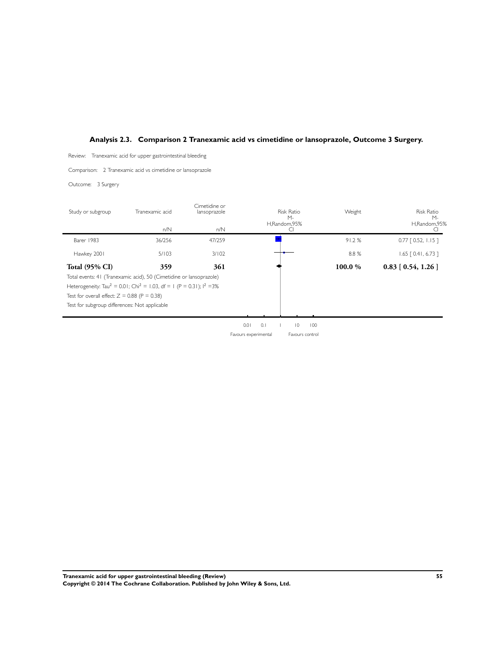## <span id="page-57-0"></span>**Analysis 2.3. Comparison 2 Tranexamic acid vs cimetidine or lansoprazole, Outcome 3 Surgery.**

Review: Tranexamic acid for upper gastrointestinal bleeding

Comparison: 2 Tranexamic acid vs cimetidine or lansoprazole

Outcome: 3 Surgery

| Study or subgroup                              | Tranexamic acid                                                                               | Cimetidine or<br>lansoprazole | Risk Ratio                                    | Weight   | <b>Risk Ratio</b>        |
|------------------------------------------------|-----------------------------------------------------------------------------------------------|-------------------------------|-----------------------------------------------|----------|--------------------------|
|                                                |                                                                                               |                               | $M -$<br>H,Random,95%                         |          | $M -$<br>H,Random,95%    |
|                                                | $n/N$                                                                                         | $n/N$                         | $\overline{C}$                                |          | CI.                      |
| Barer 1983                                     | 36/256                                                                                        | 47/259                        |                                               | 91.2%    | $0.77$ [ 0.52, 1.15 ]    |
| Hawkey 2001                                    | 5/103                                                                                         | 3/102                         |                                               | $8.8~\%$ | $1.65$ [ 0.41, 6.73 ]    |
| <b>Total (95% CI)</b>                          | 359                                                                                           | 361                           |                                               | 100.0 %  | $0.83$ [ $0.54$ , 1.26 ] |
|                                                | Total events: 41 (Tranexamic acid), 50 (Cimetidine or lansoprazole)                           |                               |                                               |          |                          |
|                                                | Heterogeneity: Tau <sup>2</sup> = 0.01; Chi <sup>2</sup> = 1.03, df = 1 (P = 0.31); $1^2$ =3% |                               |                                               |          |                          |
| Test for overall effect: $Z = 0.88$ (P = 0.38) |                                                                                               |                               |                                               |          |                          |
| Test for subgroup differences: Not applicable  |                                                                                               |                               |                                               |          |                          |
|                                                |                                                                                               |                               |                                               |          |                          |
|                                                |                                                                                               |                               | 0.1<br>$\vert\,0\,\vert$<br>100<br>0.01<br>J. |          |                          |
|                                                |                                                                                               |                               | Favours experimental<br>Favours control       |          |                          |
|                                                |                                                                                               |                               |                                               |          |                          |
|                                                |                                                                                               |                               |                                               |          |                          |
|                                                |                                                                                               |                               |                                               |          |                          |
|                                                |                                                                                               |                               |                                               |          |                          |
|                                                |                                                                                               |                               |                                               |          |                          |
|                                                |                                                                                               |                               |                                               |          |                          |
|                                                |                                                                                               |                               |                                               |          |                          |
|                                                |                                                                                               |                               |                                               |          |                          |
|                                                |                                                                                               |                               |                                               |          |                          |
|                                                |                                                                                               |                               |                                               |          |                          |
|                                                |                                                                                               |                               |                                               |          |                          |
|                                                |                                                                                               |                               |                                               |          |                          |
|                                                |                                                                                               |                               |                                               |          |                          |
|                                                |                                                                                               |                               |                                               |          |                          |
|                                                |                                                                                               |                               |                                               |          |                          |
|                                                |                                                                                               |                               |                                               |          |                          |
|                                                |                                                                                               |                               |                                               |          |                          |
|                                                |                                                                                               |                               |                                               |          |                          |
|                                                |                                                                                               |                               |                                               |          |                          |
|                                                |                                                                                               |                               |                                               |          |                          |
|                                                |                                                                                               |                               |                                               |          |                          |
|                                                |                                                                                               |                               |                                               |          |                          |
|                                                |                                                                                               |                               |                                               |          |                          |

**Tranexamic acid for upper gastrointestinal bleeding (Review) 55 Copyright © 2014 The Cochrane Collaboration. Published by John Wiley & Sons, Ltd.**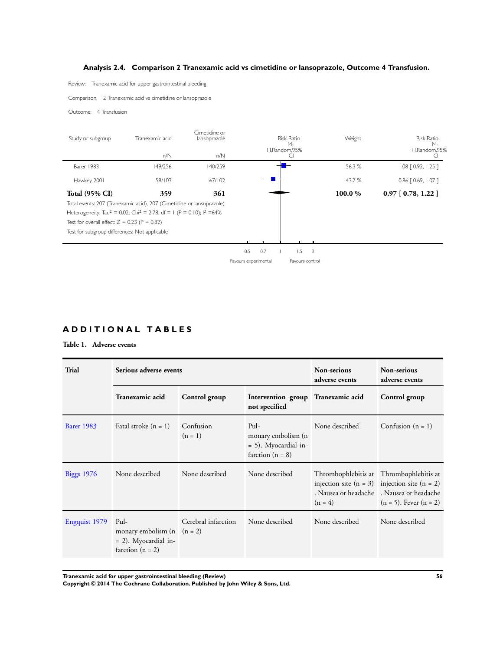## **Analysis 2.4. Comparison 2 Tranexamic acid vs cimetidine or lansoprazole, Outcome 4 Transfusion.**

<span id="page-58-0"></span>Review: Tranexamic acid for upper gastrointestinal bleeding

Comparison: 2 Tranexamic acid vs cimetidine or lansoprazole

Outcome: 4 Transfusion

| Study or subgroup                              | Tranexamic acid<br>n/N                                                                         | Cimetidine or<br>lansoprazole<br>n/N |                      |     | <b>Risk Ratio</b><br>$M -$<br>H,Random,95%<br>CI |                | Weight | <b>Risk Ratio</b><br>$M -$<br>H,Random,95%<br><sub>Cl</sub> |
|------------------------------------------------|------------------------------------------------------------------------------------------------|--------------------------------------|----------------------|-----|--------------------------------------------------|----------------|--------|-------------------------------------------------------------|
| Barer 1983                                     | 149/256                                                                                        | 140/259                              |                      |     |                                                  |                | 56.3%  | 1.08 [ 0.92, 1.25 ]                                         |
| Hawkey 2001                                    | 58/103                                                                                         | 67/102                               |                      |     |                                                  |                | 43.7 % | $0.86$ $[0.69, 1.07]$                                       |
| <b>Total (95% CI)</b>                          | 359                                                                                            | 361                                  |                      |     |                                                  |                | 100.0% | $0.97$ [ 0.78, 1.22 ]                                       |
|                                                | Total events: 207 (Tranexamic acid), 207 (Cimetidine or lansoprazole)                          |                                      |                      |     |                                                  |                |        |                                                             |
|                                                | Heterogeneity: Tau <sup>2</sup> = 0.02; Chi <sup>2</sup> = 2.78, df = 1 (P = 0.10); $1^2$ =64% |                                      |                      |     |                                                  |                |        |                                                             |
| Test for overall effect: $Z = 0.23$ (P = 0.82) |                                                                                                |                                      |                      |     |                                                  |                |        |                                                             |
| Test for subgroup differences: Not applicable  |                                                                                                |                                      |                      |     |                                                  |                |        |                                                             |
|                                                |                                                                                                |                                      |                      |     |                                                  |                |        |                                                             |
|                                                |                                                                                                |                                      | 0.5                  | 0.7 | 1.5                                              | $\overline{2}$ |        |                                                             |
|                                                |                                                                                                |                                      | Favours experimental |     | Favours control                                  |                |        |                                                             |
|                                                |                                                                                                |                                      |                      |     |                                                  |                |        |                                                             |
|                                                |                                                                                                |                                      |                      |     |                                                  |                |        |                                                             |
|                                                |                                                                                                |                                      |                      |     |                                                  |                |        |                                                             |

## **A D D I T I O N A L T A B L E S**

## **Table 1. Adverse events**

| <b>Trial</b>      | Serious adverse events                                                                 |                        |                                                                             | Non-serious<br>adverse events | Non-serious<br>adverse events                                                                                                                                             |
|-------------------|----------------------------------------------------------------------------------------|------------------------|-----------------------------------------------------------------------------|-------------------------------|---------------------------------------------------------------------------------------------------------------------------------------------------------------------------|
|                   | Tranexamic acid                                                                        | Control group          | Intervention group Tranexamic acid<br>not specified                         |                               | Control group                                                                                                                                                             |
| <b>Barer 1983</b> | Fatal stroke $(n = 1)$                                                                 | Confusion<br>$(n = 1)$ | Pul-<br>monary embolism (n<br>$= 5$ ). Myocardial in-<br>farction $(n = 8)$ | None described                | Confusion $(n = 1)$                                                                                                                                                       |
| <b>Biggs 1976</b> | None described                                                                         | None described         | None described                                                              | $(n = 4)$                     | Thrombophlebitis at Thrombophlebitis at<br>injection site $(n = 3)$ injection site $(n = 2)$<br>. Nausea or headache L. Nausea or headache<br>$(n = 5)$ . Fever $(n = 2)$ |
| Engquist 1979     | Pul-<br>monary embolism $(n (n = 2))$<br>$= 2$ ). Myocardial in-<br>farction $(n = 2)$ | Cerebral infarction    | None described                                                              | None described                | None described                                                                                                                                                            |

**Tranexamic acid for upper gastrointestinal bleeding (Review) 56**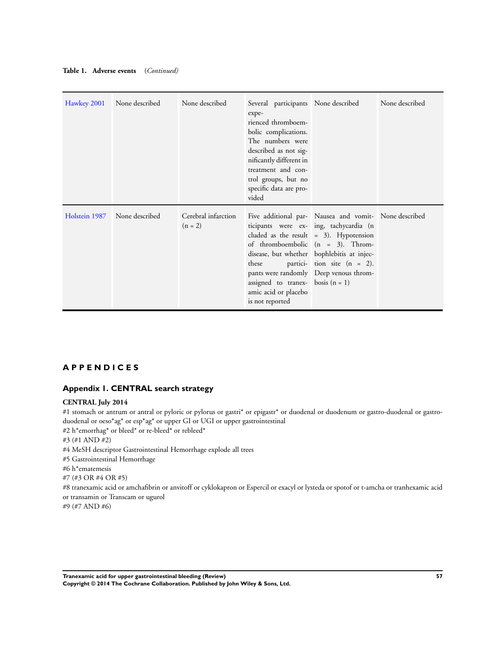<span id="page-59-0"></span>

|  | Table 1. Adverse events | (Continued) |
|--|-------------------------|-------------|
|--|-------------------------|-------------|

| Hawkey 2001   | None described | None described                   | Several participants None described<br>expe-<br>rienced thromboem-<br>bolic complications.<br>The numbers were<br>described as not sig-<br>nificantly different in<br>treatment and con-<br>trol groups, but no<br>specific data are pro-<br>vided |                                                                                                                                                                                                                                                                                                                | None described |
|---------------|----------------|----------------------------------|----------------------------------------------------------------------------------------------------------------------------------------------------------------------------------------------------------------------------------------------------|----------------------------------------------------------------------------------------------------------------------------------------------------------------------------------------------------------------------------------------------------------------------------------------------------------------|----------------|
| Holstein 1987 | None described | Cerebral infarction<br>$(n = 2)$ | these<br>assigned to tranex- bosis $(n = 1)$<br>amic acid or placebo<br>is not reported                                                                                                                                                            | Five additional par- Nausea and vomit- None described<br>ticipants were ex- ing, tachycardia (n<br>cluded as the result $= 3$ ). Hypotension<br>of thromboembolic $(n = 3)$ . Throm-<br>disease, but whether bophlebitis at injec-<br>partici- tion site $(n = 2)$ .<br>pants were randomly Deep venous throm- |                |

## **A P P E N D I C E S**

## **Appendix 1. CENTRAL search strategy**

#### **CENTRAL July 2014**

#1 stomach or antrum or antral or pyloric or pylorus or gastri\* or epigastr\* or duodenal or duodenum or gastro-duodenal or gastroduodenal or oeso\*ag\* or esp\*ag\* or upper GI or UGI or upper gastrointestinal

#2 h\*emorrhag\* or bleed\* or re-bleed\* or rebleed\*

- #3 (#1 AND #2)
- #4 MeSH descriptor Gastrointestinal Hemorrhage explode all trees
- #5 Gastrointestinal Hemorrhage
- #6 h\*ematemesis
- #7 (#3 OR #4 OR #5)

#8 tranexamic acid or amchafibrin or anvitoff or cyklokapron or Espercil or exacyl or lysteda or spotof or t-amcha or tranhexamic acid or transamin or Transcam or ugurol

#9 (#7 AND #6)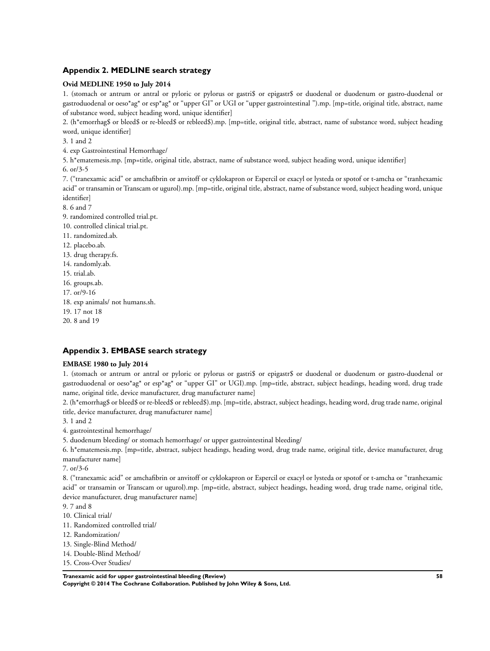## <span id="page-60-0"></span>**Appendix 2. MEDLINE search strategy**

#### **Ovid MEDLINE 1950 to July 2014**

1. (stomach or antrum or antral or pyloric or pylorus or gastri\$ or epigastr\$ or duodenal or duodenum or gastro-duodenal or gastroduodenal or oeso\*ag\* or esp\*ag\* or "upper GI" or UGI or "upper gastrointestinal ").mp. [mp=title, original title, abstract, name of substance word, subject heading word, unique identifier]

2. (h\*emorrhag\$ or bleed\$ or re-bleed\$ or rebleed\$).mp. [mp=title, original title, abstract, name of substance word, subject heading word, unique identifier]

3. 1 and 2

4. exp Gastrointestinal Hemorrhage/

5. h\*ematemesis.mp. [mp=title, original title, abstract, name of substance word, subject heading word, unique identifier]

6. or/3-5

7. ("tranexamic acid" or amchafibrin or anvitoff or cyklokapron or Espercil or exacyl or lysteda or spotof or t-amcha or "tranhexamic acid" or transamin or Transcam or ugurol).mp. [mp=title, original title, abstract, name of substance word, subject heading word, unique identifier]

8. 6 and 7

9. randomized controlled trial.pt.

- 10. controlled clinical trial.pt.
- 11. randomized.ab.
- 12. placebo.ab.
- 13. drug therapy.fs.
- 14. randomly.ab.
- 15. trial.ab.
- 16. groups.ab.
- 17. or/9-16
- 18. exp animals/ not humans.sh.
- 19. 17 not 18
- 20. 8 and 19

## **Appendix 3. EMBASE search strategy**

## **EMBASE 1980 to July 2014**

1. (stomach or antrum or antral or pyloric or pylorus or gastri\$ or epigastr\$ or duodenal or duodenum or gastro-duodenal or gastroduodenal or oeso\*ag\* or esp\*ag\* or "upper GI" or UGI).mp. [mp=title, abstract, subject headings, heading word, drug trade name, original title, device manufacturer, drug manufacturer name]

2. (h\*emorrhag\$ or bleed\$ or re-bleed\$ or rebleed\$).mp. [mp=title, abstract, subject headings, heading word, drug trade name, original title, device manufacturer, drug manufacturer name]

- 3. 1 and 2
- 4. gastrointestinal hemorrhage/
- 5. duodenum bleeding/ or stomach hemorrhage/ or upper gastrointestinal bleeding/

6. h\*ematemesis.mp. [mp=title, abstract, subject headings, heading word, drug trade name, original title, device manufacturer, drug manufacturer name]

7. or/3-6

8. ("tranexamic acid" or amchafibrin or anvitoff or cyklokapron or Espercil or exacyl or lysteda or spotof or t-amcha or "tranhexamic acid" or transamin or Transcam or ugurol).mp. [mp=title, abstract, subject headings, heading word, drug trade name, original title, device manufacturer, drug manufacturer name]

9. 7 and 8

- 10. Clinical trial/
- 11. Randomized controlled trial/
- 12. Randomization/
- 13. Single-Blind Method/
- 14. Double-Blind Method/
- 15. Cross-Over Studies/

**Tranexamic acid for upper gastrointestinal bleeding (Review) 58**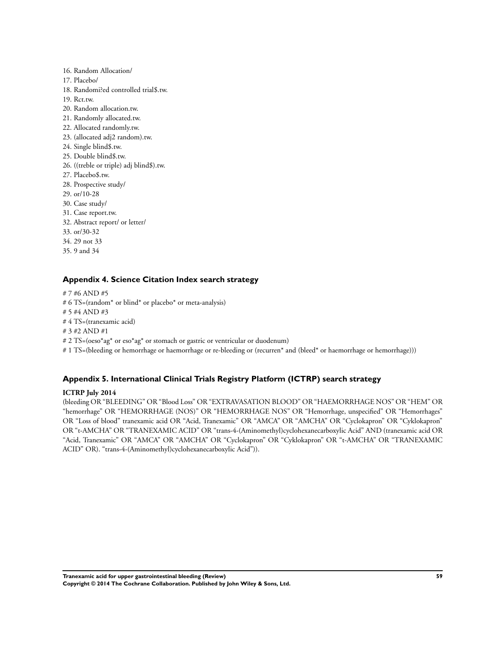- <span id="page-61-0"></span>16. Random Allocation/ 17. Placebo/ 18. Randomi?ed controlled trial\$.tw. 19. Rct.tw. 20. Random allocation.tw. 21. Randomly allocated.tw. 22. Allocated randomly.tw. 23. (allocated adj2 random).tw. 24. Single blind\$.tw. 25. Double blind\$.tw. 26. ((treble or triple) adj blind\$).tw. 27. Placebo\$.tw. 28. Prospective study/ 29. or/10-28 30. Case study/ 31. Case report.tw. 32. Abstract report/ or letter/ 33. or/30-32 34. 29 not 33
- 

## **Appendix 4. Science Citation Index search strategy**

# 7 #6 AND #5

35. 9 and 34

- # 6 TS=(random\* or blind\* or placebo\* or meta-analysis)
- # 5 #4 AND #3
- # 4 TS=(tranexamic acid)
- # 3 #2 AND #1
- # 2 TS=(oeso\*ag\* or eso\*ag\* or stomach or gastric or ventricular or duodenum)

# 1 TS=(bleeding or hemorrhage or haemorrhage or re-bleeding or (recurren\* and (bleed\* or haemorrhage or hemorrhage)))

## **Appendix 5. International Clinical Trials Registry Platform (ICTRP) search strategy**

#### **ICTRP July 2014**

(bleeding OR "BLEEDING" OR "Blood Loss" OR "EXTRAVASATION BLOOD" OR "HAEMORRHAGE NOS" OR "HEM" OR "hemorrhage" OR "HEMORRHAGE (NOS)" OR "HEMORRHAGE NOS" OR "Hemorrhage, unspecified" OR "Hemorrhages" OR "Loss of blood" tranexamic acid OR "Acid, Tranexamic" OR "AMCA" OR "AMCHA" OR "Cyclokapron" OR "Cyklokapron" OR "t-AMCHA" OR "TRANEXAMIC ACID" OR "trans-4-(Aminomethyl)cyclohexanecarboxylic Acid" AND (tranexamic acid OR "Acid, Tranexamic" OR "AMCA" OR "AMCHA" OR "Cyclokapron" OR "Cyklokapron" OR "t-AMCHA" OR "TRANEXAMIC ACID" OR). "trans-4-(Aminomethyl)cyclohexanecarboxylic Acid")).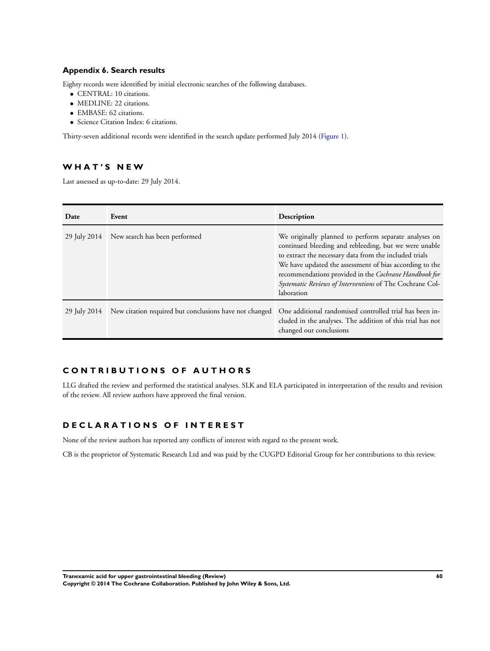## <span id="page-62-0"></span>**Appendix 6. Search results**

Eighty records were identified by initial electronic searches of the following databases.

- CENTRAL: 10 citations.
- MEDLINE: 22 citations.
- EMBASE: 62 citations.
- Science Citation Index: 6 citations.

Thirty-seven additional records were identified in the search update performed July 2014 [\(Figure 1\)](#page-12-0).

## **W H A T ' S N E W**

Last assessed as up-to-date: 29 July 2014.

| Date         | Event                                                  | Description                                                                                                                                                                                                                                                                                                                                                            |
|--------------|--------------------------------------------------------|------------------------------------------------------------------------------------------------------------------------------------------------------------------------------------------------------------------------------------------------------------------------------------------------------------------------------------------------------------------------|
| 29 July 2014 | New search has been performed                          | We originally planned to perform separate analyses on<br>continued bleeding and rebleeding, but we were unable<br>to extract the necessary data from the included trials<br>We have updated the assessment of bias according to the<br>recommendations provided in the Cochrane Handbook for<br>Systematic Reviews of Interventions of The Cochrane Col-<br>laboration |
| 29 July 2014 | New citation required but conclusions have not changed | One additional randomised controlled trial has been in-<br>cluded in the analyses. The addition of this trial has not<br>changed our conclusions                                                                                                                                                                                                                       |

## **C O N T R I B U T I O N S O F A U T H O R S**

LLG drafted the review and performed the statistical analyses. SLK and ELA participated in interpretation of the results and revision of the review. All review authors have approved the final version.

## **D E C L A R A T I O N S O F I N T E R E S T**

None of the review authors has reported any conflicts of interest with regard to the present work.

CB is the proprietor of Systematic Research Ltd and was paid by the CUGPD Editorial Group for her contributions to this review.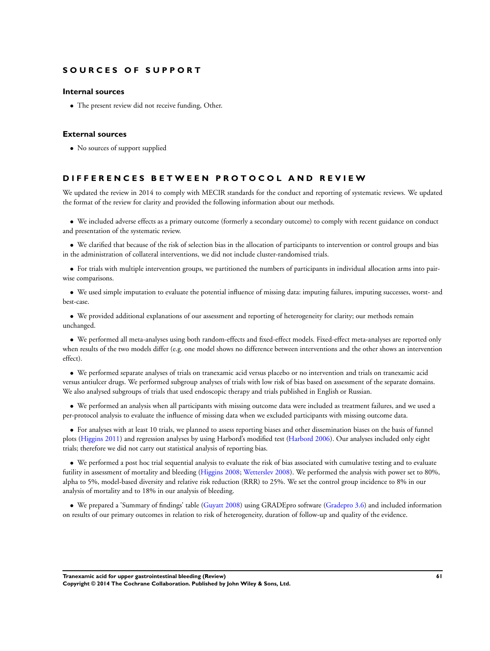## **S O U R C E S O F S U P P O R T**

#### **Internal sources**

• The present review did not receive funding, Other.

#### **External sources**

• No sources of support supplied

#### **D I F F E R E N C E S B E T W E E N P R O T O C O L A N D R E V I E W**

We updated the review in 2014 to comply with MECIR standards for the conduct and reporting of systematic reviews. We updated the format of the review for clarity and provided the following information about our methods.

• We included adverse effects as a primary outcome (formerly a secondary outcome) to comply with recent guidance on conduct and presentation of the systematic review.

• We clarified that because of the risk of selection bias in the allocation of participants to intervention or control groups and bias in the administration of collateral interventions, we did not include cluster-randomised trials.

• For trials with multiple intervention groups, we partitioned the numbers of participants in individual allocation arms into pairwise comparisons.

• We used simple imputation to evaluate the potential influence of missing data: imputing failures, imputing successes, worst- and best-case.

• We provided additional explanations of our assessment and reporting of heterogeneity for clarity; our methods remain unchanged.

• We performed all meta-analyses using both random-effects and fixed-effect models. Fixed-effect meta-analyses are reported only when results of the two models differ (e.g. one model shows no difference between interventions and the other shows an intervention effect).

• We performed separate analyses of trials on tranexamic acid versus placebo or no intervention and trials on tranexamic acid versus antiulcer drugs. We performed subgroup analyses of trials with low risk of bias based on assessment of the separate domains. We also analysed subgroups of trials that used endoscopic therapy and trials published in English or Russian.

• We performed an analysis when all participants with missing outcome data were included as treatment failures, and we used a per-protocol analysis to evaluate the influence of missing data when we excluded participants with missing outcome data.

• For analyses with at least 10 trials, we planned to assess reporting biases and other dissemination biases on the basis of funnel plots [\(Higgins 2011\)](#page-23-0) and regression analyses by using Harbord's modified test ([Harbord 2006](#page-23-0)). Our analyses included only eight trials; therefore we did not carry out statistical analysis of reporting bias.

• We performed a post hoc trial sequential analysis to evaluate the risk of bias associated with cumulative testing and to evaluate futility in assessment of mortality and bleeding ([Higgins 2008;](#page-23-0) [Wetterslev 2008](#page-23-0)). We performed the analysis with power set to 80%, alpha to 5%, model-based diversity and relative risk reduction (RRR) to 25%. We set the control group incidence to 8% in our analysis of mortality and to 18% in our analysis of bleeding.

• We prepared a 'Summary of findings' table [\(Guyatt 2008\)](#page-23-0) using GRADEpro software [\(Gradepro 3.6\)](#page-23-0) and included information on results of our primary outcomes in relation to risk of heterogeneity, duration of follow-up and quality of the evidence.

**Tranexamic acid for upper gastrointestinal bleeding (Review) 61**